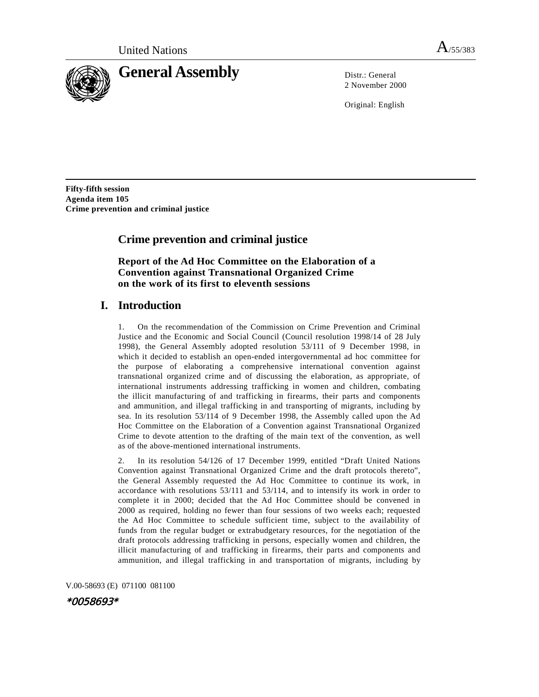

2 November 2000

Original: English

**Fifty-fifth session Agenda item 105 Crime prevention and criminal justice** 

# **Crime prevention and criminal justice**

 **Report of the Ad Hoc Committee on the Elaboration of a Convention against Transnational Organized Crime on the work of its first to eleventh sessions** 

# **I. Introduction**

1. On the recommendation of the Commission on Crime Prevention and Criminal Justice and the Economic and Social Council (Council resolution 1998/14 of 28 July 1998), the General Assembly adopted resolution 53/111 of 9 December 1998, in which it decided to establish an open-ended intergovernmental ad hoc committee for the purpose of elaborating a comprehensive international convention against transnational organized crime and of discussing the elaboration, as appropriate, of international instruments addressing trafficking in women and children, combating the illicit manufacturing of and trafficking in firearms, their parts and components and ammunition, and illegal trafficking in and transporting of migrants, including by sea. In its resolution 53/114 of 9 December 1998, the Assembly called upon the Ad Hoc Committee on the Elaboration of a Convention against Transnational Organized Crime to devote attention to the drafting of the main text of the convention, as well as of the above-mentioned international instruments.

2. In its resolution 54/126 of 17 December 1999, entitled "Draft United Nations Convention against Transnational Organized Crime and the draft protocols thereto", the General Assembly requested the Ad Hoc Committee to continue its work, in accordance with resolutions 53/111 and 53/114, and to intensify its work in order to complete it in 2000; decided that the Ad Hoc Committee should be convened in 2000 as required, holding no fewer than four sessions of two weeks each; requested the Ad Hoc Committee to schedule sufficient time, subject to the availability of funds from the regular budget or extrabudgetary resources, for the negotiation of the draft protocols addressing trafficking in persons, especially women and children, the illicit manufacturing of and trafficking in firearms, their parts and components and ammunition, and illegal trafficking in and transportation of migrants, including by

V.00-58693 (E)071100081100

\*0058693\*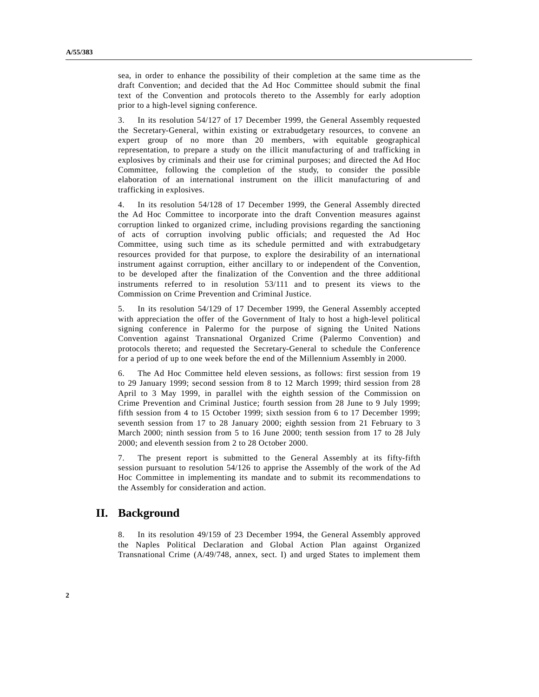sea, in order to enhance the possibility of their completion at the same time as the draft Convention; and decided that the Ad Hoc Committee should submit the final text of the Convention and protocols thereto to the Assembly for early adoption prior to a high-level signing conference.

3. In its resolution 54/127 of 17 December 1999, the General Assembly requested the Secretary-General, within existing or extrabudgetary resources, to convene an expert group of no more than 20 members, with equitable geographical representation, to prepare a study on the illicit manufacturing of and trafficking in explosives by criminals and their use for criminal purposes; and directed the Ad Hoc Committee, following the completion of the study, to consider the possible elaboration of an international instrument on the illicit manufacturing of and trafficking in explosives.

4. In its resolution 54/128 of 17 December 1999, the General Assembly directed the Ad Hoc Committee to incorporate into the draft Convention measures against corruption linked to organized crime, including provisions regarding the sanctioning of acts of corruption involving public officials; and requested the Ad Hoc Committee, using such time as its schedule permitted and with extrabudgetary resources provided for that purpose, to explore the desirability of an international instrument against corruption, either ancillary to or independent of the Convention, to be developed after the finalization of the Convention and the three additional instruments referred to in resolution 53/111 and to present its views to the Commission on Crime Prevention and Criminal Justice.

5. In its resolution 54/129 of 17 December 1999, the General Assembly accepted with appreciation the offer of the Government of Italy to host a high-level political signing conference in Palermo for the purpose of signing the United Nations Convention against Transnational Organized Crime (Palermo Convention) and protocols thereto; and requested the Secretary-General to schedule the Conference for a period of up to one week before the end of the Millennium Assembly in 2000.

6. The Ad Hoc Committee held eleven sessions, as follows: first session from 19 to 29 January 1999; second session from 8 to 12 March 1999; third session from 28 April to 3 May 1999, in parallel with the eighth session of the Commission on Crime Prevention and Criminal Justice; fourth session from 28 June to 9 July 1999; fifth session from 4 to 15 October 1999; sixth session from 6 to 17 December 1999; seventh session from 17 to 28 January 2000; eighth session from 21 February to 3 March 2000; ninth session from 5 to 16 June 2000; tenth session from 17 to 28 July 2000; and eleventh session from 2 to 28 October 2000.

7. The present report is submitted to the General Assembly at its fifty-fifth session pursuant to resolution 54/126 to apprise the Assembly of the work of the Ad Hoc Committee in implementing its mandate and to submit its recommendations to the Assembly for consideration and action.

## **II. Background**

8. In its resolution 49/159 of 23 December 1994, the General Assembly approved the Naples Political Declaration and Global Action Plan against Organized Transnational Crime (A/49/748, annex, sect. I) and urged States to implement them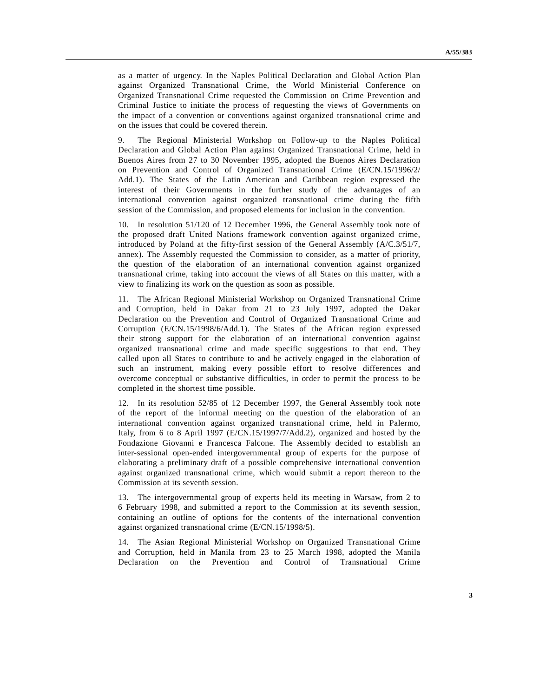as a matter of urgency. In the Naples Political Declaration and Global Action Plan against Organized Transnational Crime, the World Ministerial Conference on Organized Transnational Crime requested the Commission on Crime Prevention and Criminal Justice to initiate the process of requesting the views of Governments on the impact of a convention or conventions against organized transnational crime and on the issues that could be covered therein.

9. The Regional Ministerial Workshop on Follow-up to the Naples Political Declaration and Global Action Plan against Organized Transnational Crime, held in Buenos Aires from 27 to 30 November 1995, adopted the Buenos Aires Declaration on Prevention and Control of Organized Transnational Crime (E/CN.15/1996/2/ Add.1). The States of the Latin American and Caribbean region expressed the interest of their Governments in the further study of the advantages of an international convention against organized transnational crime during the fifth session of the Commission, and proposed elements for inclusion in the convention.

10. In resolution 51/120 of 12 December 1996, the General Assembly took note of the proposed draft United Nations framework convention against organized crime, introduced by Poland at the fifty-first session of the General Assembly (A/C.3/51/7, annex). The Assembly requested the Commission to consider, as a matter of priority, the question of the elaboration of an international convention against organized transnational crime, taking into account the views of all States on this matter, with a view to finalizing its work on the question as soon as possible.

11. The African Regional Ministerial Workshop on Organized Transnational Crime and Corruption, held in Dakar from 21 to 23 July 1997, adopted the Dakar Declaration on the Prevention and Control of Organized Transnational Crime and Corruption (E/CN.15/1998/6/Add.1). The States of the African region expressed their strong support for the elaboration of an international convention against organized transnational crime and made specific suggestions to that end. They called upon all States to contribute to and be actively engaged in the elaboration of such an instrument, making every possible effort to resolve differences and overcome conceptual or substantive difficulties, in order to permit the process to be completed in the shortest time possible.

12. In its resolution 52/85 of 12 December 1997, the General Assembly took note of the report of the informal meeting on the question of the elaboration of an international convention against organized transnational crime, held in Palermo, Italy, from 6 to 8 April 1997 (E/CN.15/1997/7/Add.2), organized and hosted by the Fondazione Giovanni e Francesca Falcone. The Assembly decided to establish an inter-sessional open-ended intergovernmental group of experts for the purpose of elaborating a preliminary draft of a possible comprehensive international convention against organized transnational crime, which would submit a report thereon to the Commission at its seventh session.

13. The intergovernmental group of experts held its meeting in Warsaw, from 2 to 6 February 1998, and submitted a report to the Commission at its seventh session, containing an outline of options for the contents of the international convention against organized transnational crime (E/CN.15/1998/5).

14. The Asian Regional Ministerial Workshop on Organized Transnational Crime and Corruption, held in Manila from 23 to 25 March 1998, adopted the Manila Declaration on the Prevention and Control of Transnational Crime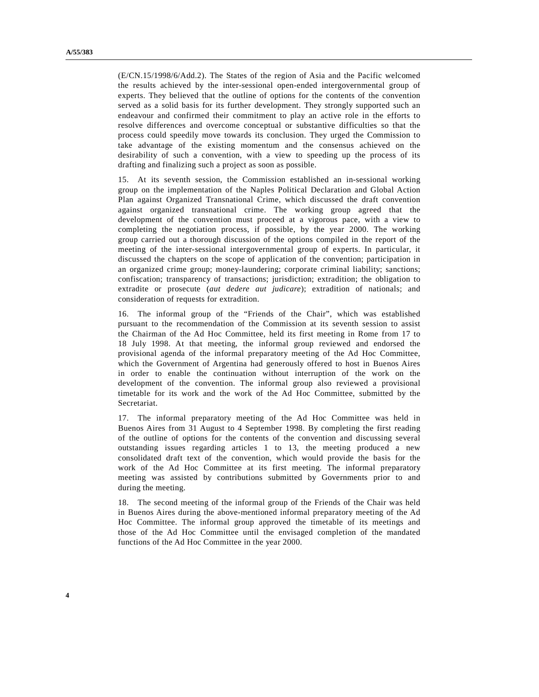(E/CN.15/1998/6/Add.2). The States of the region of Asia and the Pacific welcomed the results achieved by the inter-sessional open-ended intergovernmental group of experts. They believed that the outline of options for the contents of the convention served as a solid basis for its further development. They strongly supported such an endeavour and confirmed their commitment to play an active role in the efforts to resolve differences and overcome conceptual or substantive difficulties so that the process could speedily move towards its conclusion. They urged the Commission to take advantage of the existing momentum and the consensus achieved on the desirability of such a convention, with a view to speeding up the process of its drafting and finalizing such a project as soon as possible.

15. At its seventh session, the Commission established an in-sessional working group on the implementation of the Naples Political Declaration and Global Action Plan against Organized Transnational Crime, which discussed the draft convention against organized transnational crime. The working group agreed that the development of the convention must proceed at a vigorous pace, with a view to completing the negotiation process, if possible, by the year 2000. The working group carried out a thorough discussion of the options compiled in the report of the meeting of the inter-sessional intergovernmental group of experts. In particular, it discussed the chapters on the scope of application of the convention; participation in an organized crime group; money-laundering; corporate criminal liability; sanctions; confiscation; transparency of transactions; jurisdiction; extradition; the obligation to extradite or prosecute (*aut dedere aut judicare*); extradition of nationals; and consideration of requests for extradition.

16. The informal group of the "Friends of the Chair", which was established pursuant to the recommendation of the Commission at its seventh session to assist the Chairman of the Ad Hoc Committee, held its first meeting in Rome from 17 to 18 July 1998. At that meeting, the informal group reviewed and endorsed the provisional agenda of the informal preparatory meeting of the Ad Hoc Committee, which the Government of Argentina had generously offered to host in Buenos Aires in order to enable the continuation without interruption of the work on the development of the convention. The informal group also reviewed a provisional timetable for its work and the work of the Ad Hoc Committee, submitted by the Secretariat.

17. The informal preparatory meeting of the Ad Hoc Committee was held in Buenos Aires from 31 August to 4 September 1998. By completing the first reading of the outline of options for the contents of the convention and discussing several outstanding issues regarding articles 1 to 13, the meeting produced a new consolidated draft text of the convention, which would provide the basis for the work of the Ad Hoc Committee at its first meeting. The informal preparatory meeting was assisted by contributions submitted by Governments prior to and during the meeting.

18. The second meeting of the informal group of the Friends of the Chair was held in Buenos Aires during the above-mentioned informal preparatory meeting of the Ad Hoc Committee. The informal group approved the timetable of its meetings and those of the Ad Hoc Committee until the envisaged completion of the mandated functions of the Ad Hoc Committee in the year 2000.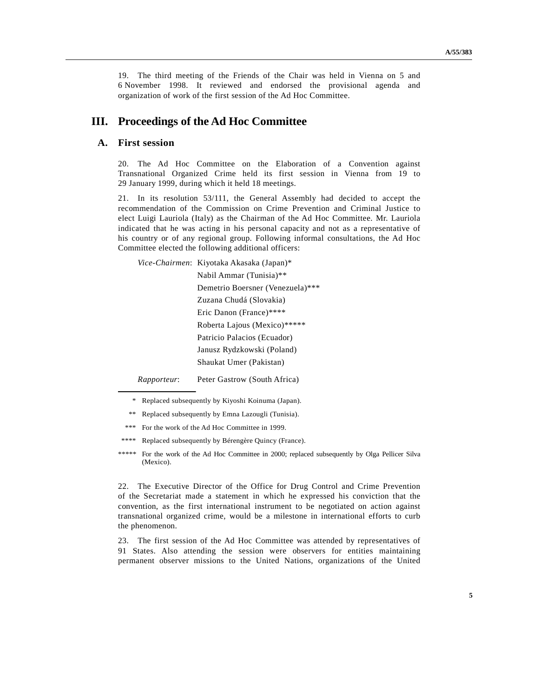19. The third meeting of the Friends of the Chair was held in Vienna on 5 and 6 November 1998. It reviewed and endorsed the provisional agenda and organization of work of the first session of the Ad Hoc Committee.

# **III. Proceedings of the Ad Hoc Committee**

## **A. First session**

20. The Ad Hoc Committee on the Elaboration of a Convention against Transnational Organized Crime held its first session in Vienna from 19 to 29 January 1999, during which it held 18 meetings.

21. In its resolution 53/111, the General Assembly had decided to accept the recommendation of the Commission on Crime Prevention and Criminal Justice to elect Luigi Lauriola (Italy) as the Chairman of the Ad Hoc Committee. Mr. Lauriola indicated that he was acting in his personal capacity and not as a representative of his country or of any regional group. Following informal consultations, the Ad Hoc Committee elected the following additional officers:

 *Vice-Chairmen*: Kiyotaka Akasaka (Japan)\* Nabil Ammar (Tunisia)\*\* Demetrio Boersner (Venezuela)\*\*\* Zuzana Chudá (Slovakia) Eric Danon (France)\*\*\*\* Roberta Lajous (Mexico)\*\*\*\*\* Patricio Palacios (Ecuador) Janusz Rydzkowski (Poland) Shaukat Umer (Pakistan) *Rapporteur*: Peter Gastrow (South Africa)

\* Replaced subsequently by Kiyoshi Koinuma (Japan).

- \*\* Replaced subsequently by Emna Lazougli (Tunisia).
- \*\*\* For the work of the Ad Hoc Committee in 1999.
- \*\*\*\* Replaced subsequently by Bérengère Quincy (France).
- For the work of the Ad Hoc Committee in 2000; replaced subsequently by Olga Pellicer Silva (Mexico).

22. The Executive Director of the Office for Drug Control and Crime Prevention of the Secretariat made a statement in which he expressed his conviction that the convention, as the first international instrument to be negotiated on action against transnational organized crime, would be a milestone in international efforts to curb the phenomenon.

23. The first session of the Ad Hoc Committee was attended by representatives of 91 States. Also attending the session were observers for entities maintaining permanent observer missions to the United Nations, organizations of the United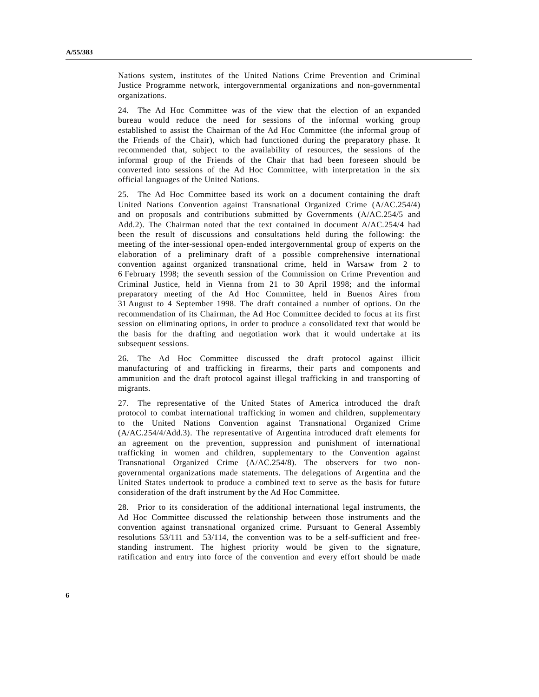Nations system, institutes of the United Nations Crime Prevention and Criminal Justice Programme network, intergovernmental organizations and non-governmental organizations.

24. The Ad Hoc Committee was of the view that the election of an expanded bureau would reduce the need for sessions of the informal working group established to assist the Chairman of the Ad Hoc Committee (the informal group of the Friends of the Chair), which had functioned during the preparatory phase. It recommended that, subject to the availability of resources, the sessions of the informal group of the Friends of the Chair that had been foreseen should be converted into sessions of the Ad Hoc Committee, with interpretation in the six official languages of the United Nations.

25. The Ad Hoc Committee based its work on a document containing the draft United Nations Convention against Transnational Organized Crime (A/AC.254/4) and on proposals and contributions submitted by Governments (A/AC.254/5 and Add.2). The Chairman noted that the text contained in document A/AC.254/4 had been the result of discussions and consultations held during the following: the meeting of the inter-sessional open-ended intergovernmental group of experts on the elaboration of a preliminary draft of a possible comprehensive international convention against organized transnational crime, held in Warsaw from 2 to 6 February 1998; the seventh session of the Commission on Crime Prevention and Criminal Justice, held in Vienna from 21 to 30 April 1998; and the informal preparatory meeting of the Ad Hoc Committee, held in Buenos Aires from 31 August to 4 September 1998. The draft contained a number of options. On the recommendation of its Chairman, the Ad Hoc Committee decided to focus at its first session on eliminating options, in order to produce a consolidated text that would be the basis for the drafting and negotiation work that it would undertake at its subsequent sessions.

26. The Ad Hoc Committee discussed the draft protocol against illicit manufacturing of and trafficking in firearms, their parts and components and ammunition and the draft protocol against illegal trafficking in and transporting of migrants.

27. The representative of the United States of America introduced the draft protocol to combat international trafficking in women and children, supplementary to the United Nations Convention against Transnational Organized Crime (A/AC.254/4/Add.3). The representative of Argentina introduced draft elements for an agreement on the prevention, suppression and punishment of international trafficking in women and children, supplementary to the Convention against Transnational Organized Crime (A/AC.254/8). The observers for two nongovernmental organizations made statements. The delegations of Argentina and the United States undertook to produce a combined text to serve as the basis for future consideration of the draft instrument by the Ad Hoc Committee.

28. Prior to its consideration of the additional international legal instruments, the Ad Hoc Committee discussed the relationship between those instruments and the convention against transnational organized crime. Pursuant to General Assembly resolutions 53/111 and 53/114, the convention was to be a self-sufficient and freestanding instrument. The highest priority would be given to the signature, ratification and entry into force of the convention and every effort should be made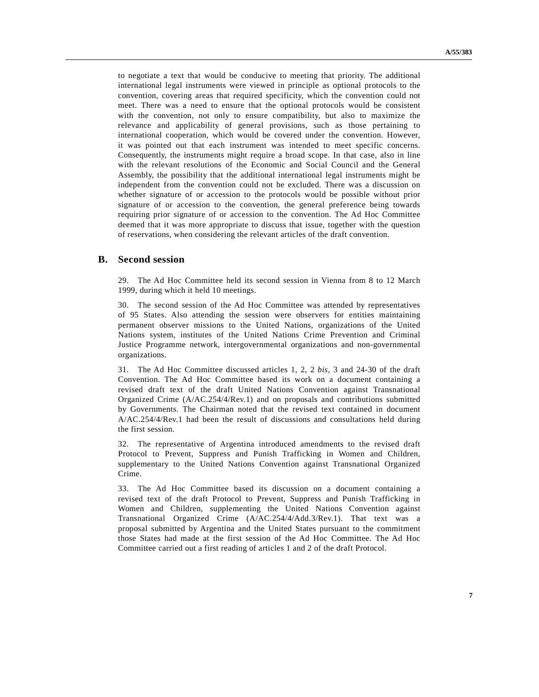to negotiate a text that would be conducive to meeting that priority. The additional international legal instruments were viewed in principle as optional protocols to the convention, covering areas that required specificity, which the convention could not meet. There was a need to ensure that the optional protocols would be consistent with the convention, not only to ensure compatibility, but also to maximize the relevance and applicability of general provisions, such as those pertaining to international cooperation, which would be covered under the convention. However, it was pointed out that each instrument was intended to meet specific concerns. Consequently, the instruments might require a broad scope. In that case, also in line with the relevant resolutions of the Economic and Social Council and the General Assembly, the possibility that the additional international legal instruments might be independent from the convention could not be excluded. There was a discussion on whether signature of or accession to the protocols would be possible without prior signature of or accession to the convention, the general preference being towards requiring prior signature of or accession to the convention. The Ad Hoc Committee deemed that it was more appropriate to discuss that issue, together with the question of reservations, when considering the relevant articles of the draft convention.

## **B. Second session**

29. The Ad Hoc Committee held its second session in Vienna from 8 to 12 March 1999, during which it held 10 meetings.

30. The second session of the Ad Hoc Committee was attended by representatives of 95 States. Also attending the session were observers for entities maintaining permanent observer missions to the United Nations, organizations of the United Nations system, institutes of the United Nations Crime Prevention and Criminal Justice Programme network, intergovernmental organizations and non-governmental organizations.

31. The Ad Hoc Committee discussed articles 1, 2, 2 *bis*, 3 and 24-30 of the draft Convention. The Ad Hoc Committee based its work on a document containing a revised draft text of the draft United Nations Convention against Transnational Organized Crime (A/AC.254/4/Rev.1) and on proposals and contributions submitted by Governments. The Chairman noted that the revised text contained in document A/AC.254/4/Rev.1 had been the result of discussions and consultations held during the first session.

32. The representative of Argentina introduced amendments to the revised draft Protocol to Prevent, Suppress and Punish Trafficking in Women and Children, supplementary to the United Nations Convention against Transnational Organized Crime.

33. The Ad Hoc Committee based its discussion on a document containing a revised text of the draft Protocol to Prevent, Suppress and Punish Trafficking in Women and Children, supplementing the United Nations Convention against Transnational Organized Crime (A/AC.254/4/Add.3/Rev.1). That text was a proposal submitted by Argentina and the United States pursuant to the commitment those States had made at the first session of the Ad Hoc Committee. The Ad Hoc Committee carried out a first reading of articles 1 and 2 of the draft Protocol.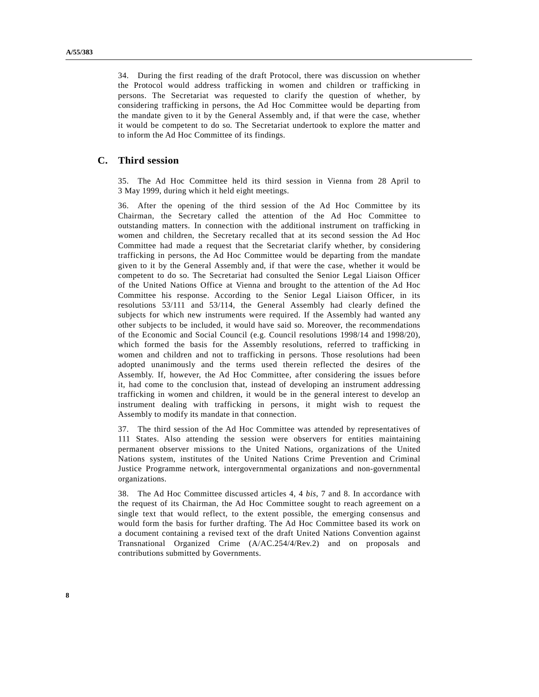34. During the first reading of the draft Protocol, there was discussion on whether the Protocol would address trafficking in women and children or trafficking in persons. The Secretariat was requested to clarify the question of whether, by considering trafficking in persons, the Ad Hoc Committee would be departing from the mandate given to it by the General Assembly and, if that were the case, whether it would be competent to do so. The Secretariat undertook to explore the matter and to inform the Ad Hoc Committee of its findings.

## **C. Third session**

35. The Ad Hoc Committee held its third session in Vienna from 28 April to 3 May 1999, during which it held eight meetings.

36. After the opening of the third session of the Ad Hoc Committee by its Chairman, the Secretary called the attention of the Ad Hoc Committee to outstanding matters. In connection with the additional instrument on trafficking in women and children, the Secretary recalled that at its second session the Ad Hoc Committee had made a request that the Secretariat clarify whether, by considering trafficking in persons, the Ad Hoc Committee would be departing from the mandate given to it by the General Assembly and, if that were the case, whether it would be competent to do so. The Secretariat had consulted the Senior Legal Liaison Officer of the United Nations Office at Vienna and brought to the attention of the Ad Hoc Committee his response. According to the Senior Legal Liaison Officer, in its resolutions 53/111 and 53/114, the General Assembly had clearly defined the subjects for which new instruments were required. If the Assembly had wanted any other subjects to be included, it would have said so. Moreover, the recommendations of the Economic and Social Council (e.g. Council resolutions 1998/14 and 1998/20), which formed the basis for the Assembly resolutions, referred to trafficking in women and children and not to trafficking in persons. Those resolutions had been adopted unanimously and the terms used therein reflected the desires of the Assembly. If, however, the Ad Hoc Committee, after considering the issues before it, had come to the conclusion that, instead of developing an instrument addressing trafficking in women and children, it would be in the general interest to develop an instrument dealing with trafficking in persons, it might wish to request the Assembly to modify its mandate in that connection.

37. The third session of the Ad Hoc Committee was attended by representatives of 111 States. Also attending the session were observers for entities maintaining permanent observer missions to the United Nations, organizations of the United Nations system, institutes of the United Nations Crime Prevention and Criminal Justice Programme network, intergovernmental organizations and non-governmental organizations.

38. The Ad Hoc Committee discussed articles 4, 4 *bis*, 7 and 8. In accordance with the request of its Chairman, the Ad Hoc Committee sought to reach agreement on a single text that would reflect, to the extent possible, the emerging consensus and would form the basis for further drafting. The Ad Hoc Committee based its work on a document containing a revised text of the draft United Nations Convention against Transnational Organized Crime (A/AC.254/4/Rev.2) and on proposals and contributions submitted by Governments.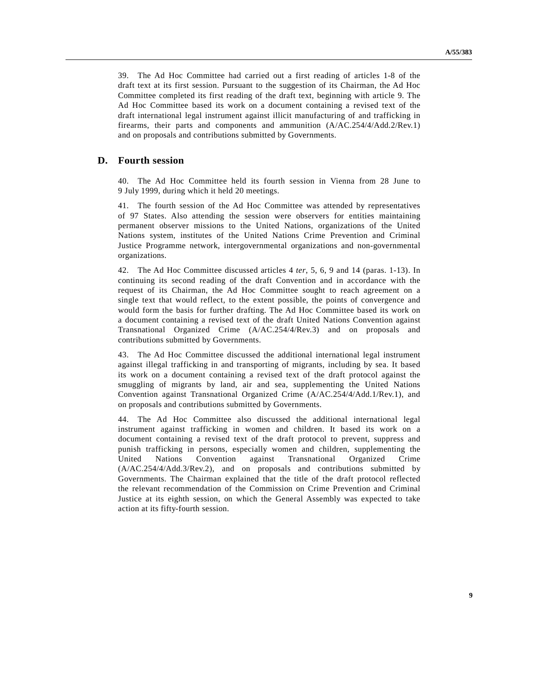39. The Ad Hoc Committee had carried out a first reading of articles 1-8 of the draft text at its first session. Pursuant to the suggestion of its Chairman, the Ad Hoc Committee completed its first reading of the draft text, beginning with article 9. The Ad Hoc Committee based its work on a document containing a revised text of the draft international legal instrument against illicit manufacturing of and trafficking in firearms, their parts and components and ammunition (A/AC.254/4/Add.2/Rev.1) and on proposals and contributions submitted by Governments.

## **D. Fourth session**

40. The Ad Hoc Committee held its fourth session in Vienna from 28 June to 9 July 1999, during which it held 20 meetings.

41. The fourth session of the Ad Hoc Committee was attended by representatives of 97 States. Also attending the session were observers for entities maintaining permanent observer missions to the United Nations, organizations of the United Nations system, institutes of the United Nations Crime Prevention and Criminal Justice Programme network, intergovernmental organizations and non-governmental organizations.

42. The Ad Hoc Committee discussed articles 4 *ter*, 5, 6, 9 and 14 (paras. 1-13). In continuing its second reading of the draft Convention and in accordance with the request of its Chairman, the Ad Hoc Committee sought to reach agreement on a single text that would reflect, to the extent possible, the points of convergence and would form the basis for further drafting. The Ad Hoc Committee based its work on a document containing a revised text of the draft United Nations Convention against Transnational Organized Crime (A/AC.254/4/Rev.3) and on proposals and contributions submitted by Governments.

43. The Ad Hoc Committee discussed the additional international legal instrument against illegal trafficking in and transporting of migrants, including by sea. It based its work on a document containing a revised text of the draft protocol against the smuggling of migrants by land, air and sea, supplementing the United Nations Convention against Transnational Organized Crime (A/AC.254/4/Add.1/Rev.1), and on proposals and contributions submitted by Governments.

44. The Ad Hoc Committee also discussed the additional international legal instrument against trafficking in women and children. It based its work on a document containing a revised text of the draft protocol to prevent, suppress and punish trafficking in persons, especially women and children, supplementing the United Nations Convention against Transnational Organized Crime (A/AC.254/4/Add.3/Rev.2), and on proposals and contributions submitted by Governments. The Chairman explained that the title of the draft protocol reflected the relevant recommendation of the Commission on Crime Prevention and Criminal Justice at its eighth session, on which the General Assembly was expected to take action at its fifty-fourth session.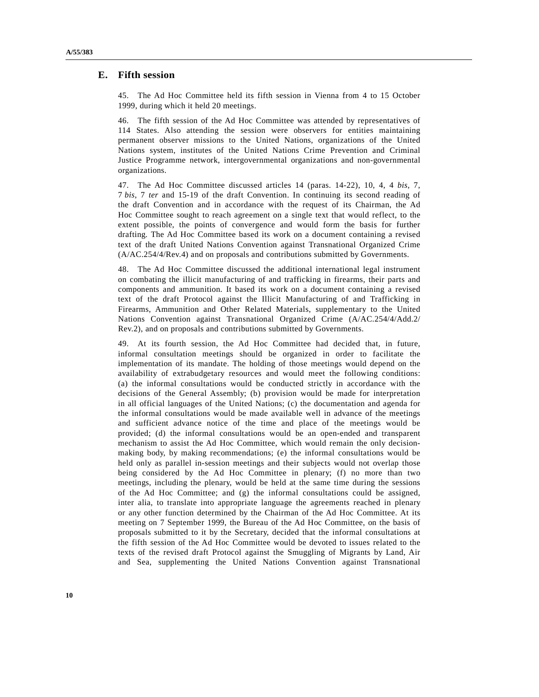## **E. Fifth session**

45. The Ad Hoc Committee held its fifth session in Vienna from 4 to 15 October 1999, during which it held 20 meetings.

46. The fifth session of the Ad Hoc Committee was attended by representatives of 114 States. Also attending the session were observers for entities maintaining permanent observer missions to the United Nations, organizations of the United Nations system, institutes of the United Nations Crime Prevention and Criminal Justice Programme network, intergovernmental organizations and non-governmental organizations.

47. The Ad Hoc Committee discussed articles 14 (paras. 14-22), 10, 4, 4 *bis*, 7, 7 *bis*, 7 *ter* and 15-19 of the draft Convention. In continuing its second reading of the draft Convention and in accordance with the request of its Chairman, the Ad Hoc Committee sought to reach agreement on a single text that would reflect, to the extent possible, the points of convergence and would form the basis for further drafting. The Ad Hoc Committee based its work on a document containing a revised text of the draft United Nations Convention against Transnational Organized Crime (A/AC.254/4/Rev.4) and on proposals and contributions submitted by Governments.

48. The Ad Hoc Committee discussed the additional international legal instrument on combating the illicit manufacturing of and trafficking in firearms, their parts and components and ammunition. It based its work on a document containing a revised text of the draft Protocol against the Illicit Manufacturing of and Trafficking in Firearms, Ammunition and Other Related Materials, supplementary to the United Nations Convention against Transnational Organized Crime (A/AC.254/4/Add.2/ Rev.2), and on proposals and contributions submitted by Governments.

49. At its fourth session, the Ad Hoc Committee had decided that, in future, informal consultation meetings should be organized in order to facilitate the implementation of its mandate. The holding of those meetings would depend on the availability of extrabudgetary resources and would meet the following conditions: (a) the informal consultations would be conducted strictly in accordance with the decisions of the General Assembly; (b) provision would be made for interpretation in all official languages of the United Nations; (c) the documentation and agenda for the informal consultations would be made available well in advance of the meetings and sufficient advance notice of the time and place of the meetings would be provided; (d) the informal consultations would be an open-ended and transparent mechanism to assist the Ad Hoc Committee, which would remain the only decisionmaking body, by making recommendations; (e) the informal consultations would be held only as parallel in-session meetings and their subjects would not overlap those being considered by the Ad Hoc Committee in plenary; (f) no more than two meetings, including the plenary, would be held at the same time during the sessions of the Ad Hoc Committee; and (g) the informal consultations could be assigned, inter alia, to translate into appropriate language the agreements reached in plenary or any other function determined by the Chairman of the Ad Hoc Committee. At its meeting on 7 September 1999, the Bureau of the Ad Hoc Committee, on the basis of proposals submitted to it by the Secretary, decided that the informal consultations at the fifth session of the Ad Hoc Committee would be devoted to issues related to the texts of the revised draft Protocol against the Smuggling of Migrants by Land, Air and Sea, supplementing the United Nations Convention against Transnational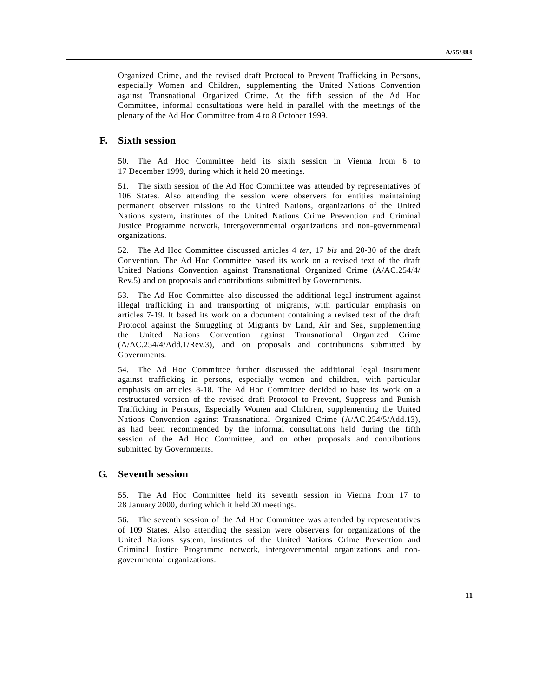Organized Crime, and the revised draft Protocol to Prevent Trafficking in Persons, especially Women and Children, supplementing the United Nations Convention against Transnational Organized Crime. At the fifth session of the Ad Hoc Committee, informal consultations were held in parallel with the meetings of the plenary of the Ad Hoc Committee from 4 to 8 October 1999.

## **F. Sixth session**

50. The Ad Hoc Committee held its sixth session in Vienna from 6 to 17 December 1999, during which it held 20 meetings.

51. The sixth session of the Ad Hoc Committee was attended by representatives of 106 States. Also attending the session were observers for entities maintaining permanent observer missions to the United Nations, organizations of the United Nations system, institutes of the United Nations Crime Prevention and Criminal Justice Programme network, intergovernmental organizations and non-governmental organizations.

52. The Ad Hoc Committee discussed articles 4 *ter*, 17 *bis* and 20-30 of the draft Convention. The Ad Hoc Committee based its work on a revised text of the draft United Nations Convention against Transnational Organized Crime (A/AC.254/4/ Rev.5) and on proposals and contributions submitted by Governments.

53. The Ad Hoc Committee also discussed the additional legal instrument against illegal trafficking in and transporting of migrants, with particular emphasis on articles 7-19. It based its work on a document containing a revised text of the draft Protocol against the Smuggling of Migrants by Land, Air and Sea, supplementing the United Nations Convention against Transnational Organized Crime (A/AC.254/4/Add.1/Rev.3), and on proposals and contributions submitted by Governments.

54. The Ad Hoc Committee further discussed the additional legal instrument against trafficking in persons, especially women and children, with particular emphasis on articles 8-18. The Ad Hoc Committee decided to base its work on a restructured version of the revised draft Protocol to Prevent, Suppress and Punish Trafficking in Persons, Especially Women and Children, supplementing the United Nations Convention against Transnational Organized Crime (A/AC.254/5/Add.13), as had been recommended by the informal consultations held during the fifth session of the Ad Hoc Committee, and on other proposals and contributions submitted by Governments.

## **G. Seventh session**

55. The Ad Hoc Committee held its seventh session in Vienna from 17 to 28 January 2000, during which it held 20 meetings.

56. The seventh session of the Ad Hoc Committee was attended by representatives of 109 States. Also attending the session were observers for organizations of the United Nations system, institutes of the United Nations Crime Prevention and Criminal Justice Programme network, intergovernmental organizations and nongovernmental organizations.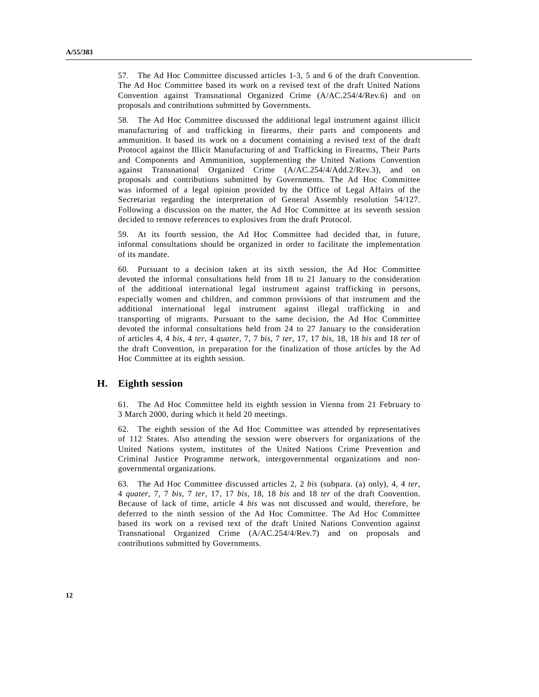57. The Ad Hoc Committee discussed articles 1-3, 5 and 6 of the draft Convention. The Ad Hoc Committee based its work on a revised text of the draft United Nations Convention against Transnational Organized Crime (A/AC.254/4/Rev.6) and on proposals and contributions submitted by Governments.

58. The Ad Hoc Committee discussed the additional legal instrument against illicit manufacturing of and trafficking in firearms, their parts and components and ammunition. It based its work on a document containing a revised text of the draft Protocol against the Illicit Manufacturing of and Trafficking in Firearms, Their Parts and Components and Ammunition, supplementing the United Nations Convention against Transnational Organized Crime (A/AC.254/4/Add.2/Rev.3), and on proposals and contributions submitted by Governments. The Ad Hoc Committee was informed of a legal opinion provided by the Office of Legal Affairs of the Secretariat regarding the interpretation of General Assembly resolution 54/127. Following a discussion on the matter, the Ad Hoc Committee at its seventh session decided to remove references to explosives from the draft Protocol.

59. At its fourth session, the Ad Hoc Committee had decided that, in future, informal consultations should be organized in order to facilitate the implementation of its mandate.

60. Pursuant to a decision taken at its sixth session, the Ad Hoc Committee devoted the informal consultations held from 18 to 21 January to the consideration of the additional international legal instrument against trafficking in persons, especially women and children, and common provisions of that instrument and the additional international legal instrument against illegal trafficking in and transporting of migrants. Pursuant to the same decision, the Ad Hoc Committee devoted the informal consultations held from 24 to 27 January to the consideration of articles 4, 4 *bis*, 4 *ter*, 4 *quater*, 7, 7 *bis*, 7 *ter*, 17, 17 *bis*, 18, 18 *bis* and 18 *ter* of the draft Convention, in preparation for the finalization of those articles by the Ad Hoc Committee at its eighth session.

## **H. Eighth session**

61. The Ad Hoc Committee held its eighth session in Vienna from 21 February to 3 March 2000, during which it held 20 meetings.

62. The eighth session of the Ad Hoc Committee was attended by representatives of 112 States. Also attending the session were observers for organizations of the United Nations system, institutes of the United Nations Crime Prevention and Criminal Justice Programme network, intergovernmental organizations and nongovernmental organizations.

63. The Ad Hoc Committee discussed articles 2, 2 *bis* (subpara. (a) only), 4, 4 *ter*, 4 *quater*, 7, 7 *bis*, 7 *ter*, 17, 17 *bis*, 18, 18 *bis* and 18 *ter* of the draft Convention. Because of lack of time, article 4 *bis* was not discussed and would, therefore, be deferred to the ninth session of the Ad Hoc Committee. The Ad Hoc Committee based its work on a revised text of the draft United Nations Convention against Transnational Organized Crime (A/AC.254/4/Rev.7) and on proposals and contributions submitted by Governments.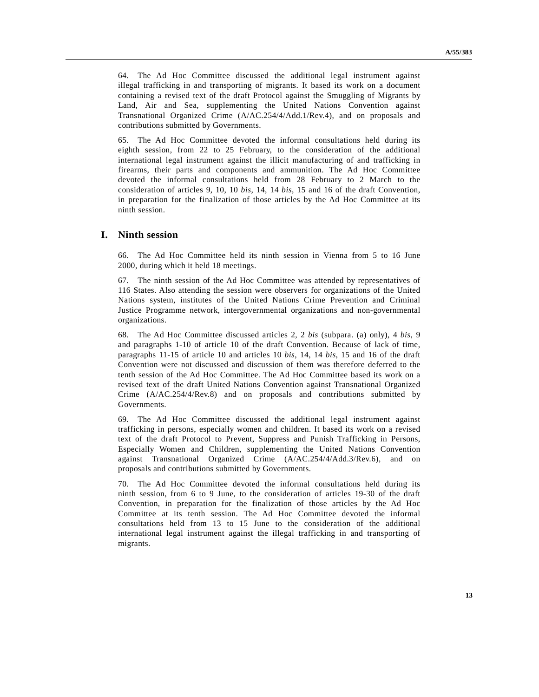64. The Ad Hoc Committee discussed the additional legal instrument against illegal trafficking in and transporting of migrants. It based its work on a document containing a revised text of the draft Protocol against the Smuggling of Migrants by Land, Air and Sea, supplementing the United Nations Convention against Transnational Organized Crime (A/AC.254/4/Add.1/Rev.4), and on proposals and contributions submitted by Governments.

65. The Ad Hoc Committee devoted the informal consultations held during its eighth session, from 22 to 25 February, to the consideration of the additional international legal instrument against the illicit manufacturing of and trafficking in firearms, their parts and components and ammunition. The Ad Hoc Committee devoted the informal consultations held from 28 February to 2 March to the consideration of articles 9, 10, 10 *bis*, 14, 14 *bis*, 15 and 16 of the draft Convention, in preparation for the finalization of those articles by the Ad Hoc Committee at its ninth session.

### **I. Ninth session**

66. The Ad Hoc Committee held its ninth session in Vienna from 5 to 16 June 2000, during which it held 18 meetings.

67. The ninth session of the Ad Hoc Committee was attended by representatives of 116 States. Also attending the session were observers for organizations of the United Nations system, institutes of the United Nations Crime Prevention and Criminal Justice Programme network, intergovernmental organizations and non-governmental organizations.

68. The Ad Hoc Committee discussed articles 2, 2 *bis* (subpara. (a) only), 4 *bis*, 9 and paragraphs 1-10 of article 10 of the draft Convention. Because of lack of time, paragraphs 11-15 of article 10 and articles 10 *bis*, 14, 14 *bis*, 15 and 16 of the draft Convention were not discussed and discussion of them was therefore deferred to the tenth session of the Ad Hoc Committee. The Ad Hoc Committee based its work on a revised text of the draft United Nations Convention against Transnational Organized Crime (A/AC.254/4/Rev.8) and on proposals and contributions submitted by Governments.

69. The Ad Hoc Committee discussed the additional legal instrument against trafficking in persons, especially women and children. It based its work on a revised text of the draft Protocol to Prevent, Suppress and Punish Trafficking in Persons, Especially Women and Children, supplementing the United Nations Convention against Transnational Organized Crime (A/AC.254/4/Add.3/Rev.6), and on proposals and contributions submitted by Governments.

70. The Ad Hoc Committee devoted the informal consultations held during its ninth session, from 6 to 9 June, to the consideration of articles 19-30 of the draft Convention, in preparation for the finalization of those articles by the Ad Hoc Committee at its tenth session. The Ad Hoc Committee devoted the informal consultations held from 13 to 15 June to the consideration of the additional international legal instrument against the illegal trafficking in and transporting of migrants.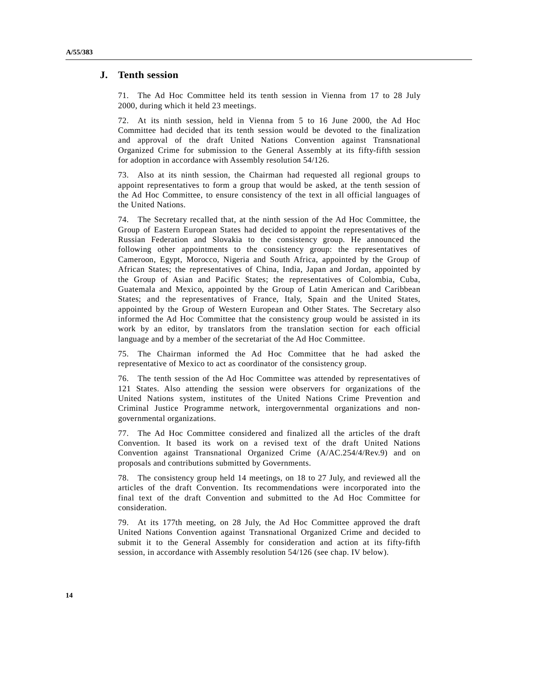## **J. Tenth session**

71. The Ad Hoc Committee held its tenth session in Vienna from 17 to 28 July 2000, during which it held 23 meetings.

72. At its ninth session, held in Vienna from 5 to 16 June 2000, the Ad Hoc Committee had decided that its tenth session would be devoted to the finalization and approval of the draft United Nations Convention against Transnational Organized Crime for submission to the General Assembly at its fifty-fifth session for adoption in accordance with Assembly resolution 54/126.

73. Also at its ninth session, the Chairman had requested all regional groups to appoint representatives to form a group that would be asked, at the tenth session of the Ad Hoc Committee, to ensure consistency of the text in all official languages of the United Nations.

74. The Secretary recalled that, at the ninth session of the Ad Hoc Committee, the Group of Eastern European States had decided to appoint the representatives of the Russian Federation and Slovakia to the consistency group. He announced the following other appointments to the consistency group: the representatives of Cameroon, Egypt, Morocco, Nigeria and South Africa, appointed by the Group of African States; the representatives of China, India, Japan and Jordan, appointed by the Group of Asian and Pacific States; the representatives of Colombia, Cuba, Guatemala and Mexico, appointed by the Group of Latin American and Caribbean States; and the representatives of France, Italy, Spain and the United States, appointed by the Group of Western European and Other States. The Secretary also informed the Ad Hoc Committee that the consistency group would be assisted in its work by an editor, by translators from the translation section for each official language and by a member of the secretariat of the Ad Hoc Committee.

75. The Chairman informed the Ad Hoc Committee that he had asked the representative of Mexico to act as coordinator of the consistency group.

76. The tenth session of the Ad Hoc Committee was attended by representatives of 121 States. Also attending the session were observers for organizations of the United Nations system, institutes of the United Nations Crime Prevention and Criminal Justice Programme network, intergovernmental organizations and nongovernmental organizations.

77. The Ad Hoc Committee considered and finalized all the articles of the draft Convention. It based its work on a revised text of the draft United Nations Convention against Transnational Organized Crime (A/AC.254/4/Rev.9) and on proposals and contributions submitted by Governments.

78. The consistency group held 14 meetings, on 18 to 27 July, and reviewed all the articles of the draft Convention. Its recommendations were incorporated into the final text of the draft Convention and submitted to the Ad Hoc Committee for consideration.

79. At its 177th meeting, on 28 July, the Ad Hoc Committee approved the draft United Nations Convention against Transnational Organized Crime and decided to submit it to the General Assembly for consideration and action at its fifty-fifth session, in accordance with Assembly resolution 54/126 (see chap. IV below).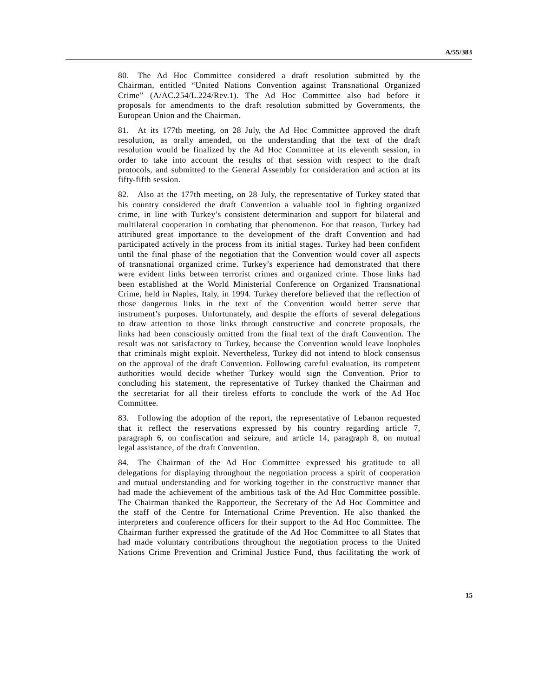80. The Ad Hoc Committee considered a draft resolution submitted by the Chairman, entitled "United Nations Convention against Transnational Organized Crime" (A/AC.254/L.224/Rev.1). The Ad Hoc Committee also had before it proposals for amendments to the draft resolution submitted by Governments, the European Union and the Chairman.

81. At its 177th meeting, on 28 July, the Ad Hoc Committee approved the draft resolution, as orally amended, on the understanding that the text of the draft resolution would be finalized by the Ad Hoc Committee at its eleventh session, in order to take into account the results of that session with respect to the draft protocols, and submitted to the General Assembly for consideration and action at its fifty-fifth session.

82. Also at the 177th meeting, on 28 July, the representative of Turkey stated that his country considered the draft Convention a valuable tool in fighting organized crime, in line with Turkey's consistent determination and support for bilateral and multilateral cooperation in combating that phenomenon. For that reason, Turkey had attributed great importance to the development of the draft Convention and had participated actively in the process from its initial stages. Turkey had been confident until the final phase of the negotiation that the Convention would cover all aspects of transnational organized crime. Turkey's experience had demonstrated that there were evident links between terrorist crimes and organized crime. Those links had been established at the World Ministerial Conference on Organized Transnational Crime, held in Naples, Italy, in 1994. Turkey therefore believed that the reflection of those dangerous links in the text of the Convention would better serve that instrument's purposes. Unfortunately, and despite the efforts of several delegations to draw attention to those links through constructive and concrete proposals, the links had been consciously omitted from the final text of the draft Convention. The result was not satisfactory to Turkey, because the Convention would leave loopholes that criminals might exploit. Nevertheless, Turkey did not intend to block consensus on the approval of the draft Convention. Following careful evaluation, its competent authorities would decide whether Turkey would sign the Convention. Prior to concluding his statement, the representative of Turkey thanked the Chairman and the secretariat for all their tireless efforts to conclude the work of the Ad Hoc Committee.

83. Following the adoption of the report, the representative of Lebanon requested that it reflect the reservations expressed by his country regarding article 7, paragraph 6, on confiscation and seizure, and article 14, paragraph 8, on mutual legal assistance, of the draft Convention.

84. The Chairman of the Ad Hoc Committee expressed his gratitude to all delegations for displaying throughout the negotiation process a spirit of cooperation and mutual understanding and for working together in the constructive manner that had made the achievement of the ambitious task of the Ad Hoc Committee possible. The Chairman thanked the Rapporteur, the Secretary of the Ad Hoc Committee and the staff of the Centre for International Crime Prevention. He also thanked the interpreters and conference officers for their support to the Ad Hoc Committee. The Chairman further expressed the gratitude of the Ad Hoc Committee to all States that had made voluntary contributions throughout the negotiation process to the United Nations Crime Prevention and Criminal Justice Fund, thus facilitating the work of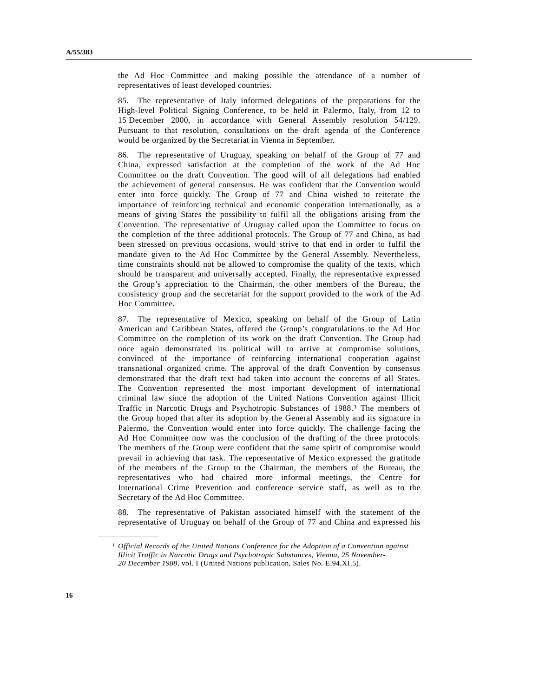the Ad Hoc Committee and making possible the attendance of a number of representatives of least developed countries.

85. The representative of Italy informed delegations of the preparations for the High-level Political Signing Conference, to be held in Palermo, Italy, from 12 to 15 December 2000, in accordance with General Assembly resolution 54/129. Pursuant to that resolution, consultations on the draft agenda of the Conference would be organized by the Secretariat in Vienna in September.

86. The representative of Uruguay, speaking on behalf of the Group of 77 and China, expressed satisfaction at the completion of the work of the Ad Hoc Committee on the draft Convention. The good will of all delegations had enabled the achievement of general consensus. He was confident that the Convention would enter into force quickly. The Group of 77 and China wished to reiterate the importance of reinforcing technical and economic cooperation internationally, as a means of giving States the possibility to fulfil all the obligations arising from the Convention. The representative of Uruguay called upon the Committee to focus on the completion of the three additional protocols. The Group of 77 and China, as had been stressed on previous occasions, would strive to that end in order to fulfil the mandate given to the Ad Hoc Committee by the General Assembly. Nevertheless, time constraints should not be allowed to compromise the quality of the texts, which should be transparent and universally accepted. Finally, the representative expressed the Group's appreciation to the Chairman, the other members of the Bureau, the consistency group and the secretariat for the support provided to the work of the Ad Hoc Committee.

87. The representative of Mexico, speaking on behalf of the Group of Latin American and Caribbean States, offered the Group's congratulations to the Ad Hoc Committee on the completion of its work on the draft Convention. The Group had once again demonstrated its political will to arrive at compromise solutions, convinced of the importance of reinforcing international cooperation against transnational organized crime. The approval of the draft Convention by consensus demonstrated that the draft text had taken into account the concerns of all States. The Convention represented the most important development of international criminal law since the adoption of the United Nations Convention against Illicit Traffic in Narcotic Drugs and Psychotropic Substances of 1988.1 The members of the Group hoped that after its adoption by the General Assembly and its signature in Palermo, the Convention would enter into force quickly. The challenge facing the Ad Hoc Committee now was the conclusion of the drafting of the three protocols. The members of the Group were confident that the same spirit of compromise would prevail in achieving that task. The representative of Mexico expressed the gratitude of the members of the Group to the Chairman, the members of the Bureau, the representatives who had chaired more informal meetings, the Centre for International Crime Prevention and conference service staff, as well as to the Secretary of the Ad Hoc Committee.

88. The representative of Pakistan associated himself with the statement of the representative of Uruguay on behalf of the Group of 77 and China and expressed his

**\_\_\_\_\_\_\_\_\_\_\_\_\_\_\_\_\_\_** 

<sup>1</sup> *Official Records of the United Nations Conference for the Adoption of a Convention against Illicit Traffic in Narcotic Drugs and Psychotropic Substances, Vienna, 25 November-20 December 1988*, vol. I (United Nations publication, Sales No. E.94.XI.5).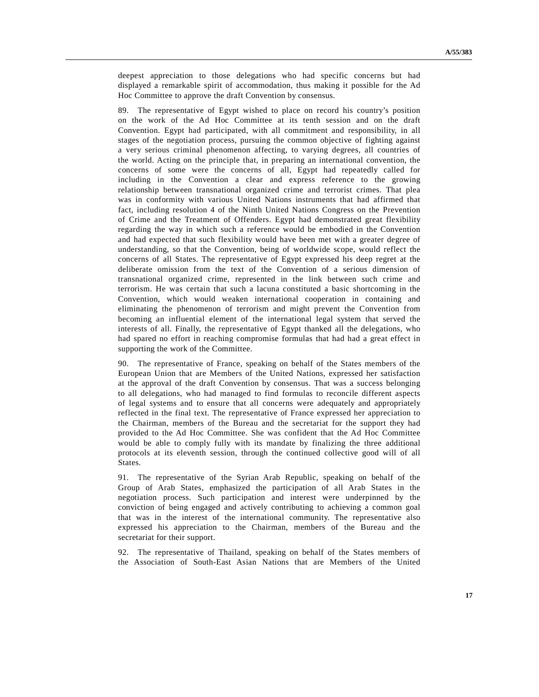deepest appreciation to those delegations who had specific concerns but had displayed a remarkable spirit of accommodation, thus making it possible for the Ad Hoc Committee to approve the draft Convention by consensus.

89. The representative of Egypt wished to place on record his country's position on the work of the Ad Hoc Committee at its tenth session and on the draft Convention. Egypt had participated, with all commitment and responsibility, in all stages of the negotiation process, pursuing the common objective of fighting against a very serious criminal phenomenon affecting, to varying degrees, all countries of the world. Acting on the principle that, in preparing an international convention, the concerns of some were the concerns of all, Egypt had repeatedly called for including in the Convention a clear and express reference to the growing relationship between transnational organized crime and terrorist crimes. That plea was in conformity with various United Nations instruments that had affirmed that fact, including resolution 4 of the Ninth United Nations Congress on the Prevention of Crime and the Treatment of Offenders. Egypt had demonstrated great flexibility regarding the way in which such a reference would be embodied in the Convention and had expected that such flexibility would have been met with a greater degree of understanding, so that the Convention, being of worldwide scope, would reflect the concerns of all States. The representative of Egypt expressed his deep regret at the deliberate omission from the text of the Convention of a serious dimension of transnational organized crime, represented in the link between such crime and terrorism. He was certain that such a lacuna constituted a basic shortcoming in the Convention, which would weaken international cooperation in containing and eliminating the phenomenon of terrorism and might prevent the Convention from becoming an influential element of the international legal system that served the interests of all. Finally, the representative of Egypt thanked all the delegations, who had spared no effort in reaching compromise formulas that had had a great effect in supporting the work of the Committee.

90. The representative of France, speaking on behalf of the States members of the European Union that are Members of the United Nations, expressed her satisfaction at the approval of the draft Convention by consensus. That was a success belonging to all delegations, who had managed to find formulas to reconcile different aspects of legal systems and to ensure that all concerns were adequately and appropriately reflected in the final text. The representative of France expressed her appreciation to the Chairman, members of the Bureau and the secretariat for the support they had provided to the Ad Hoc Committee. She was confident that the Ad Hoc Committee would be able to comply fully with its mandate by finalizing the three additional protocols at its eleventh session, through the continued collective good will of all States.

91. The representative of the Syrian Arab Republic, speaking on behalf of the Group of Arab States, emphasized the participation of all Arab States in the negotiation process. Such participation and interest were underpinned by the conviction of being engaged and actively contributing to achieving a common goal that was in the interest of the international community. The representative also expressed his appreciation to the Chairman, members of the Bureau and the secretariat for their support.

92. The representative of Thailand, speaking on behalf of the States members of the Association of South-East Asian Nations that are Members of the United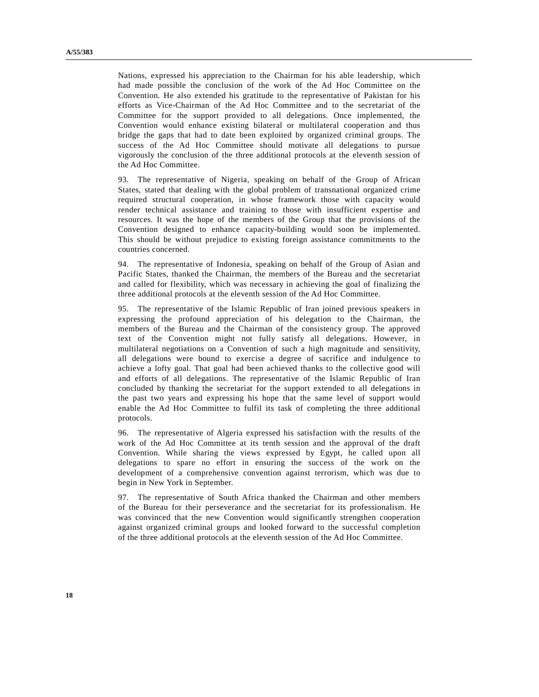Nations, expressed his appreciation to the Chairman for his able leadership, which had made possible the conclusion of the work of the Ad Hoc Committee on the Convention. He also extended his gratitude to the representative of Pakistan for his efforts as Vice-Chairman of the Ad Hoc Committee and to the secretariat of the Committee for the support provided to all delegations. Once implemented, the Convention would enhance existing bilateral or multilateral cooperation and thus bridge the gaps that had to date been exploited by organized criminal groups. The success of the Ad Hoc Committee should motivate all delegations to pursue vigorously the conclusion of the three additional protocols at the eleventh session of the Ad Hoc Committee.

93. The representative of Nigeria, speaking on behalf of the Group of African States, stated that dealing with the global problem of transnational organized crime required structural cooperation, in whose framework those with capacity would render technical assistance and training to those with insufficient expertise and resources. It was the hope of the members of the Group that the provisions of the Convention designed to enhance capacity-building would soon be implemented. This should be without prejudice to existing foreign assistance commitments to the countries concerned.

94. The representative of Indonesia, speaking on behalf of the Group of Asian and Pacific States, thanked the Chairman, the members of the Bureau and the secretariat and called for flexibility, which was necessary in achieving the goal of finalizing the three additional protocols at the eleventh session of the Ad Hoc Committee.

95. The representative of the Islamic Republic of Iran joined previous speakers in expressing the profound appreciation of his delegation to the Chairman, the members of the Bureau and the Chairman of the consistency group. The approved text of the Convention might not fully satisfy all delegations. However, in multilateral negotiations on a Convention of such a high magnitude and sensitivity, all delegations were bound to exercise a degree of sacrifice and indulgence to achieve a lofty goal. That goal had been achieved thanks to the collective good will and efforts of all delegations. The representative of the Islamic Republic of Iran concluded by thanking the secretariat for the support extended to all delegations in the past two years and expressing his hope that the same level of support would enable the Ad Hoc Committee to fulfil its task of completing the three additional protocols.

96. The representative of Algeria expressed his satisfaction with the results of the work of the Ad Hoc Committee at its tenth session and the approval of the draft Convention. While sharing the views expressed by Egypt, he called upon all delegations to spare no effort in ensuring the success of the work on the development of a comprehensive convention against terrorism, which was due to begin in New York in September.

97. The representative of South Africa thanked the Chairman and other members of the Bureau for their perseverance and the secretariat for its professionalism. He was convinced that the new Convention would significantly strengthen cooperation against organized criminal groups and looked forward to the successful completion of the three additional protocols at the eleventh session of the Ad Hoc Committee.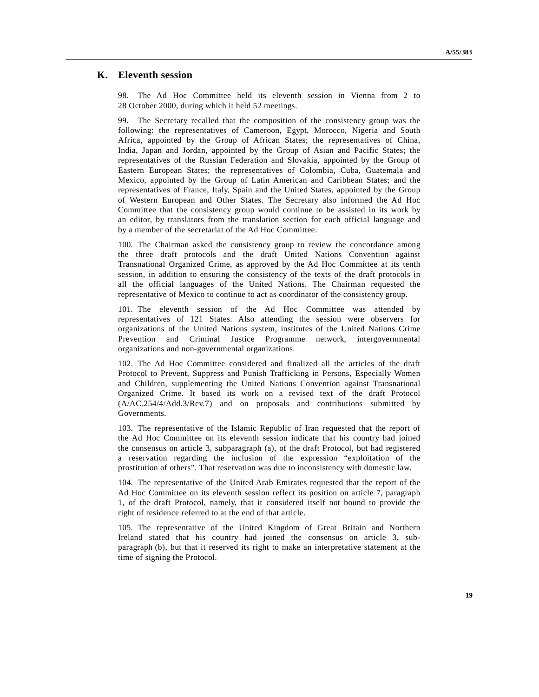## **K. Eleventh session**

98. The Ad Hoc Committee held its eleventh session in Vienna from 2 to 28 October 2000, during which it held 52 meetings.

99. The Secretary recalled that the composition of the consistency group was the following: the representatives of Cameroon, Egypt, Morocco, Nigeria and South Africa, appointed by the Group of African States; the representatives of China, India, Japan and Jordan, appointed by the Group of Asian and Pacific States; the representatives of the Russian Federation and Slovakia, appointed by the Group of Eastern European States; the representatives of Colombia, Cuba, Guatemala and Mexico, appointed by the Group of Latin American and Caribbean States; and the representatives of France, Italy, Spain and the United States, appointed by the Group of Western European and Other States. The Secretary also informed the Ad Hoc Committee that the consistency group would continue to be assisted in its work by an editor, by translators from the translation section for each official language and by a member of the secretariat of the Ad Hoc Committee.

100. The Chairman asked the consistency group to review the concordance among the three draft protocols and the draft United Nations Convention against Transnational Organized Crime, as approved by the Ad Hoc Committee at its tenth session, in addition to ensuring the consistency of the texts of the draft protocols in all the official languages of the United Nations. The Chairman requested the representative of Mexico to continue to act as coordinator of the consistency group.

101. The eleventh session of the Ad Hoc Committee was attended by representatives of 121 States. Also attending the session were observers for organizations of the United Nations system, institutes of the United Nations Crime Prevention and Criminal Justice Programme network, intergovernmental organizations and non-governmental organizations.

102. The Ad Hoc Committee considered and finalized all the articles of the draft Protocol to Prevent, Suppress and Punish Trafficking in Persons, Especially Women and Children, supplementing the United Nations Convention against Transnational Organized Crime. It based its work on a revised text of the draft Protocol (A/AC.254/4/Add.3/Rev.7) and on proposals and contributions submitted by Governments.

103. The representative of the Islamic Republic of Iran requested that the report of the Ad Hoc Committee on its eleventh session indicate that his country had joined the consensus on article 3, subparagraph (a), of the draft Protocol, but had registered a reservation regarding the inclusion of the expression "exploitation of the prostitution of others". That reservation was due to inconsistency with domestic law.

104. The representative of the United Arab Emirates requested that the report of the Ad Hoc Committee on its eleventh session reflect its position on article 7, paragraph 1, of the draft Protocol, namely, that it considered itself not bound to provide the right of residence referred to at the end of that article.

105. The representative of the United Kingdom of Great Britain and Northern Ireland stated that his country had joined the consensus on article 3, subparagraph (b), but that it reserved its right to make an interpretative statement at the time of signing the Protocol.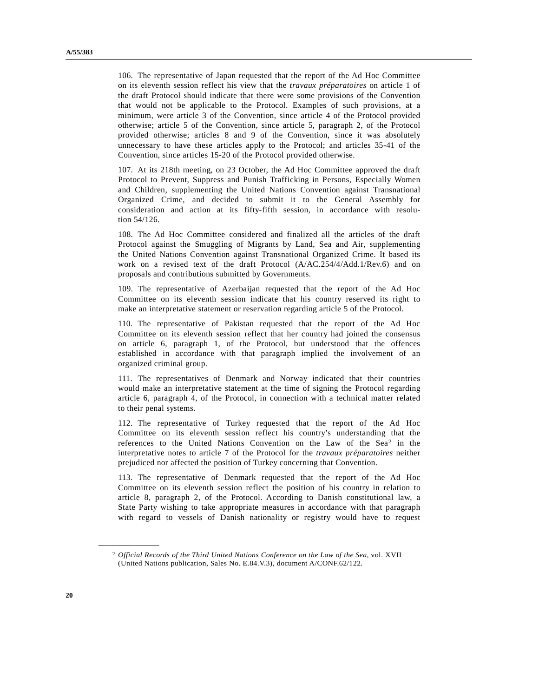106. The representative of Japan requested that the report of the Ad Hoc Committee on its eleventh session reflect his view that the *travaux préparatoires* on article 1 of the draft Protocol should indicate that there were some provisions of the Convention that would not be applicable to the Protocol. Examples of such provisions, at a minimum, were article 3 of the Convention, since article 4 of the Protocol provided otherwise; article 5 of the Convention, since article 5, paragraph 2, of the Protocol provided otherwise; articles 8 and 9 of the Convention, since it was absolutely unnecessary to have these articles apply to the Protocol; and articles 35-41 of the Convention, since articles 15-20 of the Protocol provided otherwise.

107. At its 218th meeting, on 23 October, the Ad Hoc Committee approved the draft Protocol to Prevent, Suppress and Punish Trafficking in Persons, Especially Women and Children, supplementing the United Nations Convention against Transnational Organized Crime, and decided to submit it to the General Assembly for consideration and action at its fifty-fifth session, in accordance with resolution 54/126.

108. The Ad Hoc Committee considered and finalized all the articles of the draft Protocol against the Smuggling of Migrants by Land, Sea and Air, supplementing the United Nations Convention against Transnational Organized Crime. It based its work on a revised text of the draft Protocol (A/AC.254/4/Add.1/Rev.6) and on proposals and contributions submitted by Governments.

109. The representative of Azerbaijan requested that the report of the Ad Hoc Committee on its eleventh session indicate that his country reserved its right to make an interpretative statement or reservation regarding article 5 of the Protocol.

110. The representative of Pakistan requested that the report of the Ad Hoc Committee on its eleventh session reflect that her country had joined the consensus on article 6, paragraph 1, of the Protocol, but understood that the offences established in accordance with that paragraph implied the involvement of an organized criminal group.

111. The representatives of Denmark and Norway indicated that their countries would make an interpretative statement at the time of signing the Protocol regarding article 6, paragraph 4, of the Protocol, in connection with a technical matter related to their penal systems.

112. The representative of Turkey requested that the report of the Ad Hoc Committee on its eleventh session reflect his country's understanding that the references to the United Nations Convention on the Law of the Sea2 in the interpretative notes to article 7 of the Protocol for the *travaux préparatoires* neither prejudiced nor affected the position of Turkey concerning that Convention.

113. The representative of Denmark requested that the report of the Ad Hoc Committee on its eleventh session reflect the position of his country in relation to article 8, paragraph 2, of the Protocol. According to Danish constitutional law, a State Party wishing to take appropriate measures in accordance with that paragraph with regard to vessels of Danish nationality or registry would have to request

**\_\_\_\_\_\_\_\_\_\_\_\_\_\_\_\_\_\_** 

<sup>2</sup> *Official Records of the Third United Nations Conference on the Law of the Sea*, vol. XVII (United Nations publication, Sales No. E.84.V.3), document A/CONF.62/122.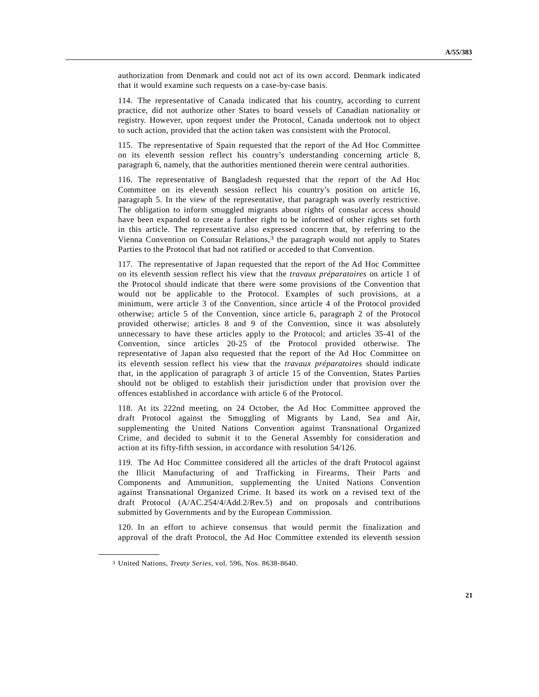authorization from Denmark and could not act of its own accord. Denmark indicated that it would examine such requests on a case-by-case basis.

114. The representative of Canada indicated that his country, according to current practice, did not authorize other States to board vessels of Canadian nationality or registry. However, upon request under the Protocol, Canada undertook not to object to such action, provided that the action taken was consistent with the Protocol.

115. The representative of Spain requested that the report of the Ad Hoc Committee on its eleventh session reflect his country's understanding concerning article 8, paragraph 6, namely, that the authorities mentioned therein were central authorities.

116. The representative of Bangladesh requested that the report of the Ad Hoc Committee on its eleventh session reflect his country's position on article 16, paragraph 5. In the view of the representative, that paragraph was overly restrictive. The obligation to inform smuggled migrants about rights of consular access should have been expanded to create a further right to be informed of other rights set forth in this article. The representative also expressed concern that, by referring to the Vienna Convention on Consular Relations, $3$  the paragraph would not apply to States Parties to the Protocol that had not ratified or acceded to that Convention.

117. The representative of Japan requested that the report of the Ad Hoc Committee on its eleventh session reflect his view that the *travaux préparatoires* on article 1 of the Protocol should indicate that there were some provisions of the Convention that would not be applicable to the Protocol. Examples of such provisions, at a minimum, were article 3 of the Convention, since article 4 of the Protocol provided otherwise; article 5 of the Convention, since article 6, paragraph 2 of the Protocol provided otherwise; articles 8 and 9 of the Convention, since it was absolutely unnecessary to have these articles apply to the Protocol; and articles 35-41 of the Convention, since articles 20-25 of the Protocol provided otherwise. The representative of Japan also requested that the report of the Ad Hoc Committee on its eleventh session reflect his view that the *travaux préparatoires* should indicate that, in the application of paragraph 3 of article 15 of the Convention, States Parties should not be obliged to establish their jurisdiction under that provision over the offences established in accordance with article 6 of the Protocol.

118. At its 222nd meeting, on 24 October, the Ad Hoc Committee approved the draft Protocol against the Smuggling of Migrants by Land, Sea and Air, supplementing the United Nations Convention against Transnational Organized Crime, and decided to submit it to the General Assembly for consideration and action at its fifty-fifth session, in accordance with resolution 54/126.

119. The Ad Hoc Committee considered all the articles of the draft Protocol against the Illicit Manufacturing of and Trafficking in Firearms, Their Parts and Components and Ammunition, supplementing the United Nations Convention against Transnational Organized Crime. It based its work on a revised text of the draft Protocol (A/AC.254/4/Add.2/Rev.5) and on proposals and contributions submitted by Governments and by the European Commission.

120. In an effort to achieve consensus that would permit the finalization and approval of the draft Protocol, the Ad Hoc Committee extended its eleventh session

**\_\_\_\_\_\_\_\_\_\_\_\_\_\_\_\_\_\_** 

<sup>3</sup> United Nations, *Treaty Series*, vol. 596, Nos. 8638-8640.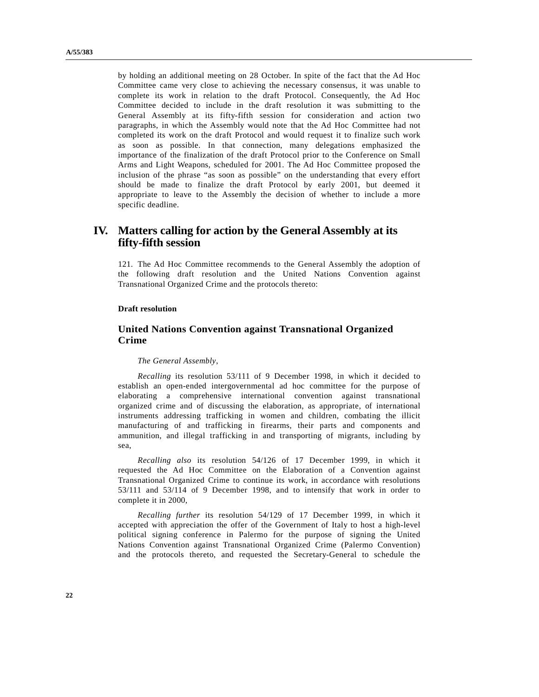by holding an additional meeting on 28 October. In spite of the fact that the Ad Hoc Committee came very close to achieving the necessary consensus, it was unable to complete its work in relation to the draft Protocol. Consequently, the Ad Hoc Committee decided to include in the draft resolution it was submitting to the General Assembly at its fifty-fifth session for consideration and action two paragraphs, in which the Assembly would note that the Ad Hoc Committee had not completed its work on the draft Protocol and would request it to finalize such work as soon as possible. In that connection, many delegations emphasized the importance of the finalization of the draft Protocol prior to the Conference on Small Arms and Light Weapons, scheduled for 2001. The Ad Hoc Committee proposed the inclusion of the phrase "as soon as possible" on the understanding that every effort should be made to finalize the draft Protocol by early 2001, but deemed it appropriate to leave to the Assembly the decision of whether to include a more specific deadline.

# **IV. Matters calling for action by the General Assembly at its fifty-fifth session**

121. The Ad Hoc Committee recommends to the General Assembly the adoption of the following draft resolution and the United Nations Convention against Transnational Organized Crime and the protocols thereto:

#### **Draft resolution**

# **United Nations Convention against Transnational Organized Crime**

#### *The General Assembly*,

*Recalling* its resolution 53/111 of 9 December 1998, in which it decided to establish an open-ended intergovernmental ad hoc committee for the purpose of elaborating a comprehensive international convention against transnational organized crime and of discussing the elaboration, as appropriate, of international instruments addressing trafficking in women and children, combating the illicit manufacturing of and trafficking in firearms, their parts and components and ammunition, and illegal trafficking in and transporting of migrants, including by sea,

*Recalling also* its resolution 54/126 of 17 December 1999, in which it requested the Ad Hoc Committee on the Elaboration of a Convention against Transnational Organized Crime to continue its work, in accordance with resolutions 53/111 and 53/114 of 9 December 1998, and to intensify that work in order to complete it in 2000,

*Recalling further* its resolution 54/129 of 17 December 1999, in which it accepted with appreciation the offer of the Government of Italy to host a high-level political signing conference in Palermo for the purpose of signing the United Nations Convention against Transnational Organized Crime (Palermo Convention) and the protocols thereto, and requested the Secretary-General to schedule the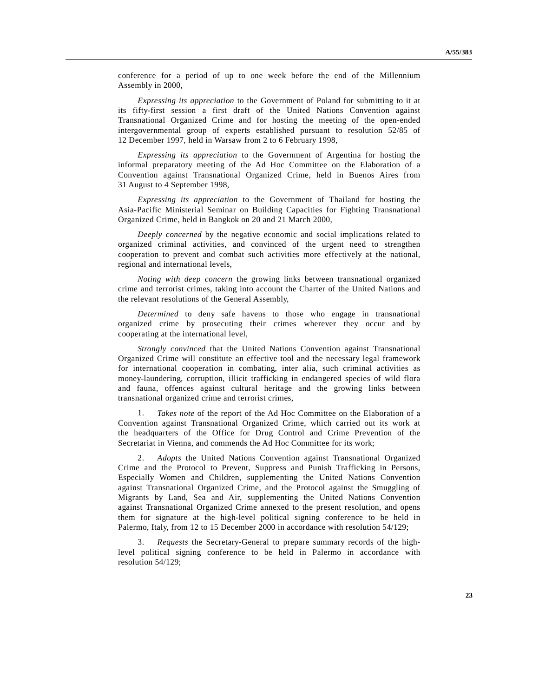conference for a period of up to one week before the end of the Millennium Assembly in 2000,

*Expressing its appreciation* to the Government of Poland for submitting to it at its fifty-first session a first draft of the United Nations Convention against Transnational Organized Crime and for hosting the meeting of the open-ended intergovernmental group of experts established pursuant to resolution 52/85 of 12 December 1997, held in Warsaw from 2 to 6 February 1998,

*Expressing its appreciation* to the Government of Argentina for hosting the informal preparatory meeting of the Ad Hoc Committee on the Elaboration of a Convention against Transnational Organized Crime, held in Buenos Aires from 31 August to 4 September 1998,

*Expressing its appreciation* to the Government of Thailand for hosting the Asia-Pacific Ministerial Seminar on Building Capacities for Fighting Transnational Organized Crime, held in Bangkok on 20 and 21 March 2000,

*Deeply concerned* by the negative economic and social implications related to organized criminal activities, and convinced of the urgent need to strengthen cooperation to prevent and combat such activities more effectively at the national, regional and international levels,

*Noting with deep concern* the growing links between transnational organized crime and terrorist crimes, taking into account the Charter of the United Nations and the relevant resolutions of the General Assembly,

*Determined* to deny safe havens to those who engage in transnational organized crime by prosecuting their crimes wherever they occur and by cooperating at the international level,

*Strongly convinced* that the United Nations Convention against Transnational Organized Crime will constitute an effective tool and the necessary legal framework for international cooperation in combating, inter alia, such criminal activities as money-laundering, corruption, illicit trafficking in endangered species of wild flora and fauna, offences against cultural heritage and the growing links between transnational organized crime and terrorist crimes,

 1. *Takes note* of the report of the Ad Hoc Committee on the Elaboration of a Convention against Transnational Organized Crime, which carried out its work at the headquarters of the Office for Drug Control and Crime Prevention of the Secretariat in Vienna, and commends the Ad Hoc Committee for its work;

 2. *Adopts* the United Nations Convention against Transnational Organized Crime and the Protocol to Prevent, Suppress and Punish Trafficking in Persons, Especially Women and Children, supplementing the United Nations Convention against Transnational Organized Crime, and the Protocol against the Smuggling of Migrants by Land, Sea and Air, supplementing the United Nations Convention against Transnational Organized Crime annexed to the present resolution, and opens them for signature at the high-level political signing conference to be held in Palermo, Italy, from 12 to 15 December 2000 in accordance with resolution 54/129;

 3. *Requests* the Secretary-General to prepare summary records of the highlevel political signing conference to be held in Palermo in accordance with resolution 54/129;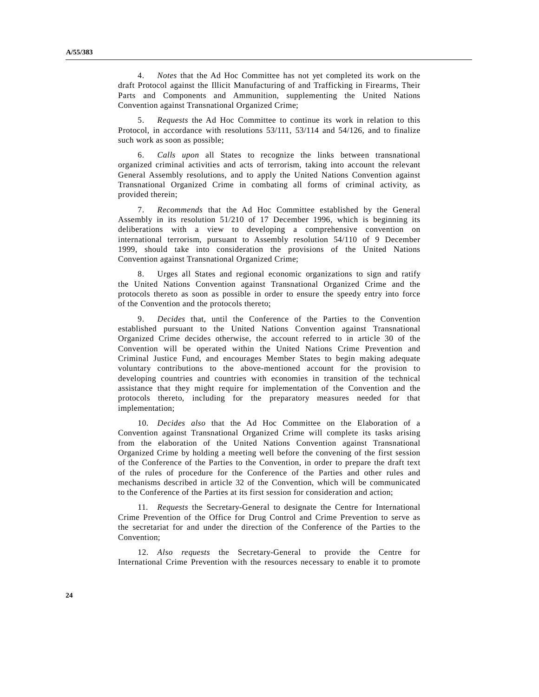4. *Notes* that the Ad Hoc Committee has not yet completed its work on the draft Protocol against the Illicit Manufacturing of and Trafficking in Firearms, Their Parts and Components and Ammunition, supplementing the United Nations Convention against Transnational Organized Crime;

 5. *Requests* the Ad Hoc Committee to continue its work in relation to this Protocol, in accordance with resolutions 53/111, 53/114 and 54/126, and to finalize such work as soon as possible;

 6. *Calls upon* all States to recognize the links between transnational organized criminal activities and acts of terrorism, taking into account the relevant General Assembly resolutions, and to apply the United Nations Convention against Transnational Organized Crime in combating all forms of criminal activity, as provided therein;

 7. *Recommends* that the Ad Hoc Committee established by the General Assembly in its resolution 51/210 of 17 December 1996, which is beginning its deliberations with a view to developing a comprehensive convention on international terrorism, pursuant to Assembly resolution 54/110 of 9 December 1999, should take into consideration the provisions of the United Nations Convention against Transnational Organized Crime;

 8. Urges all States and regional economic organizations to sign and ratify the United Nations Convention against Transnational Organized Crime and the protocols thereto as soon as possible in order to ensure the speedy entry into force of the Convention and the protocols thereto;

 9. *Decides* that, until the Conference of the Parties to the Convention established pursuant to the United Nations Convention against Transnational Organized Crime decides otherwise, the account referred to in article 30 of the Convention will be operated within the United Nations Crime Prevention and Criminal Justice Fund, and encourages Member States to begin making adequate voluntary contributions to the above-mentioned account for the provision to developing countries and countries with economies in transition of the technical assistance that they might require for implementation of the Convention and the protocols thereto, including for the preparatory measures needed for that implementation;

 10. *Decides also* that the Ad Hoc Committee on the Elaboration of a Convention against Transnational Organized Crime will complete its tasks arising from the elaboration of the United Nations Convention against Transnational Organized Crime by holding a meeting well before the convening of the first session of the Conference of the Parties to the Convention, in order to prepare the draft text of the rules of procedure for the Conference of the Parties and other rules and mechanisms described in article 32 of the Convention, which will be communicated to the Conference of the Parties at its first session for consideration and action;

 11. *Requests* the Secretary-General to designate the Centre for International Crime Prevention of the Office for Drug Control and Crime Prevention to serve as the secretariat for and under the direction of the Conference of the Parties to the Convention;

 12. *Also requests* the Secretary-General to provide the Centre for International Crime Prevention with the resources necessary to enable it to promote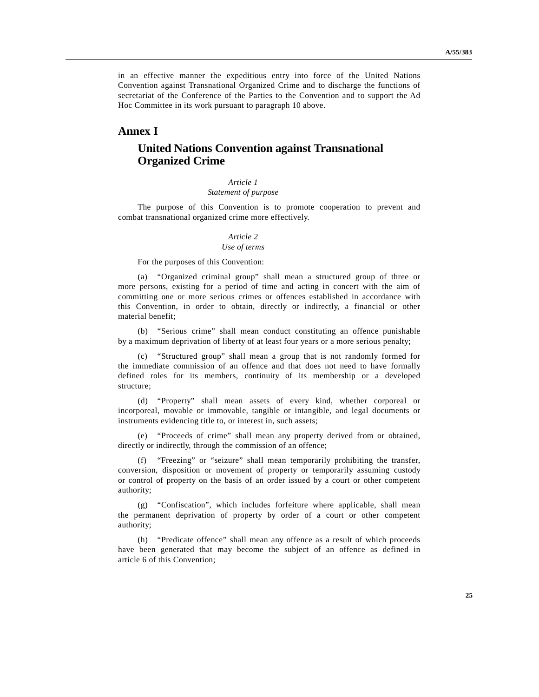in an effective manner the expeditious entry into force of the United Nations Convention against Transnational Organized Crime and to discharge the functions of secretariat of the Conference of the Parties to the Convention and to support the Ad Hoc Committee in its work pursuant to paragraph 10 above.

# **Annex I**

# **United Nations Convention against Transnational Organized Crime**

## *Article 1*

### *Statement of purpose*

 The purpose of this Convention is to promote cooperation to prevent and combat transnational organized crime more effectively.

### *Article 2*

### *Use of terms*

For the purposes of this Convention:

 (a) "Organized criminal group" shall mean a structured group of three or more persons, existing for a period of time and acting in concert with the aim of committing one or more serious crimes or offences established in accordance with this Convention, in order to obtain, directly or indirectly, a financial or other material benefit;

 (b) "Serious crime" shall mean conduct constituting an offence punishable by a maximum deprivation of liberty of at least four years or a more serious penalty;

 (c) "Structured group" shall mean a group that is not randomly formed for the immediate commission of an offence and that does not need to have formally defined roles for its members, continuity of its membership or a developed structure;

 (d) "Property" shall mean assets of every kind, whether corporeal or incorporeal, movable or immovable, tangible or intangible, and legal documents or instruments evidencing title to, or interest in, such assets;

 (e) "Proceeds of crime" shall mean any property derived from or obtained, directly or indirectly, through the commission of an offence;

 (f) "Freezing" or "seizure" shall mean temporarily prohibiting the transfer, conversion, disposition or movement of property or temporarily assuming custody or control of property on the basis of an order issued by a court or other competent authority;

 (g) "Confiscation", which includes forfeiture where applicable, shall mean the permanent deprivation of property by order of a court or other competent authority;

 (h) "Predicate offence" shall mean any offence as a result of which proceeds have been generated that may become the subject of an offence as defined in article 6 of this Convention;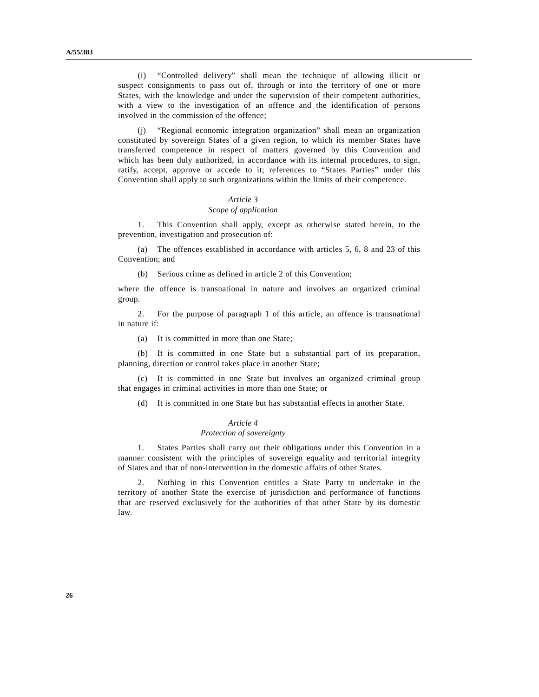(i) "Controlled delivery" shall mean the technique of allowing illicit or suspect consignments to pass out of, through or into the territory of one or more States, with the knowledge and under the supervision of their competent authorities, with a view to the investigation of an offence and the identification of persons involved in the commission of the offence;

 (j) "Regional economic integration organization" shall mean an organization constituted by sovereign States of a given region, to which its member States have transferred competence in respect of matters governed by this Convention and which has been duly authorized, in accordance with its internal procedures, to sign, ratify, accept, approve or accede to it; references to "States Parties" under this Convention shall apply to such organizations within the limits of their competence.

#### *Article 3*

### *Scope of application*

 1. This Convention shall apply, except as otherwise stated herein, to the prevention, investigation and prosecution of:

 (a) The offences established in accordance with articles 5, 6, 8 and 23 of this Convention; and

(b) Serious crime as defined in article 2 of this Convention;

where the offence is transnational in nature and involves an organized criminal group.

 2. For the purpose of paragraph 1 of this article, an offence is transnational in nature if:

(a) It is committed in more than one State;

 (b) It is committed in one State but a substantial part of its preparation, planning, direction or control takes place in another State;

 (c) It is committed in one State but involves an organized criminal group that engages in criminal activities in more than one State; or

(d) It is committed in one State but has substantial effects in another State.

#### *Article 4*

### *Protection of sovereignty*

 1. States Parties shall carry out their obligations under this Convention in a manner consistent with the principles of sovereign equality and territorial integrity of States and that of non-intervention in the domestic affairs of other States.

 2. Nothing in this Convention entitles a State Party to undertake in the territory of another State the exercise of jurisdiction and performance of functions that are reserved exclusively for the authorities of that other State by its domestic law.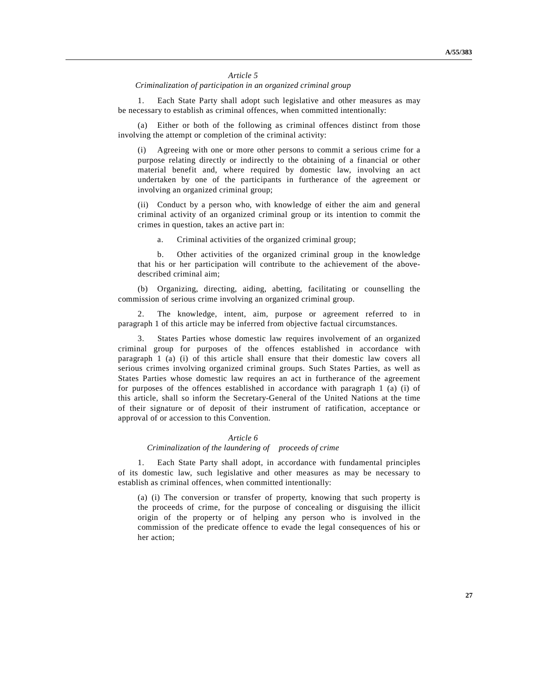*Article 5* 

*Criminalization of participation in an organized criminal group* 

 1. Each State Party shall adopt such legislative and other measures as may be necessary to establish as criminal offences, when committed intentionally:

Either or both of the following as criminal offences distinct from those involving the attempt or completion of the criminal activity:

Agreeing with one or more other persons to commit a serious crime for a purpose relating directly or indirectly to the obtaining of a financial or other material benefit and, where required by domestic law, involving an act undertaken by one of the participants in furtherance of the agreement or involving an organized criminal group;

 (ii) Conduct by a person who, with knowledge of either the aim and general criminal activity of an organized criminal group or its intention to commit the crimes in question, takes an active part in:

a. Criminal activities of the organized criminal group;

 b. Other activities of the organized criminal group in the knowledge that his or her participation will contribute to the achievement of the abovedescribed criminal aim;

 (b) Organizing, directing, aiding, abetting, facilitating or counselling the commission of serious crime involving an organized criminal group.

 2. The knowledge, intent, aim, purpose or agreement referred to in paragraph 1 of this article may be inferred from objective factual circumstances.

 3. States Parties whose domestic law requires involvement of an organized criminal group for purposes of the offences established in accordance with paragraph 1 (a) (i) of this article shall ensure that their domestic law covers all serious crimes involving organized criminal groups. Such States Parties, as well as States Parties whose domestic law requires an act in furtherance of the agreement for purposes of the offences established in accordance with paragraph 1 (a) (i) of this article, shall so inform the Secretary-General of the United Nations at the time of their signature or of deposit of their instrument of ratification, acceptance or approval of or accession to this Convention.

#### *Article 6*

#### *Criminalization of the laundering of proceeds of crime*

 1. Each State Party shall adopt, in accordance with fundamental principles of its domestic law, such legislative and other measures as may be necessary to establish as criminal offences, when committed intentionally:

 (a) (i) The conversion or transfer of property, knowing that such property is the proceeds of crime, for the purpose of concealing or disguising the illicit origin of the property or of helping any person who is involved in the commission of the predicate offence to evade the legal consequences of his or her action;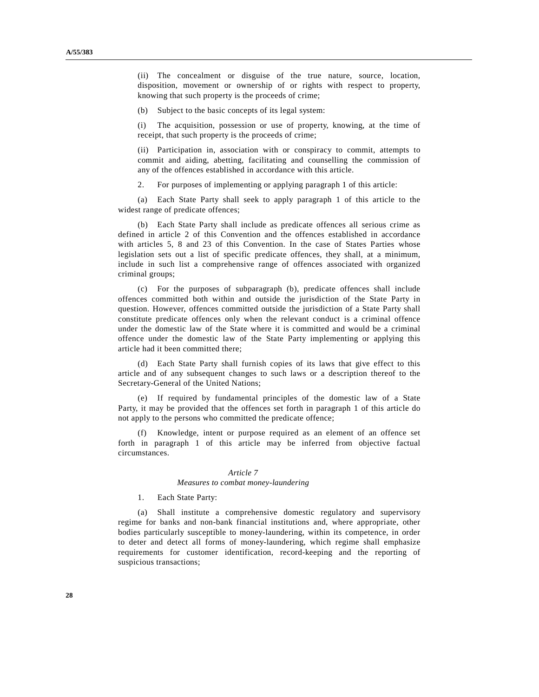(ii) The concealment or disguise of the true nature, source, location, disposition, movement or ownership of or rights with respect to property, knowing that such property is the proceeds of crime;

(b) Subject to the basic concepts of its legal system:

 (i) The acquisition, possession or use of property, knowing, at the time of receipt, that such property is the proceeds of crime;

 (ii) Participation in, association with or conspiracy to commit, attempts to commit and aiding, abetting, facilitating and counselling the commission of any of the offences established in accordance with this article.

2. For purposes of implementing or applying paragraph 1 of this article:

 (a) Each State Party shall seek to apply paragraph 1 of this article to the widest range of predicate offences;

 (b) Each State Party shall include as predicate offences all serious crime as defined in article 2 of this Convention and the offences established in accordance with articles 5, 8 and 23 of this Convention. In the case of States Parties whose legislation sets out a list of specific predicate offences, they shall, at a minimum, include in such list a comprehensive range of offences associated with organized criminal groups;

 (c) For the purposes of subparagraph (b), predicate offences shall include offences committed both within and outside the jurisdiction of the State Party in question. However, offences committed outside the jurisdiction of a State Party shall constitute predicate offences only when the relevant conduct is a criminal offence under the domestic law of the State where it is committed and would be a criminal offence under the domestic law of the State Party implementing or applying this article had it been committed there;

 (d) Each State Party shall furnish copies of its laws that give effect to this article and of any subsequent changes to such laws or a description thereof to the Secretary-General of the United Nations;

 (e) If required by fundamental principles of the domestic law of a State Party, it may be provided that the offences set forth in paragraph 1 of this article do not apply to the persons who committed the predicate offence;

 (f) Knowledge, intent or purpose required as an element of an offence set forth in paragraph 1 of this article may be inferred from objective factual circumstances.

### *Article 7*

#### *Measures to combat money-laundering*

#### 1. Each State Party:

 (a) Shall institute a comprehensive domestic regulatory and supervisory regime for banks and non-bank financial institutions and, where appropriate, other bodies particularly susceptible to money-laundering, within its competence, in order to deter and detect all forms of money-laundering, which regime shall emphasize requirements for customer identification, record-keeping and the reporting of suspicious transactions;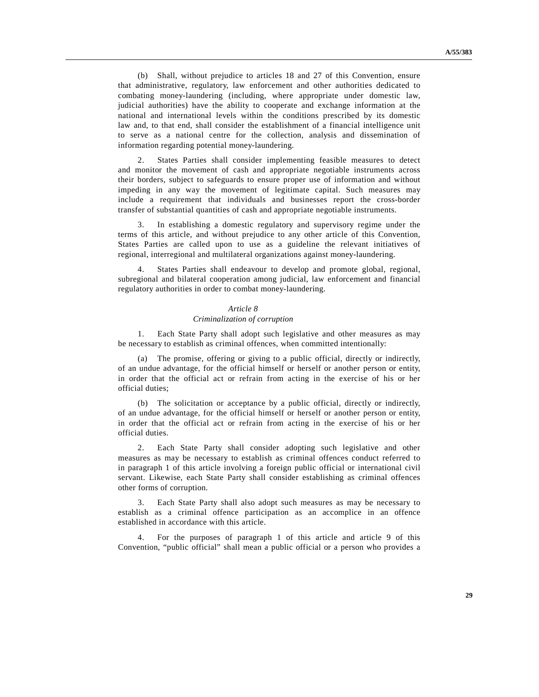(b) Shall, without prejudice to articles 18 and 27 of this Convention, ensure that administrative, regulatory, law enforcement and other authorities dedicated to combating money-laundering (including, where appropriate under domestic law, judicial authorities) have the ability to cooperate and exchange information at the national and international levels within the conditions prescribed by its domestic law and, to that end, shall consider the establishment of a financial intelligence unit to serve as a national centre for the collection, analysis and dissemination of information regarding potential money-laundering.

 2. States Parties shall consider implementing feasible measures to detect and monitor the movement of cash and appropriate negotiable instruments across their borders, subject to safeguards to ensure proper use of information and without impeding in any way the movement of legitimate capital. Such measures may include a requirement that individuals and businesses report the cross-border transfer of substantial quantities of cash and appropriate negotiable instruments.

 3. In establishing a domestic regulatory and supervisory regime under the terms of this article, and without prejudice to any other article of this Convention, States Parties are called upon to use as a guideline the relevant initiatives of regional, interregional and multilateral organizations against money-laundering.

States Parties shall endeavour to develop and promote global, regional, subregional and bilateral cooperation among judicial, law enforcement and financial regulatory authorities in order to combat money-laundering.

### *Article 8*

#### *Criminalization of corruption*

 1. Each State Party shall adopt such legislative and other measures as may be necessary to establish as criminal offences, when committed intentionally:

 (a) The promise, offering or giving to a public official, directly or indirectly, of an undue advantage, for the official himself or herself or another person or entity, in order that the official act or refrain from acting in the exercise of his or her official duties;

 (b) The solicitation or acceptance by a public official, directly or indirectly, of an undue advantage, for the official himself or herself or another person or entity, in order that the official act or refrain from acting in the exercise of his or her official duties.

 2. Each State Party shall consider adopting such legislative and other measures as may be necessary to establish as criminal offences conduct referred to in paragraph 1 of this article involving a foreign public official or international civil servant. Likewise, each State Party shall consider establishing as criminal offences other forms of corruption.

 3. Each State Party shall also adopt such measures as may be necessary to establish as a criminal offence participation as an accomplice in an offence established in accordance with this article.

 4. For the purposes of paragraph 1 of this article and article 9 of this Convention, "public official" shall mean a public official or a person who provides a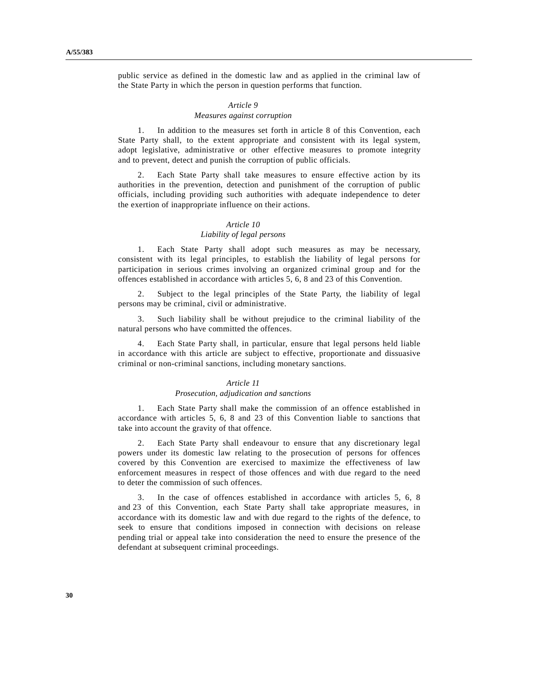public service as defined in the domestic law and as applied in the criminal law of the State Party in which the person in question performs that function.

### *Article 9*

#### *Measures against corruption*

 1. In addition to the measures set forth in article 8 of this Convention, each State Party shall, to the extent appropriate and consistent with its legal system, adopt legislative, administrative or other effective measures to promote integrity and to prevent, detect and punish the corruption of public officials.

 2. Each State Party shall take measures to ensure effective action by its authorities in the prevention, detection and punishment of the corruption of public officials, including providing such authorities with adequate independence to deter the exertion of inappropriate influence on their actions.

#### *Article 10*

#### *Liability of legal persons*

 1. Each State Party shall adopt such measures as may be necessary, consistent with its legal principles, to establish the liability of legal persons for participation in serious crimes involving an organized criminal group and for the offences established in accordance with articles 5, 6, 8 and 23 of this Convention.

 2. Subject to the legal principles of the State Party, the liability of legal persons may be criminal, civil or administrative.

 3. Such liability shall be without prejudice to the criminal liability of the natural persons who have committed the offences.

 4. Each State Party shall, in particular, ensure that legal persons held liable in accordance with this article are subject to effective, proportionate and dissuasive criminal or non-criminal sanctions, including monetary sanctions.

#### *Article 11*

#### *Prosecution, adjudication and sanctions*

 1. Each State Party shall make the commission of an offence established in accordance with articles 5, 6, 8 and 23 of this Convention liable to sanctions that take into account the gravity of that offence.

 2. Each State Party shall endeavour to ensure that any discretionary legal powers under its domestic law relating to the prosecution of persons for offences covered by this Convention are exercised to maximize the effectiveness of law enforcement measures in respect of those offences and with due regard to the need to deter the commission of such offences.

 3. In the case of offences established in accordance with articles 5, 6, 8 and 23 of this Convention, each State Party shall take appropriate measures, in accordance with its domestic law and with due regard to the rights of the defence, to seek to ensure that conditions imposed in connection with decisions on release pending trial or appeal take into consideration the need to ensure the presence of the defendant at subsequent criminal proceedings.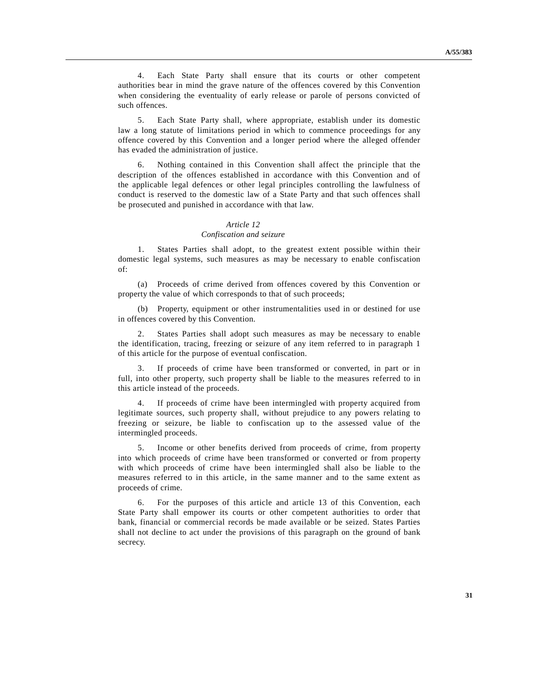4. Each State Party shall ensure that its courts or other competent authorities bear in mind the grave nature of the offences covered by this Convention when considering the eventuality of early release or parole of persons convicted of such offences.

 5. Each State Party shall, where appropriate, establish under its domestic law a long statute of limitations period in which to commence proceedings for any offence covered by this Convention and a longer period where the alleged offender has evaded the administration of justice.

 6. Nothing contained in this Convention shall affect the principle that the description of the offences established in accordance with this Convention and of the applicable legal defences or other legal principles controlling the lawfulness of conduct is reserved to the domestic law of a State Party and that such offences shall be prosecuted and punished in accordance with that law.

### *Article 12*

#### *Confiscation and seizure*

 1. States Parties shall adopt, to the greatest extent possible within their domestic legal systems, such measures as may be necessary to enable confiscation of:

 (a) Proceeds of crime derived from offences covered by this Convention or property the value of which corresponds to that of such proceeds;

 (b) Property, equipment or other instrumentalities used in or destined for use in offences covered by this Convention.

 2. States Parties shall adopt such measures as may be necessary to enable the identification, tracing, freezing or seizure of any item referred to in paragraph 1 of this article for the purpose of eventual confiscation.

 3. If proceeds of crime have been transformed or converted, in part or in full, into other property, such property shall be liable to the measures referred to in this article instead of the proceeds.

 4. If proceeds of crime have been intermingled with property acquired from legitimate sources, such property shall, without prejudice to any powers relating to freezing or seizure, be liable to confiscation up to the assessed value of the intermingled proceeds.

 5. Income or other benefits derived from proceeds of crime, from property into which proceeds of crime have been transformed or converted or from property with which proceeds of crime have been intermingled shall also be liable to the measures referred to in this article, in the same manner and to the same extent as proceeds of crime.

 6. For the purposes of this article and article 13 of this Convention, each State Party shall empower its courts or other competent authorities to order that bank, financial or commercial records be made available or be seized. States Parties shall not decline to act under the provisions of this paragraph on the ground of bank secrecy.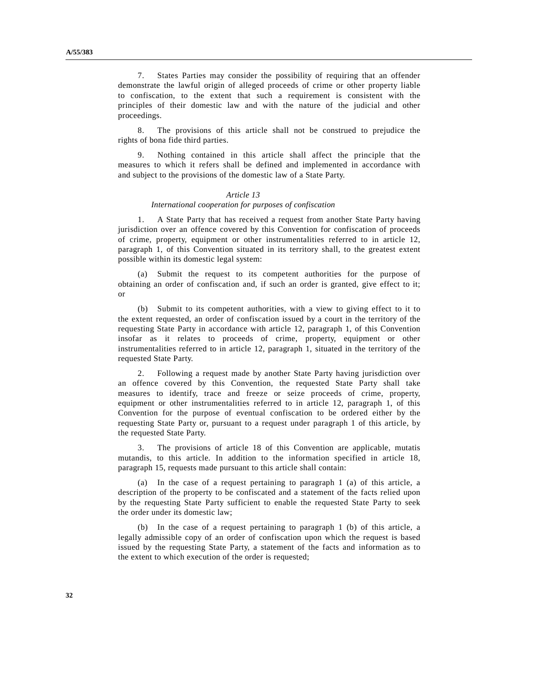7. States Parties may consider the possibility of requiring that an offender demonstrate the lawful origin of alleged proceeds of crime or other property liable to confiscation, to the extent that such a requirement is consistent with the principles of their domestic law and with the nature of the judicial and other proceedings.

The provisions of this article shall not be construed to prejudice the rights of bona fide third parties.

 9. Nothing contained in this article shall affect the principle that the measures to which it refers shall be defined and implemented in accordance with and subject to the provisions of the domestic law of a State Party.

## *Article 13*

### *International cooperation for purposes of confiscation*

 1. A State Party that has received a request from another State Party having jurisdiction over an offence covered by this Convention for confiscation of proceeds of crime, property, equipment or other instrumentalities referred to in article 12, paragraph 1, of this Convention situated in its territory shall, to the greatest extent possible within its domestic legal system:

 (a) Submit the request to its competent authorities for the purpose of obtaining an order of confiscation and, if such an order is granted, give effect to it; or

 (b) Submit to its competent authorities, with a view to giving effect to it to the extent requested, an order of confiscation issued by a court in the territory of the requesting State Party in accordance with article 12, paragraph 1, of this Convention insofar as it relates to proceeds of crime, property, equipment or other instrumentalities referred to in article 12, paragraph 1, situated in the territory of the requested State Party.

 2. Following a request made by another State Party having jurisdiction over an offence covered by this Convention, the requested State Party shall take measures to identify, trace and freeze or seize proceeds of crime, property, equipment or other instrumentalities referred to in article 12, paragraph 1, of this Convention for the purpose of eventual confiscation to be ordered either by the requesting State Party or, pursuant to a request under paragraph 1 of this article, by the requested State Party.

 3. The provisions of article 18 of this Convention are applicable, mutatis mutandis, to this article. In addition to the information specified in article 18, paragraph 15, requests made pursuant to this article shall contain:

 (a) In the case of a request pertaining to paragraph 1 (a) of this article, a description of the property to be confiscated and a statement of the facts relied upon by the requesting State Party sufficient to enable the requested State Party to seek the order under its domestic law;

 (b) In the case of a request pertaining to paragraph 1 (b) of this article, a legally admissible copy of an order of confiscation upon which the request is based issued by the requesting State Party, a statement of the facts and information as to the extent to which execution of the order is requested;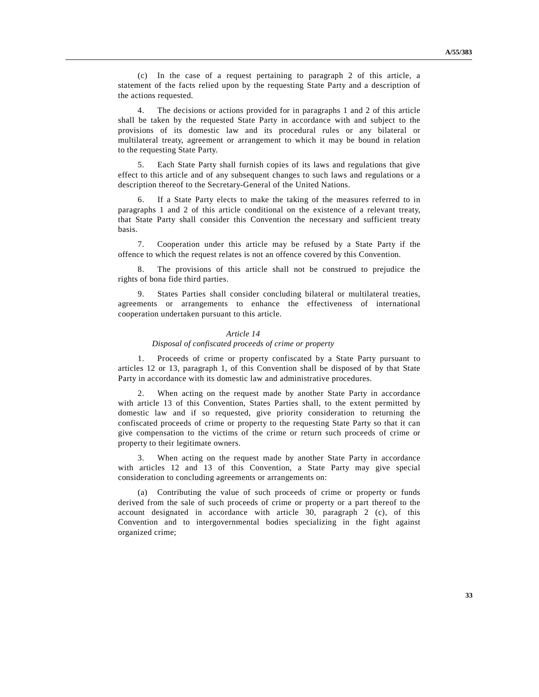(c) In the case of a request pertaining to paragraph 2 of this article, a statement of the facts relied upon by the requesting State Party and a description of the actions requested.

 4. The decisions or actions provided for in paragraphs 1 and 2 of this article shall be taken by the requested State Party in accordance with and subject to the provisions of its domestic law and its procedural rules or any bilateral or multilateral treaty, agreement or arrangement to which it may be bound in relation to the requesting State Party.

 5. Each State Party shall furnish copies of its laws and regulations that give effect to this article and of any subsequent changes to such laws and regulations or a description thereof to the Secretary-General of the United Nations.

 6. If a State Party elects to make the taking of the measures referred to in paragraphs 1 and 2 of this article conditional on the existence of a relevant treaty, that State Party shall consider this Convention the necessary and sufficient treaty basis.

 7. Cooperation under this article may be refused by a State Party if the offence to which the request relates is not an offence covered by this Convention.

The provisions of this article shall not be construed to prejudice the rights of bona fide third parties.

 9. States Parties shall consider concluding bilateral or multilateral treaties, agreements or arrangements to enhance the effectiveness of international cooperation undertaken pursuant to this article.

#### *Article 14*

#### *Disposal of confiscated proceeds of crime or property*

 1. Proceeds of crime or property confiscated by a State Party pursuant to articles 12 or 13, paragraph 1, of this Convention shall be disposed of by that State Party in accordance with its domestic law and administrative procedures.

 2. When acting on the request made by another State Party in accordance with article 13 of this Convention, States Parties shall, to the extent permitted by domestic law and if so requested, give priority consideration to returning the confiscated proceeds of crime or property to the requesting State Party so that it can give compensation to the victims of the crime or return such proceeds of crime or property to their legitimate owners.

 3. When acting on the request made by another State Party in accordance with articles 12 and 13 of this Convention, a State Party may give special consideration to concluding agreements or arrangements on:

 (a) Contributing the value of such proceeds of crime or property or funds derived from the sale of such proceeds of crime or property or a part thereof to the account designated in accordance with article 30, paragraph 2 (c), of this Convention and to intergovernmental bodies specializing in the fight against organized crime;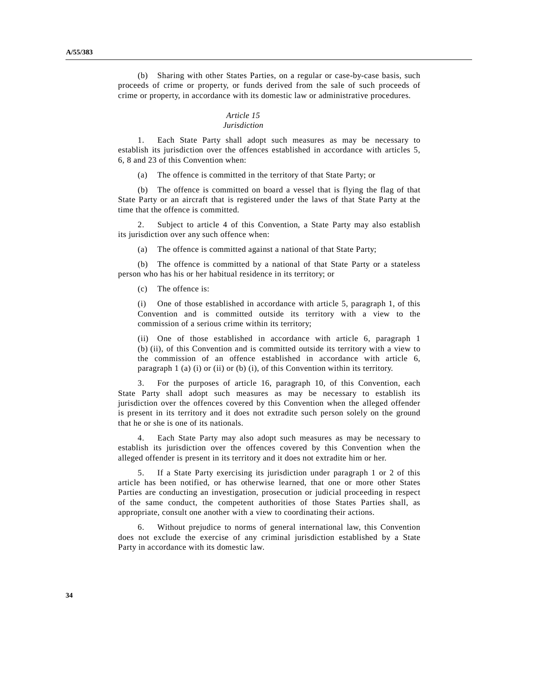(b) Sharing with other States Parties, on a regular or case-by-case basis, such proceeds of crime or property, or funds derived from the sale of such proceeds of crime or property, in accordance with its domestic law or administrative procedures.

### *Article 15 Jurisdiction*

 1. Each State Party shall adopt such measures as may be necessary to establish its jurisdiction over the offences established in accordance with articles 5, 6, 8 and 23 of this Convention when:

(a) The offence is committed in the territory of that State Party; or

 (b) The offence is committed on board a vessel that is flying the flag of that State Party or an aircraft that is registered under the laws of that State Party at the time that the offence is committed.

 2. Subject to article 4 of this Convention, a State Party may also establish its jurisdiction over any such offence when:

(a) The offence is committed against a national of that State Party;

 (b) The offence is committed by a national of that State Party or a stateless person who has his or her habitual residence in its territory; or

(c) The offence is:

 (i) One of those established in accordance with article 5, paragraph 1, of this Convention and is committed outside its territory with a view to the commission of a serious crime within its territory;

 (ii) One of those established in accordance with article 6, paragraph 1 (b) (ii), of this Convention and is committed outside its territory with a view to the commission of an offence established in accordance with article 6, paragraph  $1$  (a) (i) or (ii) or (b) (i), of this Convention within its territory.

 3. For the purposes of article 16, paragraph 10, of this Convention, each State Party shall adopt such measures as may be necessary to establish its jurisdiction over the offences covered by this Convention when the alleged offender is present in its territory and it does not extradite such person solely on the ground that he or she is one of its nationals.

 4. Each State Party may also adopt such measures as may be necessary to establish its jurisdiction over the offences covered by this Convention when the alleged offender is present in its territory and it does not extradite him or her.

 5. If a State Party exercising its jurisdiction under paragraph 1 or 2 of this article has been notified, or has otherwise learned, that one or more other States Parties are conducting an investigation, prosecution or judicial proceeding in respect of the same conduct, the competent authorities of those States Parties shall, as appropriate, consult one another with a view to coordinating their actions.

Without prejudice to norms of general international law, this Convention does not exclude the exercise of any criminal jurisdiction established by a State Party in accordance with its domestic law.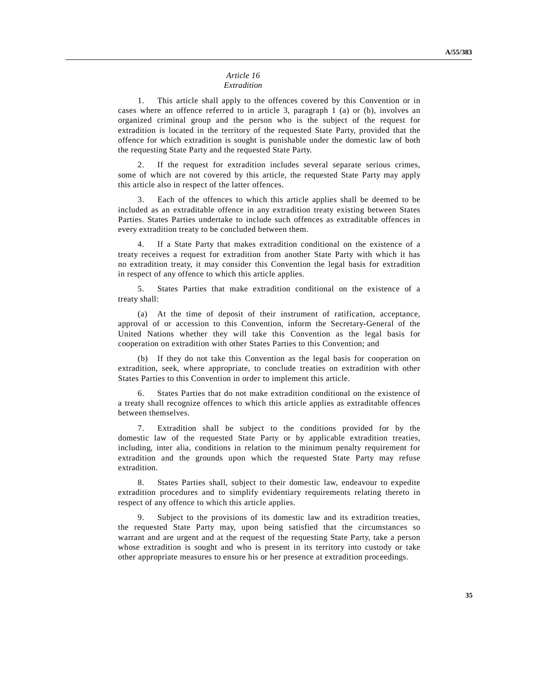# *Article 16*

## *Extradition*

 1. This article shall apply to the offences covered by this Convention or in cases where an offence referred to in article 3, paragraph 1 (a) or (b), involves an organized criminal group and the person who is the subject of the request for extradition is located in the territory of the requested State Party, provided that the offence for which extradition is sought is punishable under the domestic law of both the requesting State Party and the requested State Party.

If the request for extradition includes several separate serious crimes, some of which are not covered by this article, the requested State Party may apply this article also in respect of the latter offences.

 3. Each of the offences to which this article applies shall be deemed to be included as an extraditable offence in any extradition treaty existing between States Parties. States Parties undertake to include such offences as extraditable offences in every extradition treaty to be concluded between them.

If a State Party that makes extradition conditional on the existence of a treaty receives a request for extradition from another State Party with which it has no extradition treaty, it may consider this Convention the legal basis for extradition in respect of any offence to which this article applies.

 5. States Parties that make extradition conditional on the existence of a treaty shall:

 (a) At the time of deposit of their instrument of ratification, acceptance, approval of or accession to this Convention, inform the Secretary-General of the United Nations whether they will take this Convention as the legal basis for cooperation on extradition with other States Parties to this Convention; and

 (b) If they do not take this Convention as the legal basis for cooperation on extradition, seek, where appropriate, to conclude treaties on extradition with other States Parties to this Convention in order to implement this article.

 6. States Parties that do not make extradition conditional on the existence of a treaty shall recognize offences to which this article applies as extraditable offences between themselves.

 7. Extradition shall be subject to the conditions provided for by the domestic law of the requested State Party or by applicable extradition treaties, including, inter alia, conditions in relation to the minimum penalty requirement for extradition and the grounds upon which the requested State Party may refuse extradition.

 8. States Parties shall, subject to their domestic law, endeavour to expedite extradition procedures and to simplify evidentiary requirements relating thereto in respect of any offence to which this article applies.

 9. Subject to the provisions of its domestic law and its extradition treaties, the requested State Party may, upon being satisfied that the circumstances so warrant and are urgent and at the request of the requesting State Party, take a person whose extradition is sought and who is present in its territory into custody or take other appropriate measures to ensure his or her presence at extradition proceedings.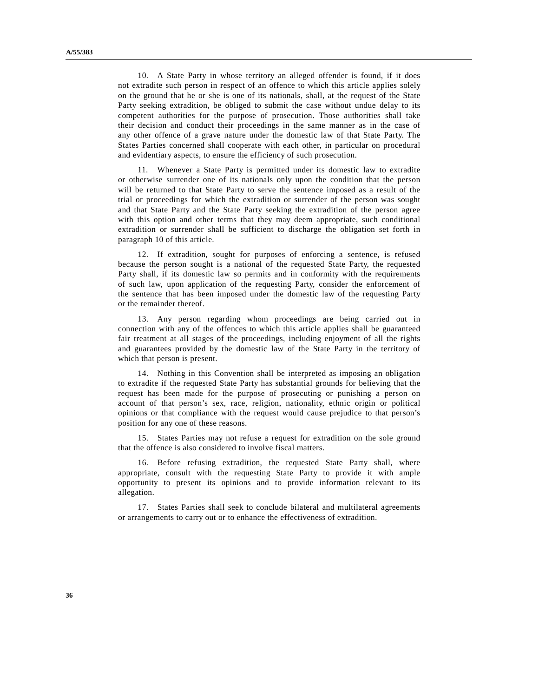10. A State Party in whose territory an alleged offender is found, if it does not extradite such person in respect of an offence to which this article applies solely on the ground that he or she is one of its nationals, shall, at the request of the State Party seeking extradition, be obliged to submit the case without undue delay to its competent authorities for the purpose of prosecution. Those authorities shall take their decision and conduct their proceedings in the same manner as in the case of any other offence of a grave nature under the domestic law of that State Party. The States Parties concerned shall cooperate with each other, in particular on procedural and evidentiary aspects, to ensure the efficiency of such prosecution.

 11. Whenever a State Party is permitted under its domestic law to extradite or otherwise surrender one of its nationals only upon the condition that the person will be returned to that State Party to serve the sentence imposed as a result of the trial or proceedings for which the extradition or surrender of the person was sought and that State Party and the State Party seeking the extradition of the person agree with this option and other terms that they may deem appropriate, such conditional extradition or surrender shall be sufficient to discharge the obligation set forth in paragraph 10 of this article.

 12. If extradition, sought for purposes of enforcing a sentence, is refused because the person sought is a national of the requested State Party, the requested Party shall, if its domestic law so permits and in conformity with the requirements of such law, upon application of the requesting Party, consider the enforcement of the sentence that has been imposed under the domestic law of the requesting Party or the remainder thereof.

 13. Any person regarding whom proceedings are being carried out in connection with any of the offences to which this article applies shall be guaranteed fair treatment at all stages of the proceedings, including enjoyment of all the rights and guarantees provided by the domestic law of the State Party in the territory of which that person is present.

 14. Nothing in this Convention shall be interpreted as imposing an obligation to extradite if the requested State Party has substantial grounds for believing that the request has been made for the purpose of prosecuting or punishing a person on account of that person's sex, race, religion, nationality, ethnic origin or political opinions or that compliance with the request would cause prejudice to that person's position for any one of these reasons.

 15. States Parties may not refuse a request for extradition on the sole ground that the offence is also considered to involve fiscal matters.

 16. Before refusing extradition, the requested State Party shall, where appropriate, consult with the requesting State Party to provide it with ample opportunity to present its opinions and to provide information relevant to its allegation.

 17. States Parties shall seek to conclude bilateral and multilateral agreements or arrangements to carry out or to enhance the effectiveness of extradition.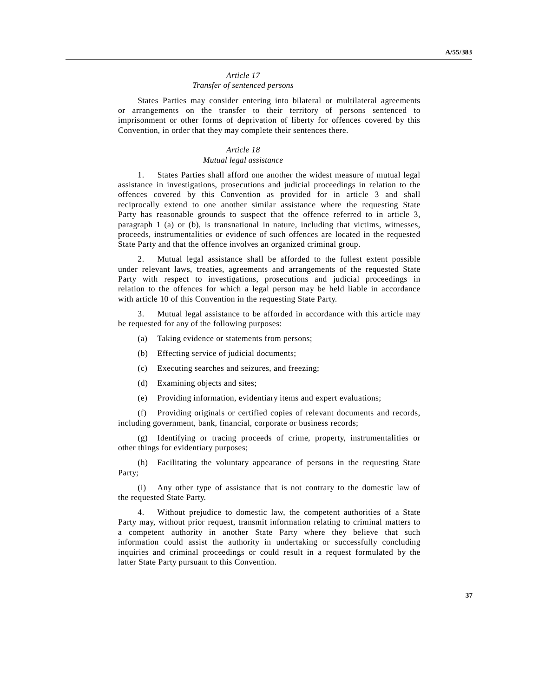### *Article 17 Transfer of sentenced persons*

 States Parties may consider entering into bilateral or multilateral agreements or arrangements on the transfer to their territory of persons sentenced to imprisonment or other forms of deprivation of liberty for offences covered by this Convention, in order that they may complete their sentences there.

## *Article 18*

## *Mutual legal assistance*

 1. States Parties shall afford one another the widest measure of mutual legal assistance in investigations, prosecutions and judicial proceedings in relation to the offences covered by this Convention as provided for in article 3 and shall reciprocally extend to one another similar assistance where the requesting State Party has reasonable grounds to suspect that the offence referred to in article 3, paragraph 1 (a) or (b), is transnational in nature, including that victims, witnesses, proceeds, instrumentalities or evidence of such offences are located in the requested State Party and that the offence involves an organized criminal group.

 2. Mutual legal assistance shall be afforded to the fullest extent possible under relevant laws, treaties, agreements and arrangements of the requested State Party with respect to investigations, prosecutions and judicial proceedings in relation to the offences for which a legal person may be held liable in accordance with article 10 of this Convention in the requesting State Party.

 3. Mutual legal assistance to be afforded in accordance with this article may be requested for any of the following purposes:

- (a) Taking evidence or statements from persons;
- (b) Effecting service of judicial documents;
- (c) Executing searches and seizures, and freezing;
- (d) Examining objects and sites;
- (e) Providing information, evidentiary items and expert evaluations;

 (f) Providing originals or certified copies of relevant documents and records, including government, bank, financial, corporate or business records;

 (g) Identifying or tracing proceeds of crime, property, instrumentalities or other things for evidentiary purposes;

 (h) Facilitating the voluntary appearance of persons in the requesting State Party;

 (i) Any other type of assistance that is not contrary to the domestic law of the requested State Party.

 4. Without prejudice to domestic law, the competent authorities of a State Party may, without prior request, transmit information relating to criminal matters to a competent authority in another State Party where they believe that such information could assist the authority in undertaking or successfully concluding inquiries and criminal proceedings or could result in a request formulated by the latter State Party pursuant to this Convention.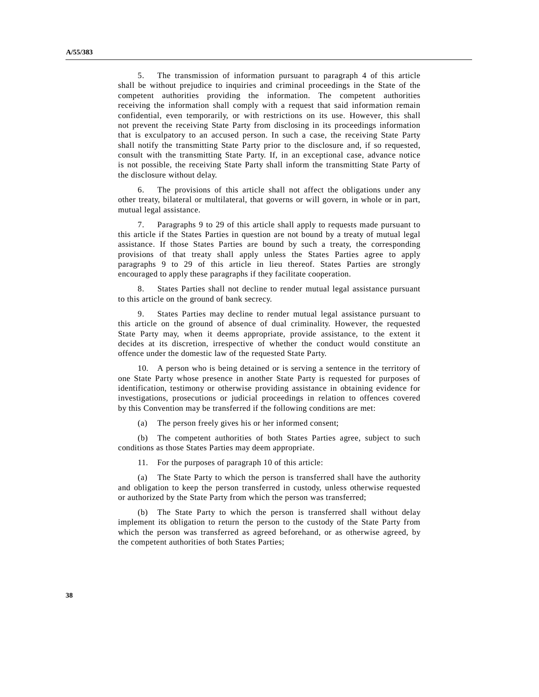5. The transmission of information pursuant to paragraph 4 of this article shall be without prejudice to inquiries and criminal proceedings in the State of the competent authorities providing the information. The competent authorities receiving the information shall comply with a request that said information remain confidential, even temporarily, or with restrictions on its use. However, this shall not prevent the receiving State Party from disclosing in its proceedings information that is exculpatory to an accused person. In such a case, the receiving State Party shall notify the transmitting State Party prior to the disclosure and, if so requested, consult with the transmitting State Party. If, in an exceptional case, advance notice is not possible, the receiving State Party shall inform the transmitting State Party of the disclosure without delay.

 6. The provisions of this article shall not affect the obligations under any other treaty, bilateral or multilateral, that governs or will govern, in whole or in part, mutual legal assistance.

 7. Paragraphs 9 to 29 of this article shall apply to requests made pursuant to this article if the States Parties in question are not bound by a treaty of mutual legal assistance. If those States Parties are bound by such a treaty, the corresponding provisions of that treaty shall apply unless the States Parties agree to apply paragraphs 9 to 29 of this article in lieu thereof. States Parties are strongly encouraged to apply these paragraphs if they facilitate cooperation.

 8. States Parties shall not decline to render mutual legal assistance pursuant to this article on the ground of bank secrecy.

 9. States Parties may decline to render mutual legal assistance pursuant to this article on the ground of absence of dual criminality. However, the requested State Party may, when it deems appropriate, provide assistance, to the extent it decides at its discretion, irrespective of whether the conduct would constitute an offence under the domestic law of the requested State Party.

 10. A person who is being detained or is serving a sentence in the territory of one State Party whose presence in another State Party is requested for purposes of identification, testimony or otherwise providing assistance in obtaining evidence for investigations, prosecutions or judicial proceedings in relation to offences covered by this Convention may be transferred if the following conditions are met:

(a) The person freely gives his or her informed consent;

 (b) The competent authorities of both States Parties agree, subject to such conditions as those States Parties may deem appropriate.

11. For the purposes of paragraph 10 of this article:

 (a) The State Party to which the person is transferred shall have the authority and obligation to keep the person transferred in custody, unless otherwise requested or authorized by the State Party from which the person was transferred;

 (b) The State Party to which the person is transferred shall without delay implement its obligation to return the person to the custody of the State Party from which the person was transferred as agreed beforehand, or as otherwise agreed, by the competent authorities of both States Parties;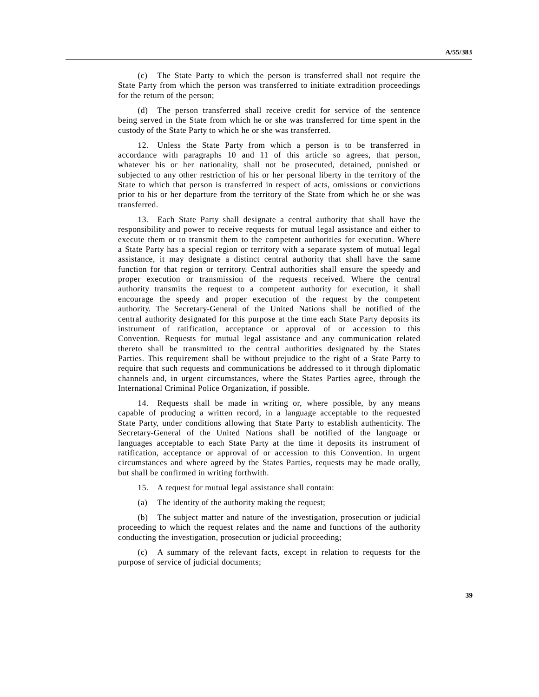(c) The State Party to which the person is transferred shall not require the State Party from which the person was transferred to initiate extradition proceedings for the return of the person;

 (d) The person transferred shall receive credit for service of the sentence being served in the State from which he or she was transferred for time spent in the custody of the State Party to which he or she was transferred.

 12. Unless the State Party from which a person is to be transferred in accordance with paragraphs 10 and 11 of this article so agrees, that person, whatever his or her nationality, shall not be prosecuted, detained, punished or subjected to any other restriction of his or her personal liberty in the territory of the State to which that person is transferred in respect of acts, omissions or convictions prior to his or her departure from the territory of the State from which he or she was transferred.

 13. Each State Party shall designate a central authority that shall have the responsibility and power to receive requests for mutual legal assistance and either to execute them or to transmit them to the competent authorities for execution. Where a State Party has a special region or territory with a separate system of mutual legal assistance, it may designate a distinct central authority that shall have the same function for that region or territory. Central authorities shall ensure the speedy and proper execution or transmission of the requests received. Where the central authority transmits the request to a competent authority for execution, it shall encourage the speedy and proper execution of the request by the competent authority. The Secretary-General of the United Nations shall be notified of the central authority designated for this purpose at the time each State Party deposits its instrument of ratification, acceptance or approval of or accession to this Convention. Requests for mutual legal assistance and any communication related thereto shall be transmitted to the central authorities designated by the States Parties. This requirement shall be without prejudice to the right of a State Party to require that such requests and communications be addressed to it through diplomatic channels and, in urgent circumstances, where the States Parties agree, through the International Criminal Police Organization, if possible.

 14. Requests shall be made in writing or, where possible, by any means capable of producing a written record, in a language acceptable to the requested State Party, under conditions allowing that State Party to establish authenticity. The Secretary-General of the United Nations shall be notified of the language or languages acceptable to each State Party at the time it deposits its instrument of ratification, acceptance or approval of or accession to this Convention. In urgent circumstances and where agreed by the States Parties, requests may be made orally, but shall be confirmed in writing forthwith.

- 15. A request for mutual legal assistance shall contain:
- (a) The identity of the authority making the request;

 (b) The subject matter and nature of the investigation, prosecution or judicial proceeding to which the request relates and the name and functions of the authority conducting the investigation, prosecution or judicial proceeding;

 (c) A summary of the relevant facts, except in relation to requests for the purpose of service of judicial documents;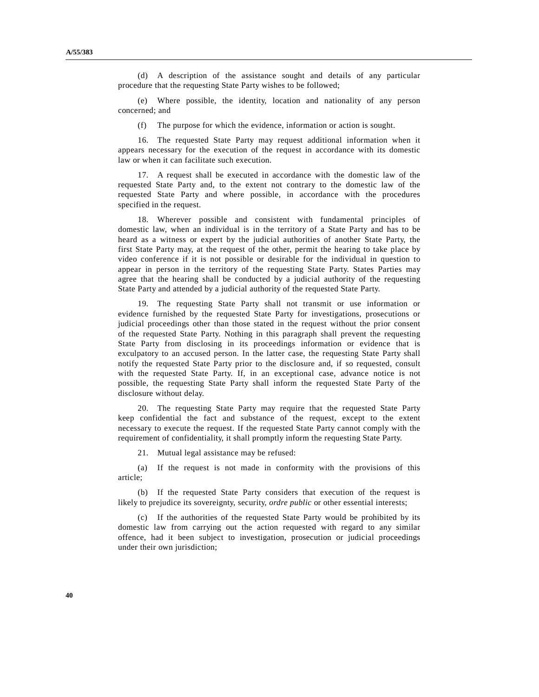(d) A description of the assistance sought and details of any particular procedure that the requesting State Party wishes to be followed;

 (e) Where possible, the identity, location and nationality of any person concerned; and

(f) The purpose for which the evidence, information or action is sought.

 16. The requested State Party may request additional information when it appears necessary for the execution of the request in accordance with its domestic law or when it can facilitate such execution.

 17. A request shall be executed in accordance with the domestic law of the requested State Party and, to the extent not contrary to the domestic law of the requested State Party and where possible, in accordance with the procedures specified in the request.

 18. Wherever possible and consistent with fundamental principles of domestic law, when an individual is in the territory of a State Party and has to be heard as a witness or expert by the judicial authorities of another State Party, the first State Party may, at the request of the other, permit the hearing to take place by video conference if it is not possible or desirable for the individual in question to appear in person in the territory of the requesting State Party. States Parties may agree that the hearing shall be conducted by a judicial authority of the requesting State Party and attended by a judicial authority of the requested State Party.

 19. The requesting State Party shall not transmit or use information or evidence furnished by the requested State Party for investigations, prosecutions or judicial proceedings other than those stated in the request without the prior consent of the requested State Party. Nothing in this paragraph shall prevent the requesting State Party from disclosing in its proceedings information or evidence that is exculpatory to an accused person. In the latter case, the requesting State Party shall notify the requested State Party prior to the disclosure and, if so requested, consult with the requested State Party. If, in an exceptional case, advance notice is not possible, the requesting State Party shall inform the requested State Party of the disclosure without delay.

 20. The requesting State Party may require that the requested State Party keep confidential the fact and substance of the request, except to the extent necessary to execute the request. If the requested State Party cannot comply with the requirement of confidentiality, it shall promptly inform the requesting State Party.

21. Mutual legal assistance may be refused:

 (a) If the request is not made in conformity with the provisions of this article;

 (b) If the requested State Party considers that execution of the request is likely to prejudice its sovereignty, security, *ordre public* or other essential interests;

 (c) If the authorities of the requested State Party would be prohibited by its domestic law from carrying out the action requested with regard to any similar offence, had it been subject to investigation, prosecution or judicial proceedings under their own jurisdiction;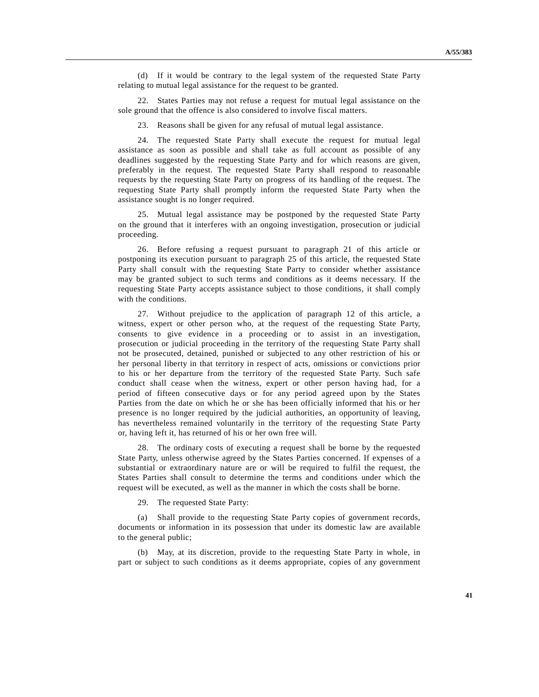(d) If it would be contrary to the legal system of the requested State Party relating to mutual legal assistance for the request to be granted.

 22. States Parties may not refuse a request for mutual legal assistance on the sole ground that the offence is also considered to involve fiscal matters.

23. Reasons shall be given for any refusal of mutual legal assistance.

 24. The requested State Party shall execute the request for mutual legal assistance as soon as possible and shall take as full account as possible of any deadlines suggested by the requesting State Party and for which reasons are given, preferably in the request. The requested State Party shall respond to reasonable requests by the requesting State Party on progress of its handling of the request. The requesting State Party shall promptly inform the requested State Party when the assistance sought is no longer required.

 25. Mutual legal assistance may be postponed by the requested State Party on the ground that it interferes with an ongoing investigation, prosecution or judicial proceeding.

 26. Before refusing a request pursuant to paragraph 21 of this article or postponing its execution pursuant to paragraph 25 of this article, the requested State Party shall consult with the requesting State Party to consider whether assistance may be granted subject to such terms and conditions as it deems necessary. If the requesting State Party accepts assistance subject to those conditions, it shall comply with the conditions.

 27. Without prejudice to the application of paragraph 12 of this article, a witness, expert or other person who, at the request of the requesting State Party, consents to give evidence in a proceeding or to assist in an investigation, prosecution or judicial proceeding in the territory of the requesting State Party shall not be prosecuted, detained, punished or subjected to any other restriction of his or her personal liberty in that territory in respect of acts, omissions or convictions prior to his or her departure from the territory of the requested State Party. Such safe conduct shall cease when the witness, expert or other person having had, for a period of fifteen consecutive days or for any period agreed upon by the States Parties from the date on which he or she has been officially informed that his or her presence is no longer required by the judicial authorities, an opportunity of leaving, has nevertheless remained voluntarily in the territory of the requesting State Party or, having left it, has returned of his or her own free will.

 28. The ordinary costs of executing a request shall be borne by the requested State Party, unless otherwise agreed by the States Parties concerned. If expenses of a substantial or extraordinary nature are or will be required to fulfil the request, the States Parties shall consult to determine the terms and conditions under which the request will be executed, as well as the manner in which the costs shall be borne.

29. The requested State Party:

 (a) Shall provide to the requesting State Party copies of government records, documents or information in its possession that under its domestic law are available to the general public;

 (b) May, at its discretion, provide to the requesting State Party in whole, in part or subject to such conditions as it deems appropriate, copies of any government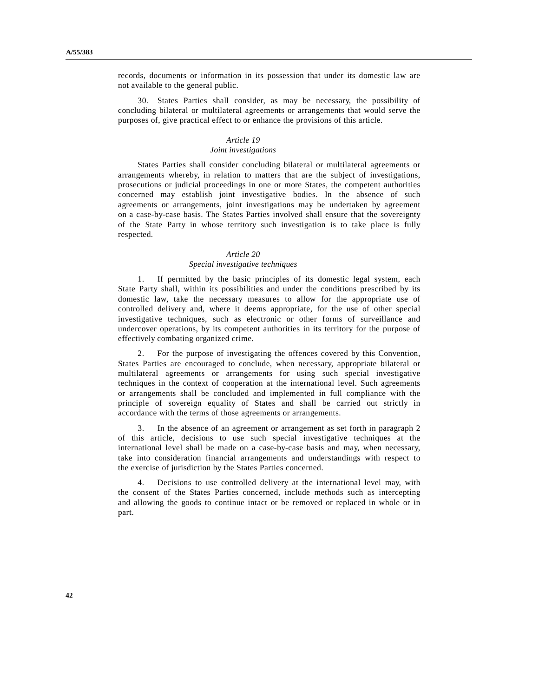records, documents or information in its possession that under its domestic law are not available to the general public.

 30. States Parties shall consider, as may be necessary, the possibility of concluding bilateral or multilateral agreements or arrangements that would serve the purposes of, give practical effect to or enhance the provisions of this article.

## *Article 19*

#### *Joint investigations*

 States Parties shall consider concluding bilateral or multilateral agreements or arrangements whereby, in relation to matters that are the subject of investigations, prosecutions or judicial proceedings in one or more States, the competent authorities concerned may establish joint investigative bodies. In the absence of such agreements or arrangements, joint investigations may be undertaken by agreement on a case-by-case basis. The States Parties involved shall ensure that the sovereignty of the State Party in whose territory such investigation is to take place is fully respected.

## *Article 20*

### *Special investigative techniques*

 1. If permitted by the basic principles of its domestic legal system, each State Party shall, within its possibilities and under the conditions prescribed by its domestic law, take the necessary measures to allow for the appropriate use of controlled delivery and, where it deems appropriate, for the use of other special investigative techniques, such as electronic or other forms of surveillance and undercover operations, by its competent authorities in its territory for the purpose of effectively combating organized crime.

 2. For the purpose of investigating the offences covered by this Convention, States Parties are encouraged to conclude, when necessary, appropriate bilateral or multilateral agreements or arrangements for using such special investigative techniques in the context of cooperation at the international level. Such agreements or arrangements shall be concluded and implemented in full compliance with the principle of sovereign equality of States and shall be carried out strictly in accordance with the terms of those agreements or arrangements.

 3. In the absence of an agreement or arrangement as set forth in paragraph 2 of this article, decisions to use such special investigative techniques at the international level shall be made on a case-by-case basis and may, when necessary, take into consideration financial arrangements and understandings with respect to the exercise of jurisdiction by the States Parties concerned.

 4. Decisions to use controlled delivery at the international level may, with the consent of the States Parties concerned, include methods such as intercepting and allowing the goods to continue intact or be removed or replaced in whole or in part.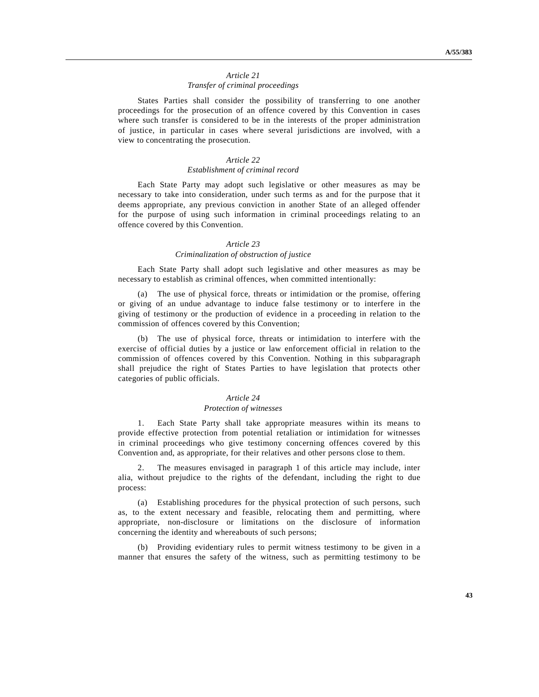### *Article 21 Transfer of criminal proceedings*

 States Parties shall consider the possibility of transferring to one another proceedings for the prosecution of an offence covered by this Convention in cases where such transfer is considered to be in the interests of the proper administration of justice, in particular in cases where several jurisdictions are involved, with a view to concentrating the prosecution.

#### *Article 22*

## *Establishment of criminal record*

 Each State Party may adopt such legislative or other measures as may be necessary to take into consideration, under such terms as and for the purpose that it deems appropriate, any previous conviction in another State of an alleged offender for the purpose of using such information in criminal proceedings relating to an offence covered by this Convention.

## *Article 23*

## *Criminalization of obstruction of justice*

 Each State Party shall adopt such legislative and other measures as may be necessary to establish as criminal offences, when committed intentionally:

 (a) The use of physical force, threats or intimidation or the promise, offering or giving of an undue advantage to induce false testimony or to interfere in the giving of testimony or the production of evidence in a proceeding in relation to the commission of offences covered by this Convention;

 (b) The use of physical force, threats or intimidation to interfere with the exercise of official duties by a justice or law enforcement official in relation to the commission of offences covered by this Convention. Nothing in this subparagraph shall prejudice the right of States Parties to have legislation that protects other categories of public officials.

#### *Article 24*

#### *Protection of witnesses*

 1. Each State Party shall take appropriate measures within its means to provide effective protection from potential retaliation or intimidation for witnesses in criminal proceedings who give testimony concerning offences covered by this Convention and, as appropriate, for their relatives and other persons close to them.

 2. The measures envisaged in paragraph 1 of this article may include, inter alia, without prejudice to the rights of the defendant, including the right to due process:

 (a) Establishing procedures for the physical protection of such persons, such as, to the extent necessary and feasible, relocating them and permitting, where appropriate, non-disclosure or limitations on the disclosure of information concerning the identity and whereabouts of such persons;

 (b) Providing evidentiary rules to permit witness testimony to be given in a manner that ensures the safety of the witness, such as permitting testimony to be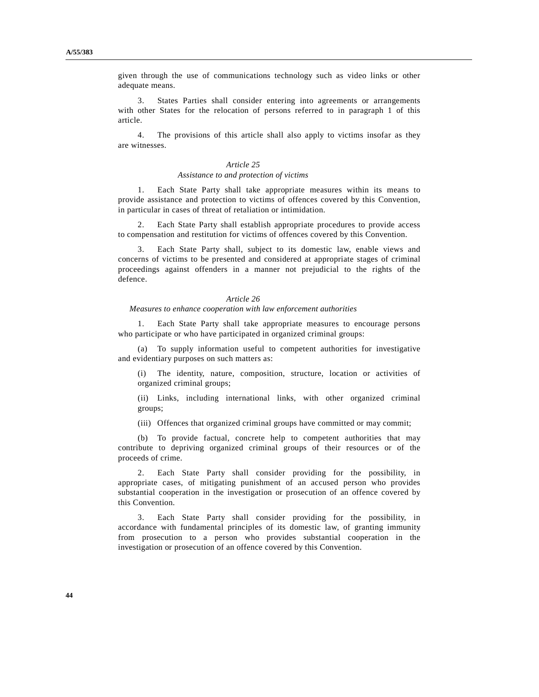given through the use of communications technology such as video links or other adequate means.

 3. States Parties shall consider entering into agreements or arrangements with other States for the relocation of persons referred to in paragraph 1 of this article.

 4. The provisions of this article shall also apply to victims insofar as they are witnesses.

#### *Article 25*

### *Assistance to and protection of victims*

 1. Each State Party shall take appropriate measures within its means to provide assistance and protection to victims of offences covered by this Convention, in particular in cases of threat of retaliation or intimidation.

 2. Each State Party shall establish appropriate procedures to provide access to compensation and restitution for victims of offences covered by this Convention.

 3. Each State Party shall, subject to its domestic law, enable views and concerns of victims to be presented and considered at appropriate stages of criminal proceedings against offenders in a manner not prejudicial to the rights of the defence.

### *Article 26*

### *Measures to enhance cooperation with law enforcement authorities*

 1. Each State Party shall take appropriate measures to encourage persons who participate or who have participated in organized criminal groups:

 (a) To supply information useful to competent authorities for investigative and evidentiary purposes on such matters as:

The identity, nature, composition, structure, location or activities of organized criminal groups;

 (ii) Links, including international links, with other organized criminal groups;

(iii) Offences that organized criminal groups have committed or may commit;

 (b) To provide factual, concrete help to competent authorities that may contribute to depriving organized criminal groups of their resources or of the proceeds of crime.

 2. Each State Party shall consider providing for the possibility, in appropriate cases, of mitigating punishment of an accused person who provides substantial cooperation in the investigation or prosecution of an offence covered by this Convention.

 3. Each State Party shall consider providing for the possibility, in accordance with fundamental principles of its domestic law, of granting immunity from prosecution to a person who provides substantial cooperation in the investigation or prosecution of an offence covered by this Convention.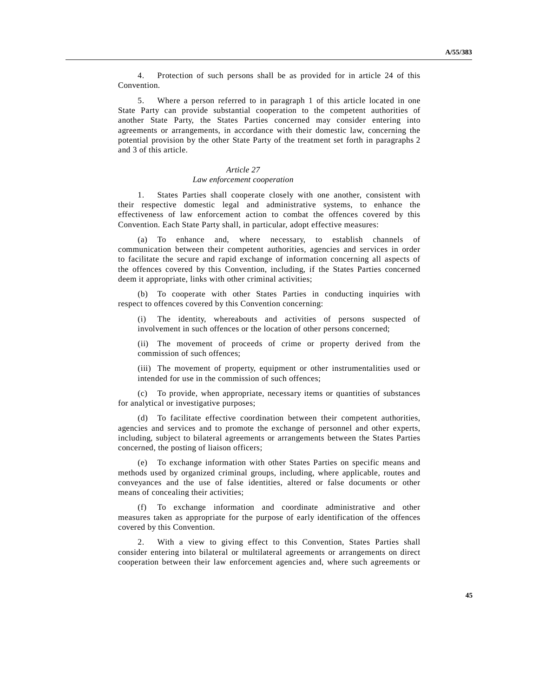4. Protection of such persons shall be as provided for in article 24 of this Convention.

 5. Where a person referred to in paragraph 1 of this article located in one State Party can provide substantial cooperation to the competent authorities of another State Party, the States Parties concerned may consider entering into agreements or arrangements, in accordance with their domestic law, concerning the potential provision by the other State Party of the treatment set forth in paragraphs 2 and 3 of this article.

## *Article 27*

#### *Law enforcement cooperation*

 1. States Parties shall cooperate closely with one another, consistent with their respective domestic legal and administrative systems, to enhance the effectiveness of law enforcement action to combat the offences covered by this Convention. Each State Party shall, in particular, adopt effective measures:

 (a) To enhance and, where necessary, to establish channels of communication between their competent authorities, agencies and services in order to facilitate the secure and rapid exchange of information concerning all aspects of the offences covered by this Convention, including, if the States Parties concerned deem it appropriate, links with other criminal activities;

To cooperate with other States Parties in conducting inquiries with respect to offences covered by this Convention concerning:

 (i) The identity, whereabouts and activities of persons suspected of involvement in such offences or the location of other persons concerned;

 (ii) The movement of proceeds of crime or property derived from the commission of such offences;

 (iii) The movement of property, equipment or other instrumentalities used or intended for use in the commission of such offences;

 (c) To provide, when appropriate, necessary items or quantities of substances for analytical or investigative purposes;

 (d) To facilitate effective coordination between their competent authorities, agencies and services and to promote the exchange of personnel and other experts, including, subject to bilateral agreements or arrangements between the States Parties concerned, the posting of liaison officers;

 (e) To exchange information with other States Parties on specific means and methods used by organized criminal groups, including, where applicable, routes and conveyances and the use of false identities, altered or false documents or other means of concealing their activities;

 (f) To exchange information and coordinate administrative and other measures taken as appropriate for the purpose of early identification of the offences covered by this Convention.

 2. With a view to giving effect to this Convention, States Parties shall consider entering into bilateral or multilateral agreements or arrangements on direct cooperation between their law enforcement agencies and, where such agreements or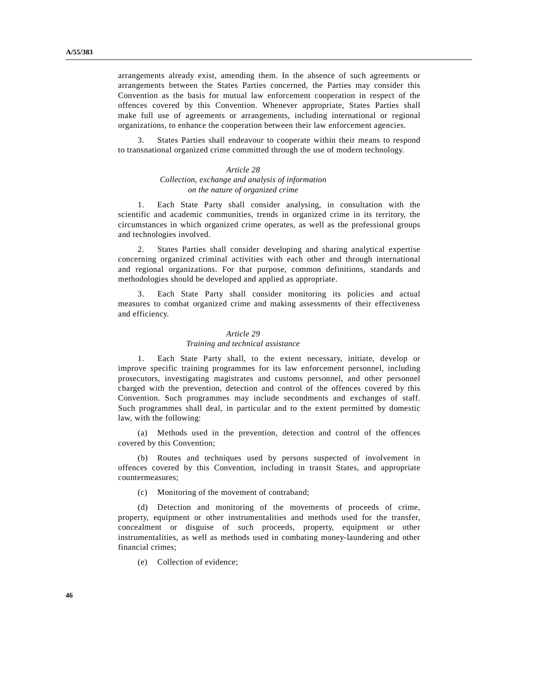arrangements already exist, amending them. In the absence of such agreements or arrangements between the States Parties concerned, the Parties may consider this Convention as the basis for mutual law enforcement cooperation in respect of the offences covered by this Convention. Whenever appropriate, States Parties shall make full use of agreements or arrangements, including international or regional organizations, to enhance the cooperation between their law enforcement agencies.

 3. States Parties shall endeavour to cooperate within their means to respond to transnational organized crime committed through the use of modern technology.

### *Article 28*

## *Collection, exchange and analysis of information on the nature of organized crime*

 1. Each State Party shall consider analysing, in consultation with the scientific and academic communities, trends in organized crime in its territory, the circumstances in which organized crime operates, as well as the professional groups and technologies involved.

 2. States Parties shall consider developing and sharing analytical expertise concerning organized criminal activities with each other and through international and regional organizations. For that purpose, common definitions, standards and methodologies should be developed and applied as appropriate.

 3. Each State Party shall consider monitoring its policies and actual measures to combat organized crime and making assessments of their effectiveness and efficiency.

#### *Article 29*

#### *Training and technical assistance*

 1. Each State Party shall, to the extent necessary, initiate, develop or improve specific training programmes for its law enforcement personnel, including prosecutors, investigating magistrates and customs personnel, and other personnel charged with the prevention, detection and control of the offences covered by this Convention. Such programmes may include secondments and exchanges of staff. Such programmes shall deal, in particular and to the extent permitted by domestic law, with the following:

 (a) Methods used in the prevention, detection and control of the offences covered by this Convention;

 (b) Routes and techniques used by persons suspected of involvement in offences covered by this Convention, including in transit States, and appropriate countermeasures;

(c) Monitoring of the movement of contraband;

 (d) Detection and monitoring of the movements of proceeds of crime, property, equipment or other instrumentalities and methods used for the transfer, concealment or disguise of such proceeds, property, equipment or other instrumentalities, as well as methods used in combating money-laundering and other financial crimes;

(e) Collection of evidence;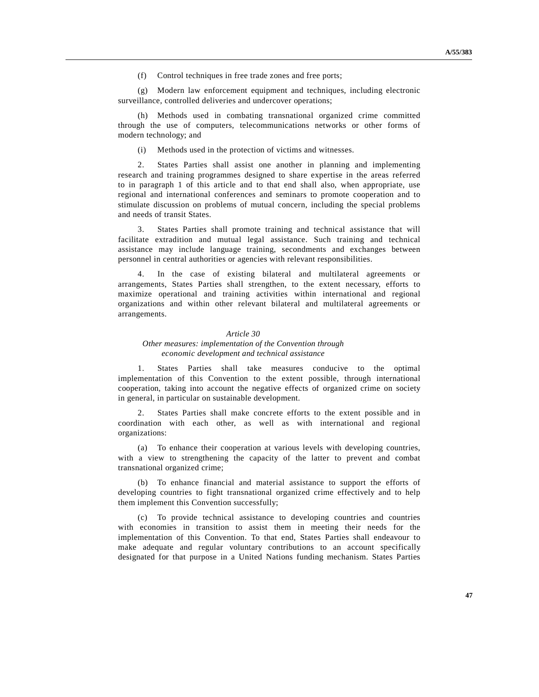(f) Control techniques in free trade zones and free ports;

 (g) Modern law enforcement equipment and techniques, including electronic surveillance, controlled deliveries and undercover operations;

 (h) Methods used in combating transnational organized crime committed through the use of computers, telecommunications networks or other forms of modern technology; and

(i) Methods used in the protection of victims and witnesses.

 2. States Parties shall assist one another in planning and implementing research and training programmes designed to share expertise in the areas referred to in paragraph 1 of this article and to that end shall also, when appropriate, use regional and international conferences and seminars to promote cooperation and to stimulate discussion on problems of mutual concern, including the special problems and needs of transit States.

 3. States Parties shall promote training and technical assistance that will facilitate extradition and mutual legal assistance. Such training and technical assistance may include language training, secondments and exchanges between personnel in central authorities or agencies with relevant responsibilities.

 4. In the case of existing bilateral and multilateral agreements or arrangements, States Parties shall strengthen, to the extent necessary, efforts to maximize operational and training activities within international and regional organizations and within other relevant bilateral and multilateral agreements or arrangements.

#### *Article 30*

## *Other measures: implementation of the Convention through economic development and technical assistance*

 1. States Parties shall take measures conducive to the optimal implementation of this Convention to the extent possible, through international cooperation, taking into account the negative effects of organized crime on society in general, in particular on sustainable development.

 2. States Parties shall make concrete efforts to the extent possible and in coordination with each other, as well as with international and regional organizations:

 (a) To enhance their cooperation at various levels with developing countries, with a view to strengthening the capacity of the latter to prevent and combat transnational organized crime;

 (b) To enhance financial and material assistance to support the efforts of developing countries to fight transnational organized crime effectively and to help them implement this Convention successfully;

To provide technical assistance to developing countries and countries with economies in transition to assist them in meeting their needs for the implementation of this Convention. To that end, States Parties shall endeavour to make adequate and regular voluntary contributions to an account specifically designated for that purpose in a United Nations funding mechanism. States Parties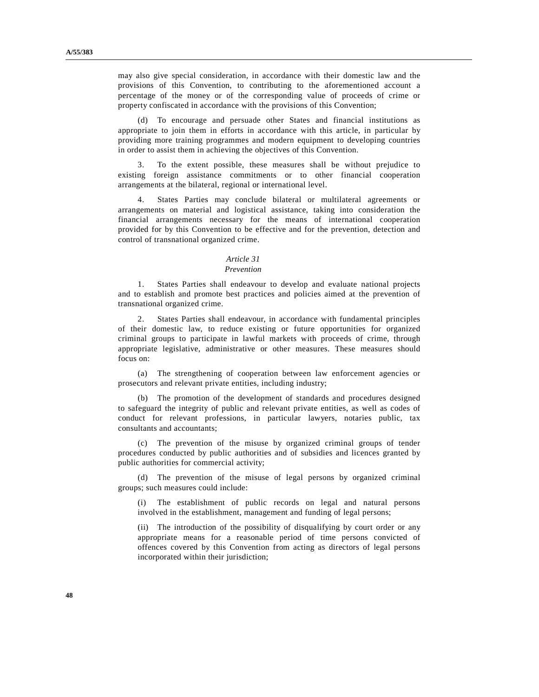may also give special consideration, in accordance with their domestic law and the provisions of this Convention, to contributing to the aforementioned account a percentage of the money or of the corresponding value of proceeds of crime or property confiscated in accordance with the provisions of this Convention;

 (d) To encourage and persuade other States and financial institutions as appropriate to join them in efforts in accordance with this article, in particular by providing more training programmes and modern equipment to developing countries in order to assist them in achieving the objectives of this Convention.

 3. To the extent possible, these measures shall be without prejudice to existing foreign assistance commitments or to other financial cooperation arrangements at the bilateral, regional or international level.

 4. States Parties may conclude bilateral or multilateral agreements or arrangements on material and logistical assistance, taking into consideration the financial arrangements necessary for the means of international cooperation provided for by this Convention to be effective and for the prevention, detection and control of transnational organized crime.

#### *Article 31*

#### *Prevention*

 1. States Parties shall endeavour to develop and evaluate national projects and to establish and promote best practices and policies aimed at the prevention of transnational organized crime.

 2. States Parties shall endeavour, in accordance with fundamental principles of their domestic law, to reduce existing or future opportunities for organized criminal groups to participate in lawful markets with proceeds of crime, through appropriate legislative, administrative or other measures. These measures should focus on:

 (a) The strengthening of cooperation between law enforcement agencies or prosecutors and relevant private entities, including industry;

 (b) The promotion of the development of standards and procedures designed to safeguard the integrity of public and relevant private entities, as well as codes of conduct for relevant professions, in particular lawyers, notaries public, tax consultants and accountants;

 (c) The prevention of the misuse by organized criminal groups of tender procedures conducted by public authorities and of subsidies and licences granted by public authorities for commercial activity;

 (d) The prevention of the misuse of legal persons by organized criminal groups; such measures could include:

 (i) The establishment of public records on legal and natural persons involved in the establishment, management and funding of legal persons;

 (ii) The introduction of the possibility of disqualifying by court order or any appropriate means for a reasonable period of time persons convicted of offences covered by this Convention from acting as directors of legal persons incorporated within their jurisdiction;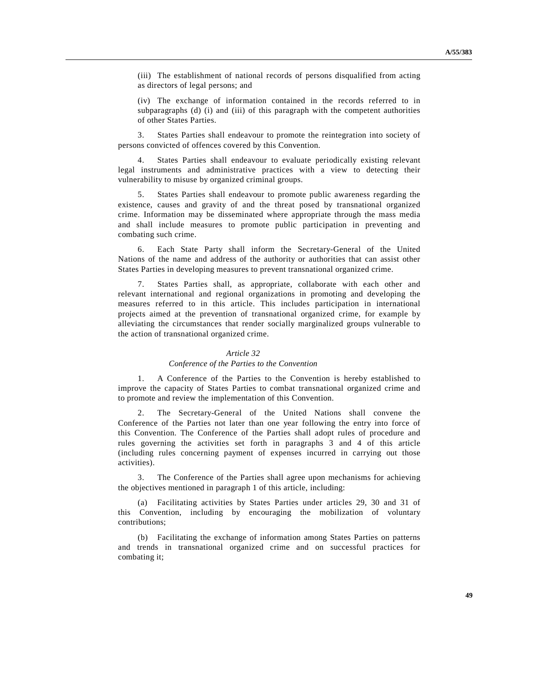(iii) The establishment of national records of persons disqualified from acting as directors of legal persons; and

 (iv) The exchange of information contained in the records referred to in subparagraphs (d) (i) and (iii) of this paragraph with the competent authorities of other States Parties.

 3. States Parties shall endeavour to promote the reintegration into society of persons convicted of offences covered by this Convention.

States Parties shall endeavour to evaluate periodically existing relevant legal instruments and administrative practices with a view to detecting their vulnerability to misuse by organized criminal groups.

 5. States Parties shall endeavour to promote public awareness regarding the existence, causes and gravity of and the threat posed by transnational organized crime. Information may be disseminated where appropriate through the mass media and shall include measures to promote public participation in preventing and combating such crime.

 6. Each State Party shall inform the Secretary-General of the United Nations of the name and address of the authority or authorities that can assist other States Parties in developing measures to prevent transnational organized crime.

 7. States Parties shall, as appropriate, collaborate with each other and relevant international and regional organizations in promoting and developing the measures referred to in this article. This includes participation in international projects aimed at the prevention of transnational organized crime, for example by alleviating the circumstances that render socially marginalized groups vulnerable to the action of transnational organized crime.

### *Article 32*

# *Conference of the Parties to the Convention*

 1. A Conference of the Parties to the Convention is hereby established to improve the capacity of States Parties to combat transnational organized crime and to promote and review the implementation of this Convention.

 2. The Secretary-General of the United Nations shall convene the Conference of the Parties not later than one year following the entry into force of this Convention. The Conference of the Parties shall adopt rules of procedure and rules governing the activities set forth in paragraphs 3 and 4 of this article (including rules concerning payment of expenses incurred in carrying out those activities).

 3. The Conference of the Parties shall agree upon mechanisms for achieving the objectives mentioned in paragraph 1 of this article, including:

 (a) Facilitating activities by States Parties under articles 29, 30 and 31 of this Convention, including by encouraging the mobilization of voluntary contributions;

 (b) Facilitating the exchange of information among States Parties on patterns and trends in transnational organized crime and on successful practices for combating it;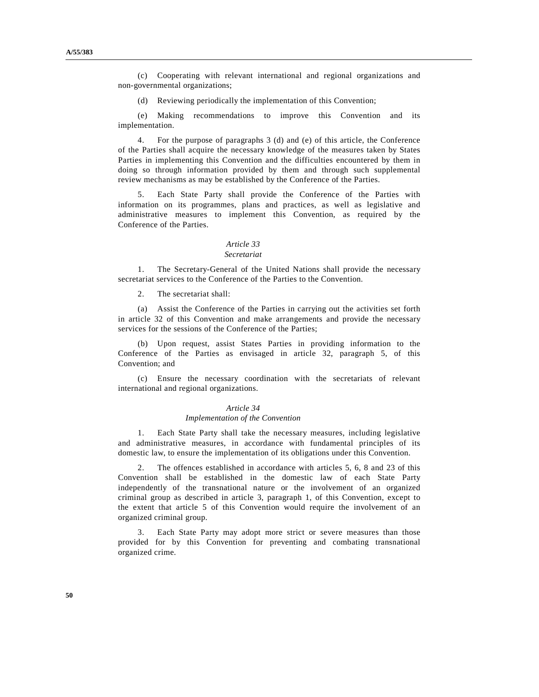(c) Cooperating with relevant international and regional organizations and non-governmental organizations;

(d) Reviewing periodically the implementation of this Convention;

 (e) Making recommendations to improve this Convention and its implementation.

 4. For the purpose of paragraphs 3 (d) and (e) of this article, the Conference of the Parties shall acquire the necessary knowledge of the measures taken by States Parties in implementing this Convention and the difficulties encountered by them in doing so through information provided by them and through such supplemental review mechanisms as may be established by the Conference of the Parties.

 5. Each State Party shall provide the Conference of the Parties with information on its programmes, plans and practices, as well as legislative and administrative measures to implement this Convention, as required by the Conference of the Parties.

### *Article 33*

#### *Secretariat*

 1. The Secretary-General of the United Nations shall provide the necessary secretariat services to the Conference of the Parties to the Convention.

2. The secretariat shall:

 (a) Assist the Conference of the Parties in carrying out the activities set forth in article 32 of this Convention and make arrangements and provide the necessary services for the sessions of the Conference of the Parties;

 (b) Upon request, assist States Parties in providing information to the Conference of the Parties as envisaged in article 32, paragraph 5, of this Convention; and

 (c) Ensure the necessary coordination with the secretariats of relevant international and regional organizations.

#### *Article 34*

## *Implementation of the Convention*

 1. Each State Party shall take the necessary measures, including legislative and administrative measures, in accordance with fundamental principles of its domestic law, to ensure the implementation of its obligations under this Convention.

 2. The offences established in accordance with articles 5, 6, 8 and 23 of this Convention shall be established in the domestic law of each State Party independently of the transnational nature or the involvement of an organized criminal group as described in article 3, paragraph 1, of this Convention, except to the extent that article 5 of this Convention would require the involvement of an organized criminal group.

 3. Each State Party may adopt more strict or severe measures than those provided for by this Convention for preventing and combating transnational organized crime.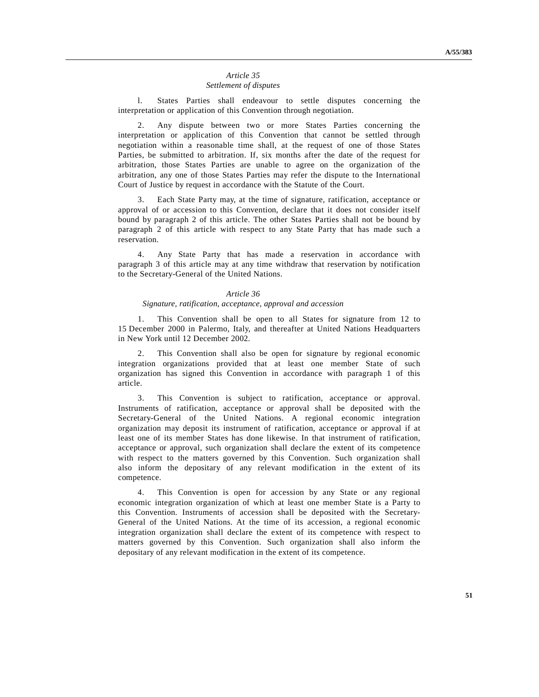## *Article 35*

## *Settlement of disputes*

 l. States Parties shall endeavour to settle disputes concerning the interpretation or application of this Convention through negotiation.

 2. Any dispute between two or more States Parties concerning the interpretation or application of this Convention that cannot be settled through negotiation within a reasonable time shall, at the request of one of those States Parties, be submitted to arbitration. If, six months after the date of the request for arbitration, those States Parties are unable to agree on the organization of the arbitration, any one of those States Parties may refer the dispute to the International Court of Justice by request in accordance with the Statute of the Court.

 3. Each State Party may, at the time of signature, ratification, acceptance or approval of or accession to this Convention, declare that it does not consider itself bound by paragraph 2 of this article. The other States Parties shall not be bound by paragraph 2 of this article with respect to any State Party that has made such a reservation.

 4. Any State Party that has made a reservation in accordance with paragraph 3 of this article may at any time withdraw that reservation by notification to the Secretary-General of the United Nations.

#### *Article 36*

## *Signature, ratification, acceptance, approval and accession*

 1. This Convention shall be open to all States for signature from 12 to 15 December 2000 in Palermo, Italy, and thereafter at United Nations Headquarters in New York until 12 December 2002.

 2. This Convention shall also be open for signature by regional economic integration organizations provided that at least one member State of such organization has signed this Convention in accordance with paragraph 1 of this article.

 3. This Convention is subject to ratification, acceptance or approval. Instruments of ratification, acceptance or approval shall be deposited with the Secretary-General of the United Nations. A regional economic integration organization may deposit its instrument of ratification, acceptance or approval if at least one of its member States has done likewise. In that instrument of ratification, acceptance or approval, such organization shall declare the extent of its competence with respect to the matters governed by this Convention. Such organization shall also inform the depositary of any relevant modification in the extent of its competence.

 4. This Convention is open for accession by any State or any regional economic integration organization of which at least one member State is a Party to this Convention. Instruments of accession shall be deposited with the Secretary-General of the United Nations. At the time of its accession, a regional economic integration organization shall declare the extent of its competence with respect to matters governed by this Convention. Such organization shall also inform the depositary of any relevant modification in the extent of its competence.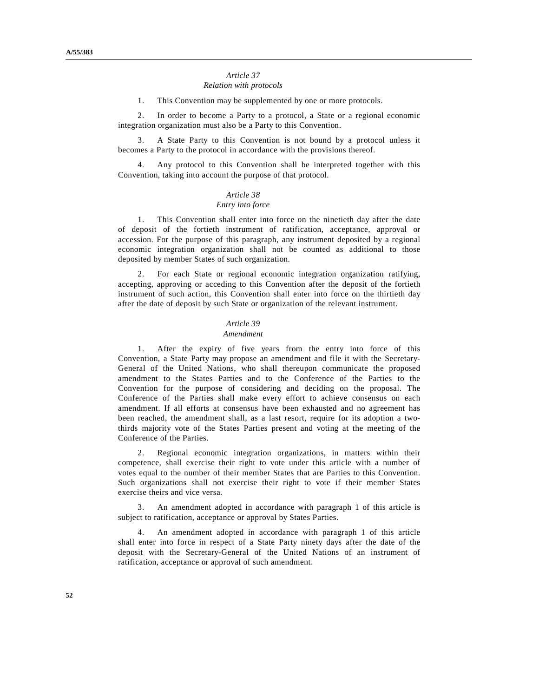## *Article 37 Relation with protocols*

1. This Convention may be supplemented by one or more protocols.

 2. In order to become a Party to a protocol, a State or a regional economic integration organization must also be a Party to this Convention.

 3. A State Party to this Convention is not bound by a protocol unless it becomes a Party to the protocol in accordance with the provisions thereof.

 4. Any protocol to this Convention shall be interpreted together with this Convention, taking into account the purpose of that protocol.

### *Article 38*

## *Entry into force*

 1. This Convention shall enter into force on the ninetieth day after the date of deposit of the fortieth instrument of ratification, acceptance, approval or accession. For the purpose of this paragraph, any instrument deposited by a regional economic integration organization shall not be counted as additional to those deposited by member States of such organization.

 2. For each State or regional economic integration organization ratifying, accepting, approving or acceding to this Convention after the deposit of the fortieth instrument of such action, this Convention shall enter into force on the thirtieth day after the date of deposit by such State or organization of the relevant instrument.

# *Article 39*

## *Amendment*

 1. After the expiry of five years from the entry into force of this Convention, a State Party may propose an amendment and file it with the Secretary-General of the United Nations, who shall thereupon communicate the proposed amendment to the States Parties and to the Conference of the Parties to the Convention for the purpose of considering and deciding on the proposal. The Conference of the Parties shall make every effort to achieve consensus on each amendment. If all efforts at consensus have been exhausted and no agreement has been reached, the amendment shall, as a last resort, require for its adoption a twothirds majority vote of the States Parties present and voting at the meeting of the Conference of the Parties.

 2. Regional economic integration organizations, in matters within their competence, shall exercise their right to vote under this article with a number of votes equal to the number of their member States that are Parties to this Convention. Such organizations shall not exercise their right to vote if their member States exercise theirs and vice versa.

 3. An amendment adopted in accordance with paragraph 1 of this article is subject to ratification, acceptance or approval by States Parties.

 4. An amendment adopted in accordance with paragraph 1 of this article shall enter into force in respect of a State Party ninety days after the date of the deposit with the Secretary-General of the United Nations of an instrument of ratification, acceptance or approval of such amendment.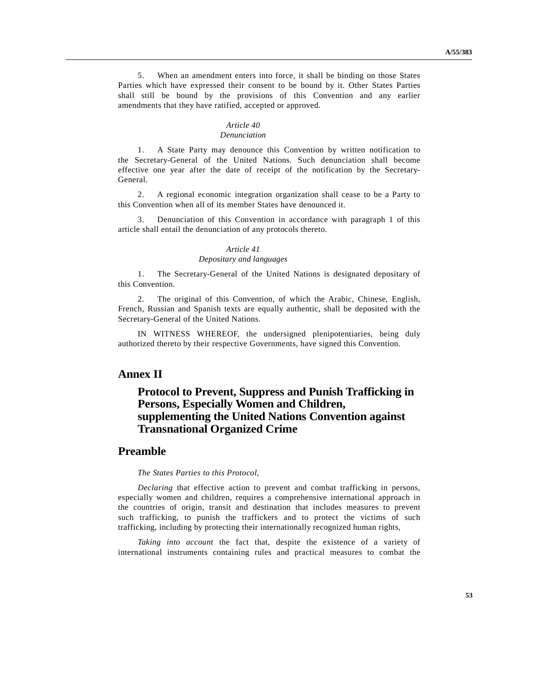5. When an amendment enters into force, it shall be binding on those States Parties which have expressed their consent to be bound by it. Other States Parties shall still be bound by the provisions of this Convention and any earlier amendments that they have ratified, accepted or approved.

## *Article 40*

## *Denunciation*

 1. A State Party may denounce this Convention by written notification to the Secretary-General of the United Nations. Such denunciation shall become effective one year after the date of receipt of the notification by the Secretary-General.

 2. A regional economic integration organization shall cease to be a Party to this Convention when all of its member States have denounced it.

 3. Denunciation of this Convention in accordance with paragraph 1 of this article shall entail the denunciation of any protocols thereto.

## *Article 41*

### *Depositary and languages*

 1. The Secretary-General of the United Nations is designated depositary of this Convention.

 2. The original of this Convention, of which the Arabic, Chinese, English, French, Russian and Spanish texts are equally authentic, shall be deposited with the Secretary-General of the United Nations.

 IN WITNESS WHEREOF, the undersigned plenipotentiaries, being duly authorized thereto by their respective Governments, have signed this Convention.

# **Annex II**

# **Protocol to Prevent, Suppress and Punish Trafficking in Persons, Especially Women and Children, supplementing the United Nations Convention against Transnational Organized Crime**

# **Preamble**

## *The States Parties to this Protocol*,

*Declaring* that effective action to prevent and combat trafficking in persons, especially women and children, requires a comprehensive international approach in the countries of origin, transit and destination that includes measures to prevent such trafficking, to punish the traffickers and to protect the victims of such trafficking, including by protecting their internationally recognized human rights,

*Taking into account* the fact that, despite the existence of a variety of international instruments containing rules and practical measures to combat the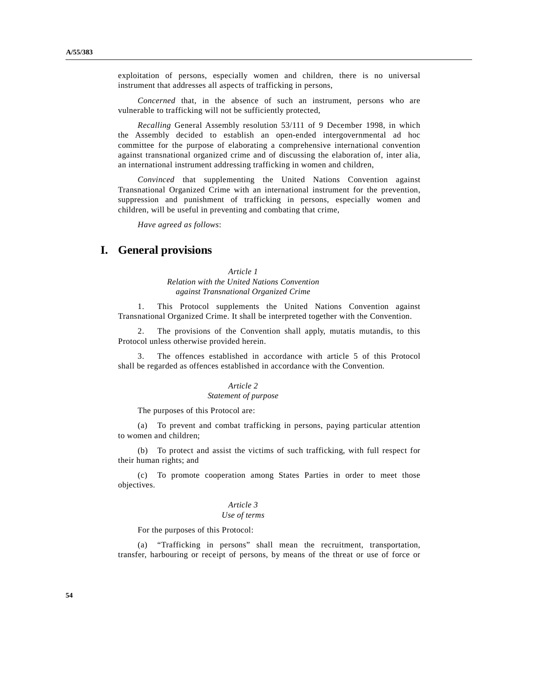exploitation of persons, especially women and children, there is no universal instrument that addresses all aspects of trafficking in persons,

*Concerned* that, in the absence of such an instrument, persons who are vulnerable to trafficking will not be sufficiently protected,

*Recalling* General Assembly resolution 53/111 of 9 December 1998, in which the Assembly decided to establish an open-ended intergovernmental ad hoc committee for the purpose of elaborating a comprehensive international convention against transnational organized crime and of discussing the elaboration of, inter alia, an international instrument addressing trafficking in women and children,

*Convinced* that supplementing the United Nations Convention against Transnational Organized Crime with an international instrument for the prevention, suppression and punishment of trafficking in persons, especially women and children, will be useful in preventing and combating that crime,

*Have agreed as follows*:

# **I. General provisions**

## *Article 1*

*Relation with the United Nations Convention against Transnational Organized Crime* 

 1. This Protocol supplements the United Nations Convention against Transnational Organized Crime. It shall be interpreted together with the Convention.

 2. The provisions of the Convention shall apply, mutatis mutandis, to this Protocol unless otherwise provided herein.

 3. The offences established in accordance with article 5 of this Protocol shall be regarded as offences established in accordance with the Convention.

#### *Article 2*

### *Statement of purpose*

The purposes of this Protocol are:

 (a) To prevent and combat trafficking in persons, paying particular attention to women and children;

 (b) To protect and assist the victims of such trafficking, with full respect for their human rights; and

 (c) To promote cooperation among States Parties in order to meet those objectives.

# *Article 3*

## *Use of terms*

For the purposes of this Protocol:

 (a) "Trafficking in persons" shall mean the recruitment, transportation, transfer, harbouring or receipt of persons, by means of the threat or use of force or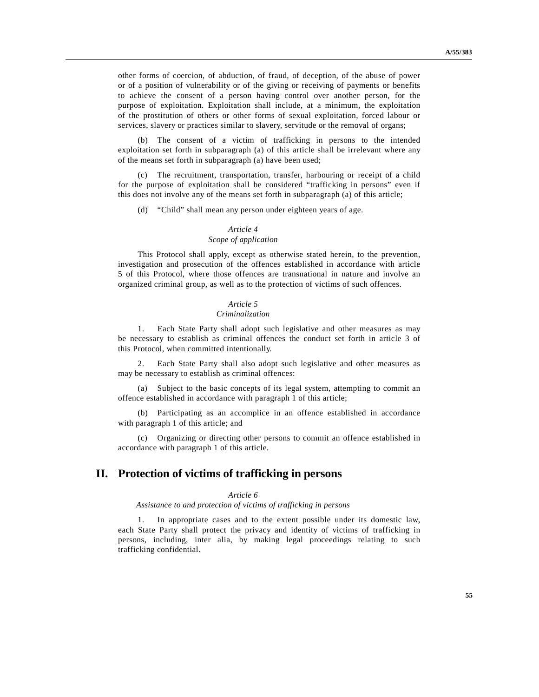other forms of coercion, of abduction, of fraud, of deception, of the abuse of power or of a position of vulnerability or of the giving or receiving of payments or benefits to achieve the consent of a person having control over another person, for the purpose of exploitation. Exploitation shall include, at a minimum, the exploitation of the prostitution of others or other forms of sexual exploitation, forced labour or services, slavery or practices similar to slavery, servitude or the removal of organs;

 (b) The consent of a victim of trafficking in persons to the intended exploitation set forth in subparagraph (a) of this article shall be irrelevant where any of the means set forth in subparagraph (a) have been used;

 (c) The recruitment, transportation, transfer, harbouring or receipt of a child for the purpose of exploitation shall be considered "trafficking in persons" even if this does not involve any of the means set forth in subparagraph (a) of this article;

(d) "Child" shall mean any person under eighteen years of age.

#### *Article 4*

## *Scope of application*

 This Protocol shall apply, except as otherwise stated herein, to the prevention, investigation and prosecution of the offences established in accordance with article 5 of this Protocol, where those offences are transnational in nature and involve an organized criminal group, as well as to the protection of victims of such offences.

# *Article 5*

## *Criminalization*

 1. Each State Party shall adopt such legislative and other measures as may be necessary to establish as criminal offences the conduct set forth in article 3 of this Protocol, when committed intentionally.

 2. Each State Party shall also adopt such legislative and other measures as may be necessary to establish as criminal offences:

 (a) Subject to the basic concepts of its legal system, attempting to commit an offence established in accordance with paragraph 1 of this article;

 (b) Participating as an accomplice in an offence established in accordance with paragraph 1 of this article; and

 (c) Organizing or directing other persons to commit an offence established in accordance with paragraph 1 of this article.

# **II. Protection of victims of trafficking in persons**

#### *Article 6*

*Assistance to and protection of victims of trafficking in persons* 

 1. In appropriate cases and to the extent possible under its domestic law, each State Party shall protect the privacy and identity of victims of trafficking in persons, including, inter alia, by making legal proceedings relating to such trafficking confidential.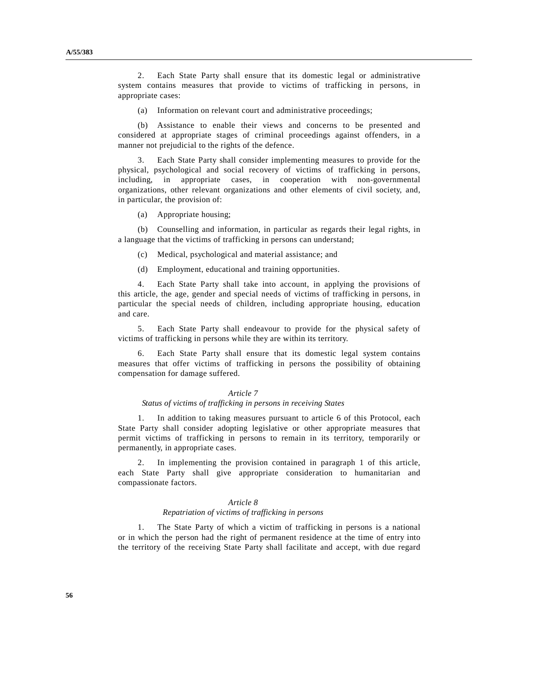2. Each State Party shall ensure that its domestic legal or administrative system contains measures that provide to victims of trafficking in persons, in appropriate cases:

(a) Information on relevant court and administrative proceedings;

 (b) Assistance to enable their views and concerns to be presented and considered at appropriate stages of criminal proceedings against offenders, in a manner not prejudicial to the rights of the defence.

 3. Each State Party shall consider implementing measures to provide for the physical, psychological and social recovery of victims of trafficking in persons, including, in appropriate cases, in cooperation with non-governmental organizations, other relevant organizations and other elements of civil society, and, in particular, the provision of:

(a) Appropriate housing;

 (b) Counselling and information, in particular as regards their legal rights, in a language that the victims of trafficking in persons can understand;

(c) Medical, psychological and material assistance; and

(d) Employment, educational and training opportunities.

 4. Each State Party shall take into account, in applying the provisions of this article, the age, gender and special needs of victims of trafficking in persons, in particular the special needs of children, including appropriate housing, education and care.

 5. Each State Party shall endeavour to provide for the physical safety of victims of trafficking in persons while they are within its territory.

 6. Each State Party shall ensure that its domestic legal system contains measures that offer victims of trafficking in persons the possibility of obtaining compensation for damage suffered.

#### *Article 7*

#### *Status of victims of trafficking in persons in receiving States*

 1. In addition to taking measures pursuant to article 6 of this Protocol, each State Party shall consider adopting legislative or other appropriate measures that permit victims of trafficking in persons to remain in its territory, temporarily or permanently, in appropriate cases.

 2. In implementing the provision contained in paragraph 1 of this article, each State Party shall give appropriate consideration to humanitarian and compassionate factors.

## *Article 8*

## *Repatriation of victims of trafficking in persons*

 1. The State Party of which a victim of trafficking in persons is a national or in which the person had the right of permanent residence at the time of entry into the territory of the receiving State Party shall facilitate and accept, with due regard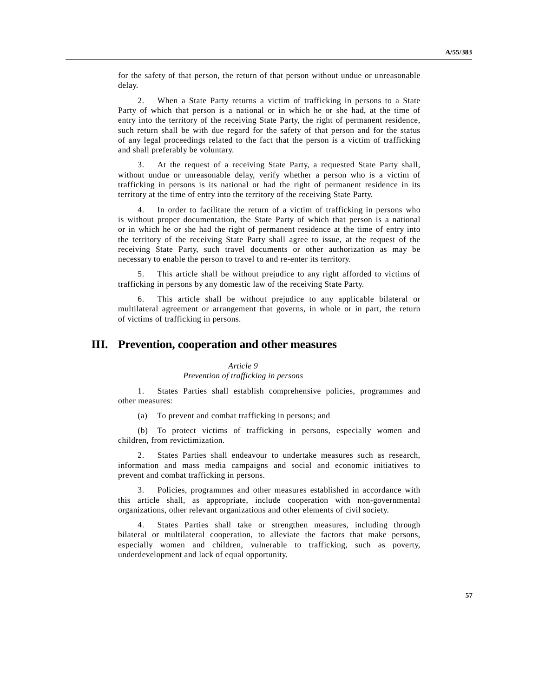for the safety of that person, the return of that person without undue or unreasonable delay.

 2. When a State Party returns a victim of trafficking in persons to a State Party of which that person is a national or in which he or she had, at the time of entry into the territory of the receiving State Party, the right of permanent residence, such return shall be with due regard for the safety of that person and for the status of any legal proceedings related to the fact that the person is a victim of trafficking and shall preferably be voluntary.

 3. At the request of a receiving State Party, a requested State Party shall, without undue or unreasonable delay, verify whether a person who is a victim of trafficking in persons is its national or had the right of permanent residence in its territory at the time of entry into the territory of the receiving State Party.

 4. In order to facilitate the return of a victim of trafficking in persons who is without proper documentation, the State Party of which that person is a national or in which he or she had the right of permanent residence at the time of entry into the territory of the receiving State Party shall agree to issue, at the request of the receiving State Party, such travel documents or other authorization as may be necessary to enable the person to travel to and re-enter its territory.

 5. This article shall be without prejudice to any right afforded to victims of trafficking in persons by any domestic law of the receiving State Party.

 6. This article shall be without prejudice to any applicable bilateral or multilateral agreement or arrangement that governs, in whole or in part, the return of victims of trafficking in persons.

# **III. Prevention, cooperation and other measures**

## *Article 9*

#### *Prevention of trafficking in persons*

 1. States Parties shall establish comprehensive policies, programmes and other measures:

(a) To prevent and combat trafficking in persons; and

 (b) To protect victims of trafficking in persons, especially women and children, from revictimization.

 2. States Parties shall endeavour to undertake measures such as research, information and mass media campaigns and social and economic initiatives to prevent and combat trafficking in persons.

 3. Policies, programmes and other measures established in accordance with this article shall, as appropriate, include cooperation with non-governmental organizations, other relevant organizations and other elements of civil society.

 4. States Parties shall take or strengthen measures, including through bilateral or multilateral cooperation, to alleviate the factors that make persons, especially women and children, vulnerable to trafficking, such as poverty, underdevelopment and lack of equal opportunity.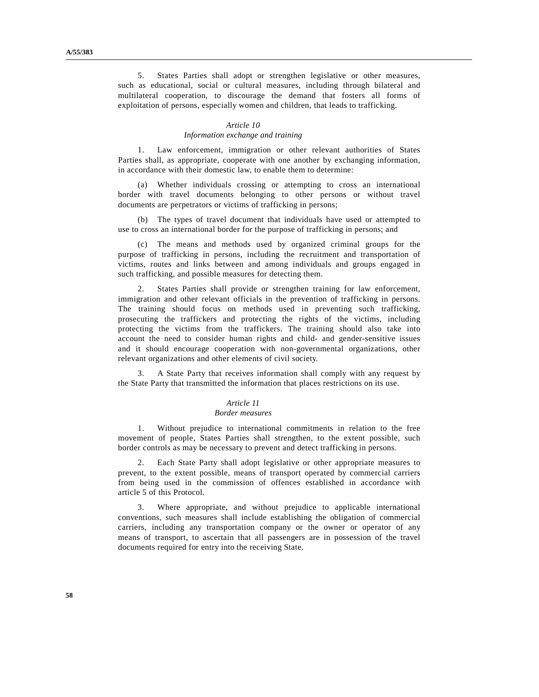5. States Parties shall adopt or strengthen legislative or other measures, such as educational, social or cultural measures, including through bilateral and multilateral cooperation, to discourage the demand that fosters all forms of exploitation of persons, especially women and children, that leads to trafficking.

## *Article 10*

### *Information exchange and training*

 1. Law enforcement, immigration or other relevant authorities of States Parties shall, as appropriate, cooperate with one another by exchanging information, in accordance with their domestic law, to enable them to determine:

 (a) Whether individuals crossing or attempting to cross an international border with travel documents belonging to other persons or without travel documents are perpetrators or victims of trafficking in persons;

 (b) The types of travel document that individuals have used or attempted to use to cross an international border for the purpose of trafficking in persons; and

 (c) The means and methods used by organized criminal groups for the purpose of trafficking in persons, including the recruitment and transportation of victims, routes and links between and among individuals and groups engaged in such trafficking, and possible measures for detecting them.

 2. States Parties shall provide or strengthen training for law enforcement, immigration and other relevant officials in the prevention of trafficking in persons. The training should focus on methods used in preventing such trafficking, prosecuting the traffickers and protecting the rights of the victims, including protecting the victims from the traffickers. The training should also take into account the need to consider human rights and child- and gender-sensitive issues and it should encourage cooperation with non-governmental organizations, other relevant organizations and other elements of civil society.

 3. A State Party that receives information shall comply with any request by the State Party that transmitted the information that places restrictions on its use.

#### *Article 11*

#### *Border measures*

 1. Without prejudice to international commitments in relation to the free movement of people, States Parties shall strengthen, to the extent possible, such border controls as may be necessary to prevent and detect trafficking in persons.

 2. Each State Party shall adopt legislative or other appropriate measures to prevent, to the extent possible, means of transport operated by commercial carriers from being used in the commission of offences established in accordance with article 5 of this Protocol.

 3. Where appropriate, and without prejudice to applicable international conventions, such measures shall include establishing the obligation of commercial carriers, including any transportation company or the owner or operator of any means of transport, to ascertain that all passengers are in possession of the travel documents required for entry into the receiving State.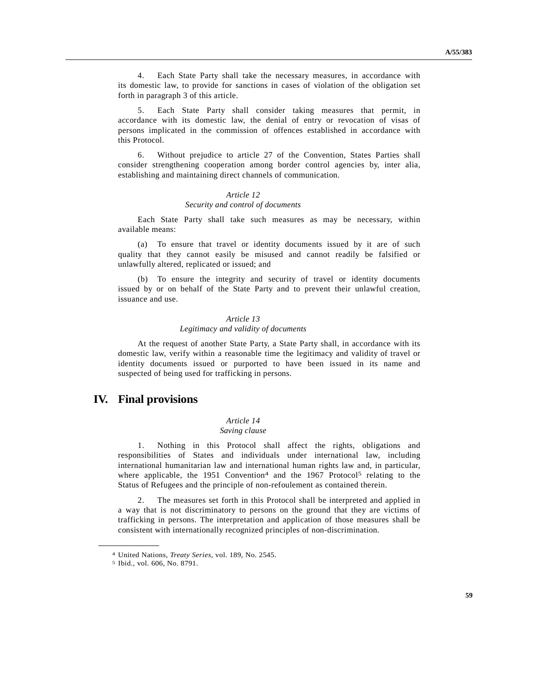4. Each State Party shall take the necessary measures, in accordance with its domestic law, to provide for sanctions in cases of violation of the obligation set forth in paragraph 3 of this article.

 5. Each State Party shall consider taking measures that permit, in accordance with its domestic law, the denial of entry or revocation of visas of persons implicated in the commission of offences established in accordance with this Protocol.

 6. Without prejudice to article 27 of the Convention, States Parties shall consider strengthening cooperation among border control agencies by, inter alia, establishing and maintaining direct channels of communication.

### *Article 12*

#### *Security and control of documents*

 Each State Party shall take such measures as may be necessary, within available means:

 (a) To ensure that travel or identity documents issued by it are of such quality that they cannot easily be misused and cannot readily be falsified or unlawfully altered, replicated or issued; and

 (b) To ensure the integrity and security of travel or identity documents issued by or on behalf of the State Party and to prevent their unlawful creation, issuance and use.

#### *Article 13*

## *Legitimacy and validity of documents*

 At the request of another State Party, a State Party shall, in accordance with its domestic law, verify within a reasonable time the legitimacy and validity of travel or identity documents issued or purported to have been issued in its name and suspected of being used for trafficking in persons.

# **IV. Final provisions**

## *Article 14 Saving clause*

 1. Nothing in this Protocol shall affect the rights, obligations and responsibilities of States and individuals under international law, including international humanitarian law and international human rights law and, in particular, where applicable, the 1951 Convention<sup>4</sup> and the 1967 Protocol<sup>5</sup> relating to the Status of Refugees and the principle of non-refoulement as contained therein.

 2. The measures set forth in this Protocol shall be interpreted and applied in a way that is not discriminatory to persons on the ground that they are victims of trafficking in persons. The interpretation and application of those measures shall be consistent with internationally recognized principles of non-discrimination.

**\_\_\_\_\_\_\_\_\_\_\_\_\_\_\_\_\_\_** 

<sup>4</sup> United Nations, *Treaty Series*, vol. 189, No. 2545.

<sup>5</sup> Ibid., vol. 606, No. 8791.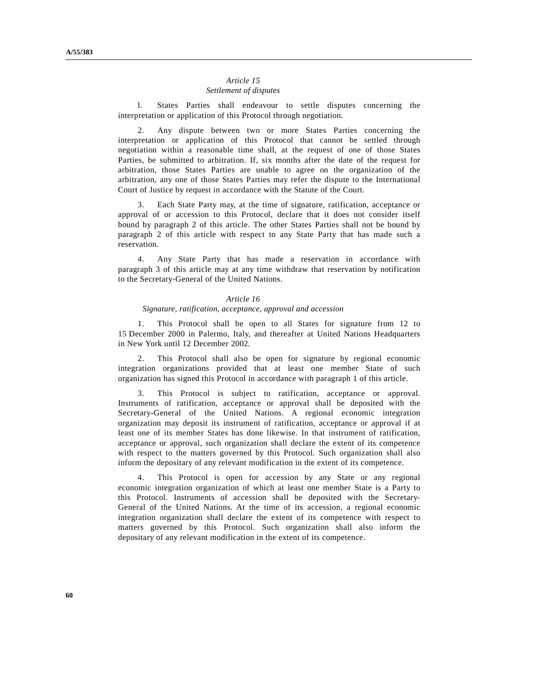### *Article 15 Settlement of disputes*

 l. States Parties shall endeavour to settle disputes concerning the interpretation or application of this Protocol through negotiation.

 2. Any dispute between two or more States Parties concerning the interpretation or application of this Protocol that cannot be settled through negotiation within a reasonable time shall, at the request of one of those States Parties, be submitted to arbitration. If, six months after the date of the request for arbitration, those States Parties are unable to agree on the organization of the arbitration, any one of those States Parties may refer the dispute to the International Court of Justice by request in accordance with the Statute of the Court.

 3. Each State Party may, at the time of signature, ratification, acceptance or approval of or accession to this Protocol, declare that it does not consider itself bound by paragraph 2 of this article. The other States Parties shall not be bound by paragraph 2 of this article with respect to any State Party that has made such a reservation.

 4. Any State Party that has made a reservation in accordance with paragraph 3 of this article may at any time withdraw that reservation by notification to the Secretary-General of the United Nations.

## *Article 16*

## *Signature, ratification, acceptance, approval and accession*

 1. This Protocol shall be open to all States for signature from 12 to 15 December 2000 in Palermo, Italy, and thereafter at United Nations Headquarters in New York until 12 December 2002.

 2. This Protocol shall also be open for signature by regional economic integration organizations provided that at least one member State of such organization has signed this Protocol in accordance with paragraph 1 of this article.

 3. This Protocol is subject to ratification, acceptance or approval. Instruments of ratification, acceptance or approval shall be deposited with the Secretary-General of the United Nations. A regional economic integration organization may deposit its instrument of ratification, acceptance or approval if at least one of its member States has done likewise. In that instrument of ratification, acceptance or approval, such organization shall declare the extent of its competence with respect to the matters governed by this Protocol. Such organization shall also inform the depositary of any relevant modification in the extent of its competence.

This Protocol is open for accession by any State or any regional economic integration organization of which at least one member State is a Party to this Protocol. Instruments of accession shall be deposited with the Secretary-General of the United Nations. At the time of its accession, a regional economic integration organization shall declare the extent of its competence with respect to matters governed by this Protocol. Such organization shall also inform the depositary of any relevant modification in the extent of its competence.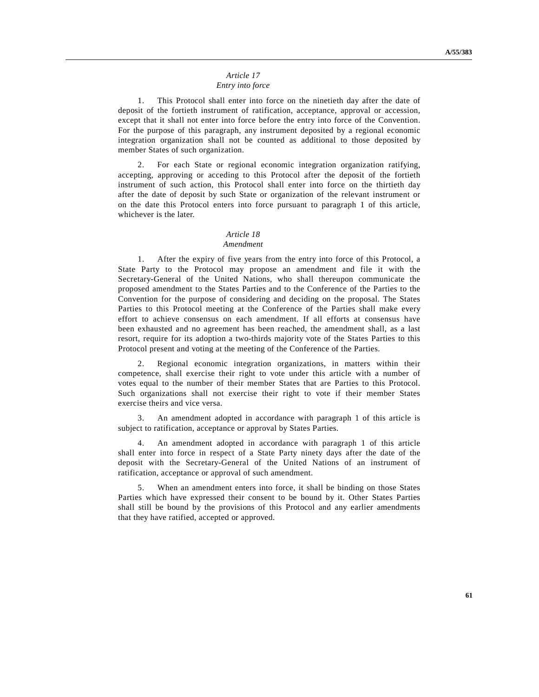# *Article 17*

# *Entry into force*

 1. This Protocol shall enter into force on the ninetieth day after the date of deposit of the fortieth instrument of ratification, acceptance, approval or accession, except that it shall not enter into force before the entry into force of the Convention. For the purpose of this paragraph, any instrument deposited by a regional economic integration organization shall not be counted as additional to those deposited by member States of such organization.

 2. For each State or regional economic integration organization ratifying, accepting, approving or acceding to this Protocol after the deposit of the fortieth instrument of such action, this Protocol shall enter into force on the thirtieth day after the date of deposit by such State or organization of the relevant instrument or on the date this Protocol enters into force pursuant to paragraph 1 of this article, whichever is the later.

#### *Article 18 Amendment*

## 1. After the expiry of five years from the entry into force of this Protocol, a State Party to the Protocol may propose an amendment and file it with the Secretary-General of the United Nations, who shall thereupon communicate the proposed amendment to the States Parties and to the Conference of the Parties to the Convention for the purpose of considering and deciding on the proposal. The States Parties to this Protocol meeting at the Conference of the Parties shall make every effort to achieve consensus on each amendment. If all efforts at consensus have been exhausted and no agreement has been reached, the amendment shall, as a last resort, require for its adoption a two-thirds majority vote of the States Parties to this Protocol present and voting at the meeting of the Conference of the Parties.

 2. Regional economic integration organizations, in matters within their competence, shall exercise their right to vote under this article with a number of votes equal to the number of their member States that are Parties to this Protocol. Such organizations shall not exercise their right to vote if their member States exercise theirs and vice versa.

 3. An amendment adopted in accordance with paragraph 1 of this article is subject to ratification, acceptance or approval by States Parties.

 4. An amendment adopted in accordance with paragraph 1 of this article shall enter into force in respect of a State Party ninety days after the date of the deposit with the Secretary-General of the United Nations of an instrument of ratification, acceptance or approval of such amendment.

 5. When an amendment enters into force, it shall be binding on those States Parties which have expressed their consent to be bound by it. Other States Parties shall still be bound by the provisions of this Protocol and any earlier amendments that they have ratified, accepted or approved.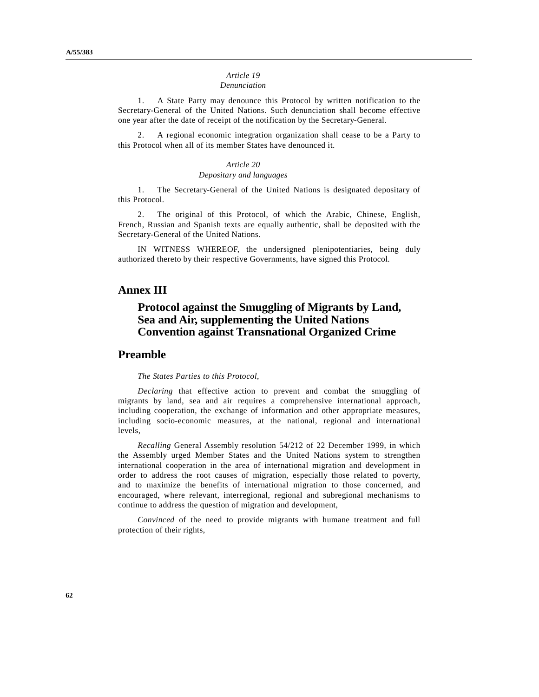## *Article 19*

## *Denunciation*

 1. A State Party may denounce this Protocol by written notification to the Secretary-General of the United Nations. Such denunciation shall become effective one year after the date of receipt of the notification by the Secretary-General.

 2. A regional economic integration organization shall cease to be a Party to this Protocol when all of its member States have denounced it.

### *Article 20*

## *Depositary and languages*

 1. The Secretary-General of the United Nations is designated depositary of this Protocol.

 2. The original of this Protocol, of which the Arabic, Chinese, English, French, Russian and Spanish texts are equally authentic, shall be deposited with the Secretary-General of the United Nations.

 IN WITNESS WHEREOF, the undersigned plenipotentiaries, being duly authorized thereto by their respective Governments, have signed this Protocol.

## **Annex III**

# **Protocol against the Smuggling of Migrants by Land, Sea and Air, supplementing the United Nations Convention against Transnational Organized Crime**

# **Preamble**

### *The States Parties to this Protocol*,

*Declaring* that effective action to prevent and combat the smuggling of migrants by land, sea and air requires a comprehensive international approach, including cooperation, the exchange of information and other appropriate measures, including socio-economic measures, at the national, regional and international levels,

*Recalling* General Assembly resolution 54/212 of 22 December 1999, in which the Assembly urged Member States and the United Nations system to strengthen international cooperation in the area of international migration and development in order to address the root causes of migration, especially those related to poverty, and to maximize the benefits of international migration to those concerned, and encouraged, where relevant, interregional, regional and subregional mechanisms to continue to address the question of migration and development,

*Convinced* of the need to provide migrants with humane treatment and full protection of their rights,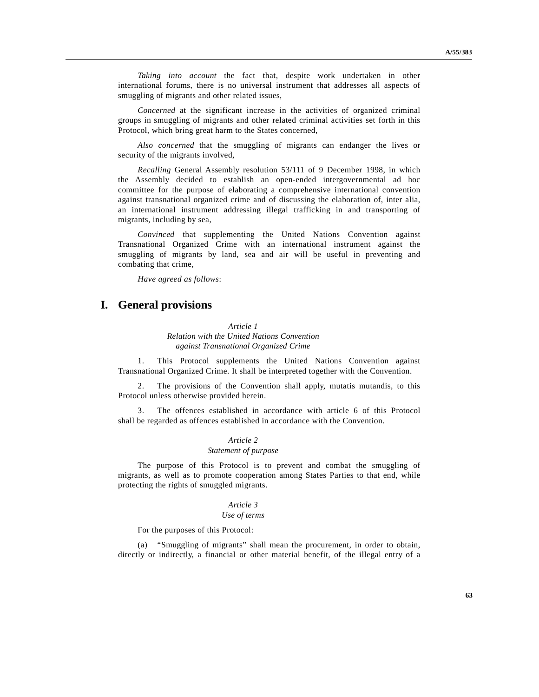*Taking into account* the fact that, despite work undertaken in other international forums, there is no universal instrument that addresses all aspects of smuggling of migrants and other related issues,

*Concerned* at the significant increase in the activities of organized criminal groups in smuggling of migrants and other related criminal activities set forth in this Protocol, which bring great harm to the States concerned,

*Also concerned* that the smuggling of migrants can endanger the lives or security of the migrants involved,

*Recalling* General Assembly resolution 53/111 of 9 December 1998, in which the Assembly decided to establish an open-ended intergovernmental ad hoc committee for the purpose of elaborating a comprehensive international convention against transnational organized crime and of discussing the elaboration of, inter alia, an international instrument addressing illegal trafficking in and transporting of migrants, including by sea,

*Convinced* that supplementing the United Nations Convention against Transnational Organized Crime with an international instrument against the smuggling of migrants by land, sea and air will be useful in preventing and combating that crime,

*Have agreed as follows*:

# **I. General provisions**

*Article 1 Relation with the United Nations Convention against Transnational Organized Crime* 

 1. This Protocol supplements the United Nations Convention against Transnational Organized Crime. It shall be interpreted together with the Convention.

 2. The provisions of the Convention shall apply, mutatis mutandis, to this Protocol unless otherwise provided herein.

 3. The offences established in accordance with article 6 of this Protocol shall be regarded as offences established in accordance with the Convention.

## *Article 2 Statement of purpose*

 The purpose of this Protocol is to prevent and combat the smuggling of migrants, as well as to promote cooperation among States Parties to that end, while protecting the rights of smuggled migrants.

# *Article 3*

## *Use of terms*

For the purposes of this Protocol:

 (a) "Smuggling of migrants" shall mean the procurement, in order to obtain, directly or indirectly, a financial or other material benefit, of the illegal entry of a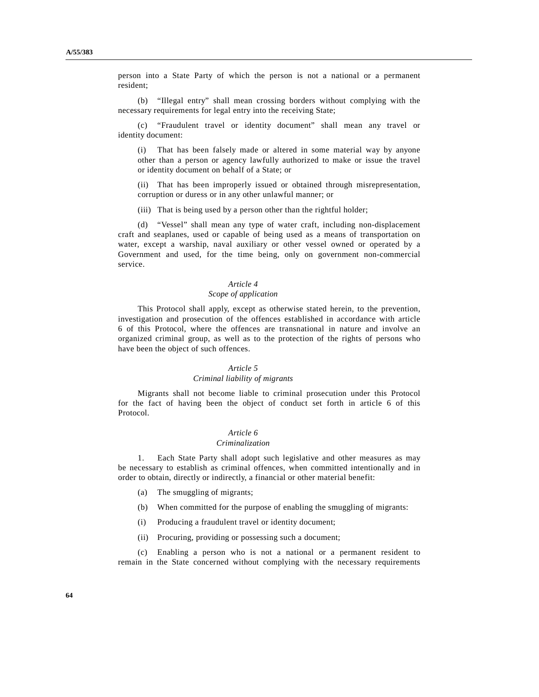person into a State Party of which the person is not a national or a permanent resident;

 (b) "Illegal entry" shall mean crossing borders without complying with the necessary requirements for legal entry into the receiving State;

 (c) "Fraudulent travel or identity document" shall mean any travel or identity document:

That has been falsely made or altered in some material way by anyone other than a person or agency lawfully authorized to make or issue the travel or identity document on behalf of a State; or

 (ii) That has been improperly issued or obtained through misrepresentation, corruption or duress or in any other unlawful manner; or

(iii) That is being used by a person other than the rightful holder;

 (d) "Vessel" shall mean any type of water craft, including non-displacement craft and seaplanes, used or capable of being used as a means of transportation on water, except a warship, naval auxiliary or other vessel owned or operated by a Government and used, for the time being, only on government non-commercial service.

#### *Article 4*

## *Scope of application*

 This Protocol shall apply, except as otherwise stated herein, to the prevention, investigation and prosecution of the offences established in accordance with article 6 of this Protocol, where the offences are transnational in nature and involve an organized criminal group, as well as to the protection of the rights of persons who have been the object of such offences.

#### *Article 5*

#### *Criminal liability of migrants*

 Migrants shall not become liable to criminal prosecution under this Protocol for the fact of having been the object of conduct set forth in article 6 of this Protocol.

### *Article 6*

### *Criminalization*

 1. Each State Party shall adopt such legislative and other measures as may be necessary to establish as criminal offences, when committed intentionally and in order to obtain, directly or indirectly, a financial or other material benefit:

- (a) The smuggling of migrants;
- (b) When committed for the purpose of enabling the smuggling of migrants:
- (i) Producing a fraudulent travel or identity document;
- (ii) Procuring, providing or possessing such a document;

Enabling a person who is not a national or a permanent resident to remain in the State concerned without complying with the necessary requirements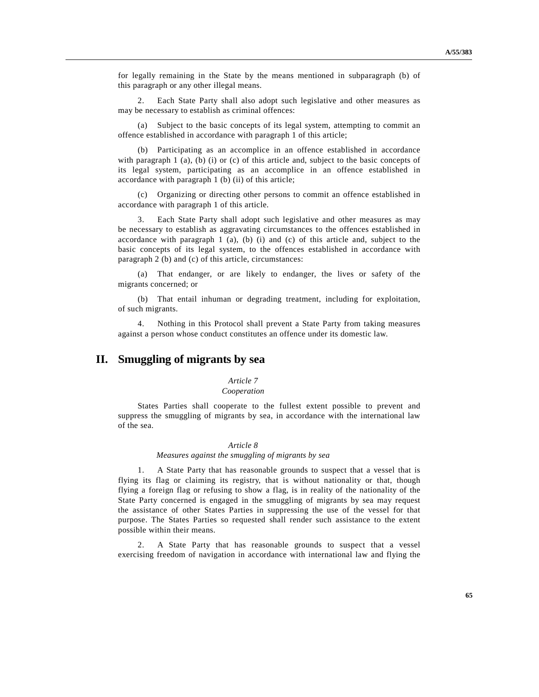for legally remaining in the State by the means mentioned in subparagraph (b) of this paragraph or any other illegal means.

 2. Each State Party shall also adopt such legislative and other measures as may be necessary to establish as criminal offences:

 (a) Subject to the basic concepts of its legal system, attempting to commit an offence established in accordance with paragraph 1 of this article;

 (b) Participating as an accomplice in an offence established in accordance with paragraph 1 (a), (b) (i) or (c) of this article and, subject to the basic concepts of its legal system, participating as an accomplice in an offence established in accordance with paragraph 1 (b) (ii) of this article;

 (c) Organizing or directing other persons to commit an offence established in accordance with paragraph 1 of this article.

 3. Each State Party shall adopt such legislative and other measures as may be necessary to establish as aggravating circumstances to the offences established in accordance with paragraph  $1$  (a), (b) (i) and (c) of this article and, subject to the basic concepts of its legal system, to the offences established in accordance with paragraph 2 (b) and (c) of this article, circumstances:

 (a) That endanger, or are likely to endanger, the lives or safety of the migrants concerned; or

 (b) That entail inhuman or degrading treatment, including for exploitation, of such migrants.

 4. Nothing in this Protocol shall prevent a State Party from taking measures against a person whose conduct constitutes an offence under its domestic law.

# **II. Smuggling of migrants by sea**

## *Article 7*

## *Cooperation*

 States Parties shall cooperate to the fullest extent possible to prevent and suppress the smuggling of migrants by sea, in accordance with the international law of the sea.

## *Article 8*

### *Measures against the smuggling of migrants by sea*

 1. A State Party that has reasonable grounds to suspect that a vessel that is flying its flag or claiming its registry, that is without nationality or that, though flying a foreign flag or refusing to show a flag, is in reality of the nationality of the State Party concerned is engaged in the smuggling of migrants by sea may request the assistance of other States Parties in suppressing the use of the vessel for that purpose. The States Parties so requested shall render such assistance to the extent possible within their means.

 2. A State Party that has reasonable grounds to suspect that a vessel exercising freedom of navigation in accordance with international law and flying the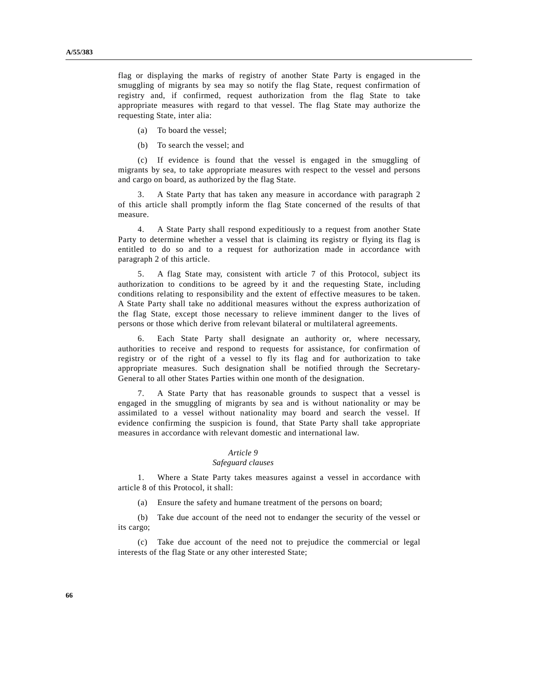flag or displaying the marks of registry of another State Party is engaged in the smuggling of migrants by sea may so notify the flag State, request confirmation of registry and, if confirmed, request authorization from the flag State to take appropriate measures with regard to that vessel. The flag State may authorize the requesting State, inter alia:

- (a) To board the vessel;
- (b) To search the vessel; and

 (c) If evidence is found that the vessel is engaged in the smuggling of migrants by sea, to take appropriate measures with respect to the vessel and persons and cargo on board, as authorized by the flag State.

 3. A State Party that has taken any measure in accordance with paragraph 2 of this article shall promptly inform the flag State concerned of the results of that measure.

 4. A State Party shall respond expeditiously to a request from another State Party to determine whether a vessel that is claiming its registry or flying its flag is entitled to do so and to a request for authorization made in accordance with paragraph 2 of this article.

 5. A flag State may, consistent with article 7 of this Protocol, subject its authorization to conditions to be agreed by it and the requesting State, including conditions relating to responsibility and the extent of effective measures to be taken. A State Party shall take no additional measures without the express authorization of the flag State, except those necessary to relieve imminent danger to the lives of persons or those which derive from relevant bilateral or multilateral agreements.

 6. Each State Party shall designate an authority or, where necessary, authorities to receive and respond to requests for assistance, for confirmation of registry or of the right of a vessel to fly its flag and for authorization to take appropriate measures. Such designation shall be notified through the Secretary-General to all other States Parties within one month of the designation.

 7. A State Party that has reasonable grounds to suspect that a vessel is engaged in the smuggling of migrants by sea and is without nationality or may be assimilated to a vessel without nationality may board and search the vessel. If evidence confirming the suspicion is found, that State Party shall take appropriate measures in accordance with relevant domestic and international law.

# *Article 9*

### *Safeguard clauses*

 1. Where a State Party takes measures against a vessel in accordance with article 8 of this Protocol, it shall:

(a) Ensure the safety and humane treatment of the persons on board;

 (b) Take due account of the need not to endanger the security of the vessel or its cargo;

 (c) Take due account of the need not to prejudice the commercial or legal interests of the flag State or any other interested State;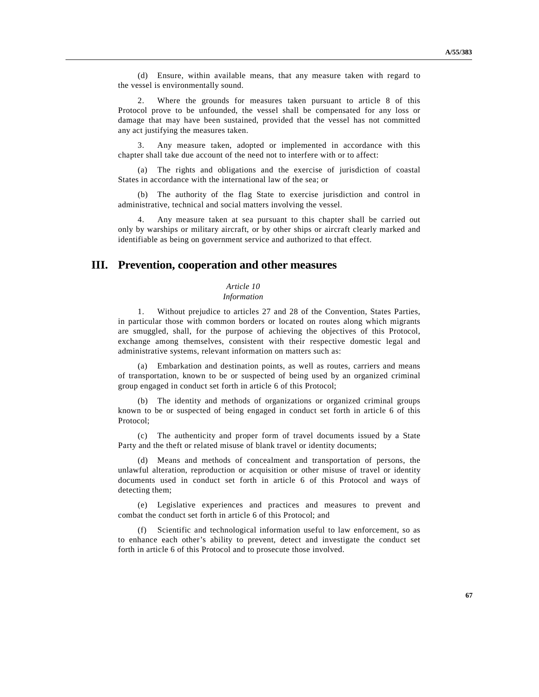(d) Ensure, within available means, that any measure taken with regard to the vessel is environmentally sound.

 2. Where the grounds for measures taken pursuant to article 8 of this Protocol prove to be unfounded, the vessel shall be compensated for any loss or damage that may have been sustained, provided that the vessel has not committed any act justifying the measures taken.

 3. Any measure taken, adopted or implemented in accordance with this chapter shall take due account of the need not to interfere with or to affect:

 (a) The rights and obligations and the exercise of jurisdiction of coastal States in accordance with the international law of the sea; or

 (b) The authority of the flag State to exercise jurisdiction and control in administrative, technical and social matters involving the vessel.

 4. Any measure taken at sea pursuant to this chapter shall be carried out only by warships or military aircraft, or by other ships or aircraft clearly marked and identifiable as being on government service and authorized to that effect.

# **III. Prevention, cooperation and other measures**

## *Article 10*

#### *Information*

 1. Without prejudice to articles 27 and 28 of the Convention, States Parties, in particular those with common borders or located on routes along which migrants are smuggled, shall, for the purpose of achieving the objectives of this Protocol, exchange among themselves, consistent with their respective domestic legal and administrative systems, relevant information on matters such as:

 (a) Embarkation and destination points, as well as routes, carriers and means of transportation, known to be or suspected of being used by an organized criminal group engaged in conduct set forth in article 6 of this Protocol;

 (b) The identity and methods of organizations or organized criminal groups known to be or suspected of being engaged in conduct set forth in article 6 of this Protocol:

 (c) The authenticity and proper form of travel documents issued by a State Party and the theft or related misuse of blank travel or identity documents;

 (d) Means and methods of concealment and transportation of persons, the unlawful alteration, reproduction or acquisition or other misuse of travel or identity documents used in conduct set forth in article 6 of this Protocol and ways of detecting them;

 (e) Legislative experiences and practices and measures to prevent and combat the conduct set forth in article 6 of this Protocol; and

Scientific and technological information useful to law enforcement, so as to enhance each other's ability to prevent, detect and investigate the conduct set forth in article 6 of this Protocol and to prosecute those involved.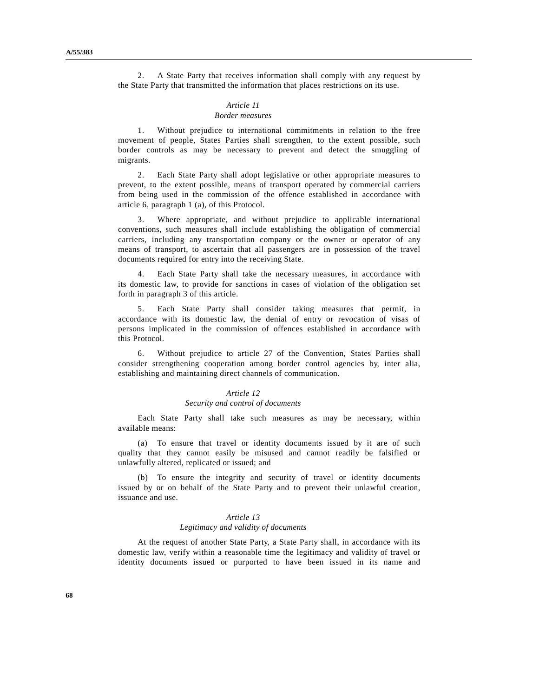2. A State Party that receives information shall comply with any request by the State Party that transmitted the information that places restrictions on its use.

## *Article 11*

#### *Border measures*

 1. Without prejudice to international commitments in relation to the free movement of people, States Parties shall strengthen, to the extent possible, such border controls as may be necessary to prevent and detect the smuggling of migrants.

 2. Each State Party shall adopt legislative or other appropriate measures to prevent, to the extent possible, means of transport operated by commercial carriers from being used in the commission of the offence established in accordance with article 6, paragraph 1 (a), of this Protocol.

 3. Where appropriate, and without prejudice to applicable international conventions, such measures shall include establishing the obligation of commercial carriers, including any transportation company or the owner or operator of any means of transport, to ascertain that all passengers are in possession of the travel documents required for entry into the receiving State.

 4. Each State Party shall take the necessary measures, in accordance with its domestic law, to provide for sanctions in cases of violation of the obligation set forth in paragraph 3 of this article.

 5. Each State Party shall consider taking measures that permit, in accordance with its domestic law, the denial of entry or revocation of visas of persons implicated in the commission of offences established in accordance with this Protocol.

 6. Without prejudice to article 27 of the Convention, States Parties shall consider strengthening cooperation among border control agencies by, inter alia, establishing and maintaining direct channels of communication.

## *Article 12*

#### *Security and control of documents*

 Each State Party shall take such measures as may be necessary, within available means:

 (a) To ensure that travel or identity documents issued by it are of such quality that they cannot easily be misused and cannot readily be falsified or unlawfully altered, replicated or issued; and

 (b) To ensure the integrity and security of travel or identity documents issued by or on behalf of the State Party and to prevent their unlawful creation, issuance and use.

#### *Article 13*

#### *Legitimacy and validity of documents*

 At the request of another State Party, a State Party shall, in accordance with its domestic law, verify within a reasonable time the legitimacy and validity of travel or identity documents issued or purported to have been issued in its name and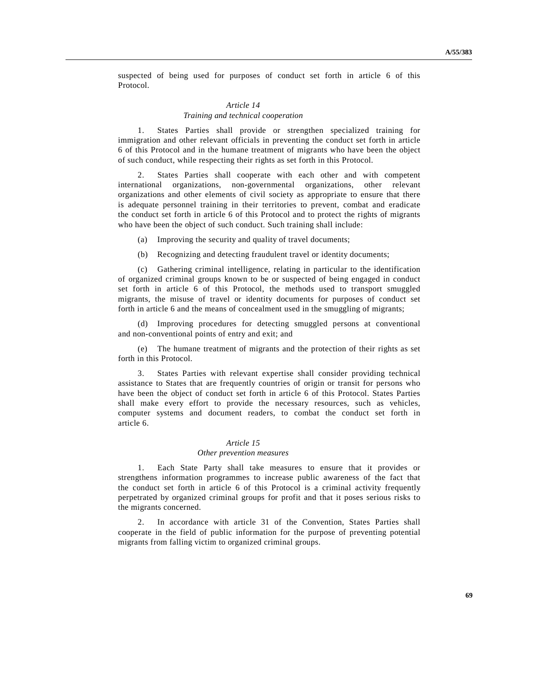suspected of being used for purposes of conduct set forth in article 6 of this Protocol.

## *Article 14 Training and technical cooperation*

 1. States Parties shall provide or strengthen specialized training for immigration and other relevant officials in preventing the conduct set forth in article 6 of this Protocol and in the humane treatment of migrants who have been the object of such conduct, while respecting their rights as set forth in this Protocol.

 2. States Parties shall cooperate with each other and with competent international organizations, non-governmental organizations, other relevant organizations and other elements of civil society as appropriate to ensure that there is adequate personnel training in their territories to prevent, combat and eradicate the conduct set forth in article 6 of this Protocol and to protect the rights of migrants who have been the object of such conduct. Such training shall include:

- (a) Improving the security and quality of travel documents;
- (b) Recognizing and detecting fraudulent travel or identity documents;

 (c) Gathering criminal intelligence, relating in particular to the identification of organized criminal groups known to be or suspected of being engaged in conduct set forth in article 6 of this Protocol, the methods used to transport smuggled migrants, the misuse of travel or identity documents for purposes of conduct set forth in article 6 and the means of concealment used in the smuggling of migrants;

 (d) Improving procedures for detecting smuggled persons at conventional and non-conventional points of entry and exit; and

 (e) The humane treatment of migrants and the protection of their rights as set forth in this Protocol.

 3. States Parties with relevant expertise shall consider providing technical assistance to States that are frequently countries of origin or transit for persons who have been the object of conduct set forth in article 6 of this Protocol. States Parties shall make every effort to provide the necessary resources, such as vehicles, computer systems and document readers, to combat the conduct set forth in article 6.

## *Article 15*

#### *Other prevention measures*

 1. Each State Party shall take measures to ensure that it provides or strengthens information programmes to increase public awareness of the fact that the conduct set forth in article 6 of this Protocol is a criminal activity frequently perpetrated by organized criminal groups for profit and that it poses serious risks to the migrants concerned.

 2. In accordance with article 31 of the Convention, States Parties shall cooperate in the field of public information for the purpose of preventing potential migrants from falling victim to organized criminal groups.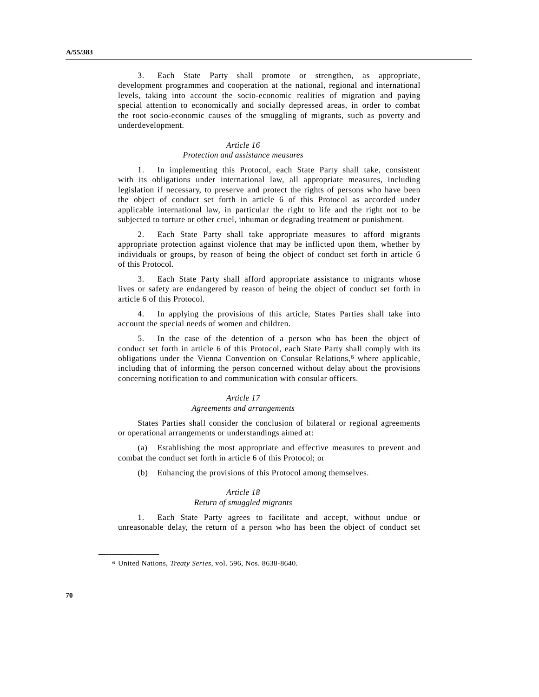3. Each State Party shall promote or strengthen, as appropriate, development programmes and cooperation at the national, regional and international levels, taking into account the socio-economic realities of migration and paying special attention to economically and socially depressed areas, in order to combat the root socio-economic causes of the smuggling of migrants, such as poverty and underdevelopment.

#### *Article 16*

### *Protection and assistance measures*

 1. In implementing this Protocol, each State Party shall take, consistent with its obligations under international law, all appropriate measures, including legislation if necessary, to preserve and protect the rights of persons who have been the object of conduct set forth in article 6 of this Protocol as accorded under applicable international law, in particular the right to life and the right not to be subjected to torture or other cruel, inhuman or degrading treatment or punishment.

 2. Each State Party shall take appropriate measures to afford migrants appropriate protection against violence that may be inflicted upon them, whether by individuals or groups, by reason of being the object of conduct set forth in article 6 of this Protocol.

 3. Each State Party shall afford appropriate assistance to migrants whose lives or safety are endangered by reason of being the object of conduct set forth in article 6 of this Protocol.

 4. In applying the provisions of this article, States Parties shall take into account the special needs of women and children.

 5. In the case of the detention of a person who has been the object of conduct set forth in article 6 of this Protocol, each State Party shall comply with its obligations under the Vienna Convention on Consular Relations,<sup>6</sup> where applicable, including that of informing the person concerned without delay about the provisions concerning notification to and communication with consular officers.

## *Article 17*

#### *Agreements and arrangements*

 States Parties shall consider the conclusion of bilateral or regional agreements or operational arrangements or understandings aimed at:

 (a) Establishing the most appropriate and effective measures to prevent and combat the conduct set forth in article 6 of this Protocol; or

(b) Enhancing the provisions of this Protocol among themselves.

#### *Article 18*

#### *Return of smuggled migrants*

 1. Each State Party agrees to facilitate and accept, without undue or unreasonable delay, the return of a person who has been the object of conduct set

**\_\_\_\_\_\_\_\_\_\_\_\_\_\_\_\_\_\_** 

<sup>6</sup> United Nations, *Treaty Series*, vol. 596, Nos. 8638-8640.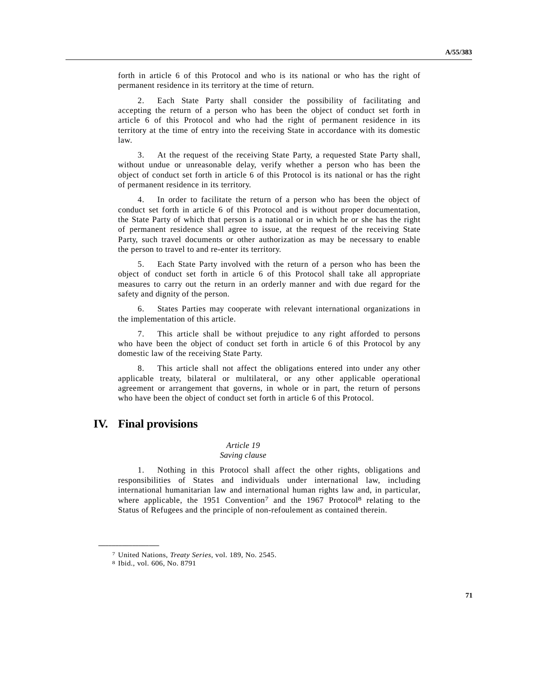forth in article 6 of this Protocol and who is its national or who has the right of permanent residence in its territory at the time of return.

 2. Each State Party shall consider the possibility of facilitating and accepting the return of a person who has been the object of conduct set forth in article 6 of this Protocol and who had the right of permanent residence in its territory at the time of entry into the receiving State in accordance with its domestic law.

 3. At the request of the receiving State Party, a requested State Party shall, without undue or unreasonable delay, verify whether a person who has been the object of conduct set forth in article 6 of this Protocol is its national or has the right of permanent residence in its territory.

 4. In order to facilitate the return of a person who has been the object of conduct set forth in article 6 of this Protocol and is without proper documentation, the State Party of which that person is a national or in which he or she has the right of permanent residence shall agree to issue, at the request of the receiving State Party, such travel documents or other authorization as may be necessary to enable the person to travel to and re-enter its territory.

 5. Each State Party involved with the return of a person who has been the object of conduct set forth in article 6 of this Protocol shall take all appropriate measures to carry out the return in an orderly manner and with due regard for the safety and dignity of the person.

 6. States Parties may cooperate with relevant international organizations in the implementation of this article.

 7. This article shall be without prejudice to any right afforded to persons who have been the object of conduct set forth in article 6 of this Protocol by any domestic law of the receiving State Party.

 8. This article shall not affect the obligations entered into under any other applicable treaty, bilateral or multilateral, or any other applicable operational agreement or arrangement that governs, in whole or in part, the return of persons who have been the object of conduct set forth in article 6 of this Protocol.

# **IV. Final provisions**

# *Article 19*

## *Saving clause*

 1. Nothing in this Protocol shall affect the other rights, obligations and responsibilities of States and individuals under international law, including international humanitarian law and international human rights law and, in particular, where applicable, the 1951 Convention<sup>7</sup> and the 1967 Protocol<sup>8</sup> relating to the Status of Refugees and the principle of non-refoulement as contained therein.

**\_\_\_\_\_\_\_\_\_\_\_\_\_\_\_\_\_\_** 

<sup>7</sup> United Nations, *Treaty Series*, vol. 189, No. 2545.

<sup>8</sup> Ibid., vol. 606, No. 8791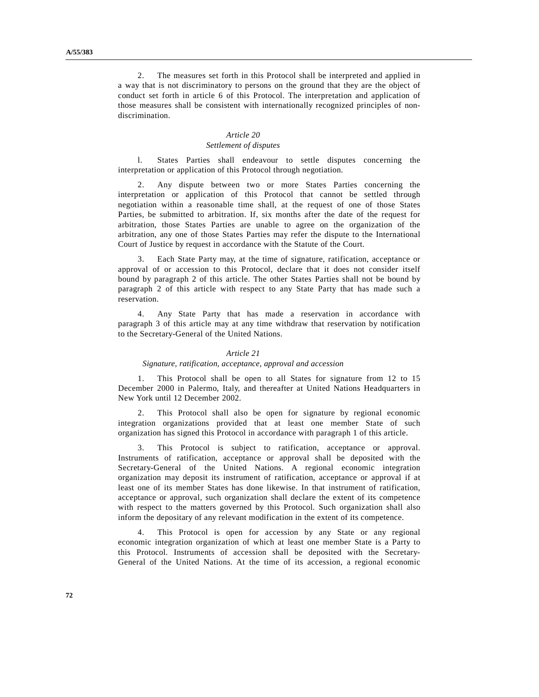2. The measures set forth in this Protocol shall be interpreted and applied in a way that is not discriminatory to persons on the ground that they are the object of conduct set forth in article 6 of this Protocol. The interpretation and application of those measures shall be consistent with internationally recognized principles of nondiscrimination.

## *Article 20 Settlement of disputes*

 l. States Parties shall endeavour to settle disputes concerning the interpretation or application of this Protocol through negotiation.

 2. Any dispute between two or more States Parties concerning the interpretation or application of this Protocol that cannot be settled through negotiation within a reasonable time shall, at the request of one of those States Parties, be submitted to arbitration. If, six months after the date of the request for arbitration, those States Parties are unable to agree on the organization of the arbitration, any one of those States Parties may refer the dispute to the International Court of Justice by request in accordance with the Statute of the Court.

 3. Each State Party may, at the time of signature, ratification, acceptance or approval of or accession to this Protocol, declare that it does not consider itself bound by paragraph 2 of this article. The other States Parties shall not be bound by paragraph 2 of this article with respect to any State Party that has made such a reservation.

 4. Any State Party that has made a reservation in accordance with paragraph 3 of this article may at any time withdraw that reservation by notification to the Secretary-General of the United Nations.

### *Article 21*

## *Signature, ratification, acceptance, approval and accession*

 1. This Protocol shall be open to all States for signature from 12 to 15 December 2000 in Palermo, Italy, and thereafter at United Nations Headquarters in New York until 12 December 2002.

 2. This Protocol shall also be open for signature by regional economic integration organizations provided that at least one member State of such organization has signed this Protocol in accordance with paragraph 1 of this article.

 3. This Protocol is subject to ratification, acceptance or approval. Instruments of ratification, acceptance or approval shall be deposited with the Secretary-General of the United Nations. A regional economic integration organization may deposit its instrument of ratification, acceptance or approval if at least one of its member States has done likewise. In that instrument of ratification, acceptance or approval, such organization shall declare the extent of its competence with respect to the matters governed by this Protocol. Such organization shall also inform the depositary of any relevant modification in the extent of its competence.

This Protocol is open for accession by any State or any regional economic integration organization of which at least one member State is a Party to this Protocol. Instruments of accession shall be deposited with the Secretary-General of the United Nations. At the time of its accession, a regional economic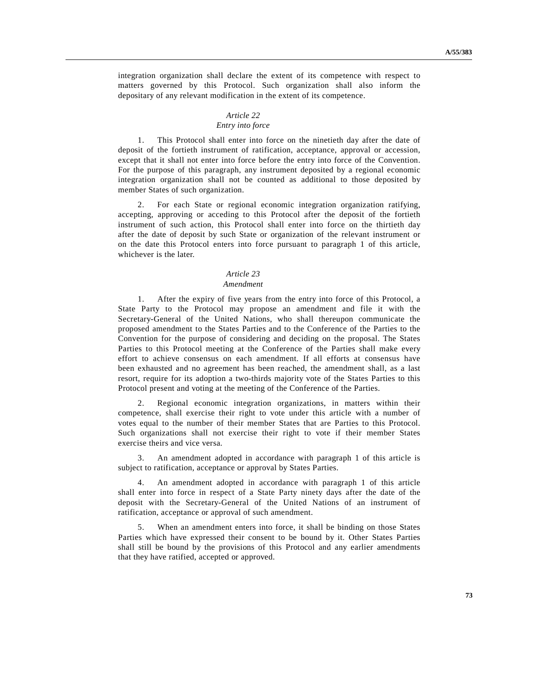integration organization shall declare the extent of its competence with respect to matters governed by this Protocol. Such organization shall also inform the depositary of any relevant modification in the extent of its competence.

### *Article 22 Entry into force*

 1. This Protocol shall enter into force on the ninetieth day after the date of deposit of the fortieth instrument of ratification, acceptance, approval or accession, except that it shall not enter into force before the entry into force of the Convention. For the purpose of this paragraph, any instrument deposited by a regional economic integration organization shall not be counted as additional to those deposited by member States of such organization.

 2. For each State or regional economic integration organization ratifying, accepting, approving or acceding to this Protocol after the deposit of the fortieth instrument of such action, this Protocol shall enter into force on the thirtieth day after the date of deposit by such State or organization of the relevant instrument or on the date this Protocol enters into force pursuant to paragraph 1 of this article, whichever is the later

# *Article 23*

#### *Amendment*

 1. After the expiry of five years from the entry into force of this Protocol, a State Party to the Protocol may propose an amendment and file it with the Secretary-General of the United Nations, who shall thereupon communicate the proposed amendment to the States Parties and to the Conference of the Parties to the Convention for the purpose of considering and deciding on the proposal. The States Parties to this Protocol meeting at the Conference of the Parties shall make every effort to achieve consensus on each amendment. If all efforts at consensus have been exhausted and no agreement has been reached, the amendment shall, as a last resort, require for its adoption a two-thirds majority vote of the States Parties to this Protocol present and voting at the meeting of the Conference of the Parties.

 2. Regional economic integration organizations, in matters within their competence, shall exercise their right to vote under this article with a number of votes equal to the number of their member States that are Parties to this Protocol. Such organizations shall not exercise their right to vote if their member States exercise theirs and vice versa.

 3. An amendment adopted in accordance with paragraph 1 of this article is subject to ratification, acceptance or approval by States Parties.

 4. An amendment adopted in accordance with paragraph 1 of this article shall enter into force in respect of a State Party ninety days after the date of the deposit with the Secretary-General of the United Nations of an instrument of ratification, acceptance or approval of such amendment.

 5. When an amendment enters into force, it shall be binding on those States Parties which have expressed their consent to be bound by it. Other States Parties shall still be bound by the provisions of this Protocol and any earlier amendments that they have ratified, accepted or approved.